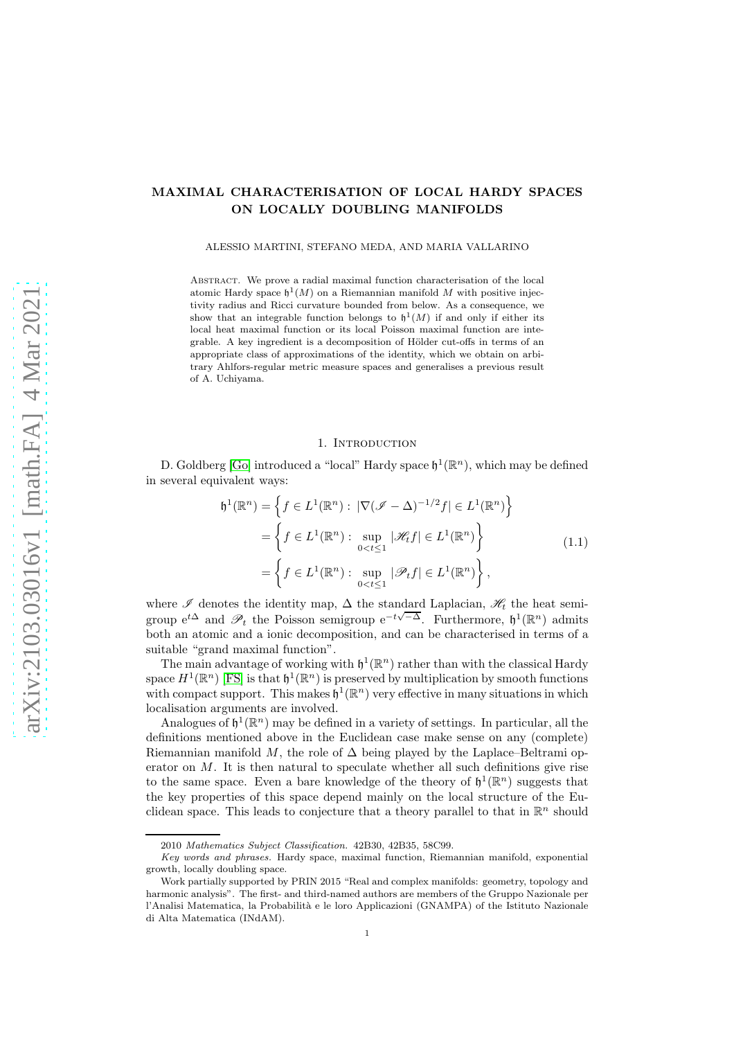# MAXIMAL CHARACTERISATION OF LOCAL HARDY SPACES ON LOCALLY DOUBLING MANIFOLDS

ALESSIO MARTINI, STEFANO MEDA, AND MARIA VALLARINO

Abstract. We prove a radial maximal function characterisation of the local atomic Hardy space  $\mathfrak{h}^1(M)$  on a Riemannian manifold M with positive injectivity radius and Ricci curvature bounded from below. As a consequence, we show that an integrable function belongs to  $\mathfrak{h}^1(M)$  if and only if either its local heat maximal function or its local Poisson maximal function are integrable. A key ingredient is a decomposition of Hölder cut-offs in terms of an appropriate class of approximations of the identity, which we obtain on arbitrary Ahlfors-regular metric measure spaces and generalises a previous result of A. Uchiyama.

### 1. INTRODUCTION

D. Goldberg [\[Go\]](#page-30-0) introduced a "local" Hardy space  $\mathfrak{h}^1(\mathbb{R}^n)$ , which may be defined in several equivalent ways:

$$
J^{1}(\mathbb{R}^{n}) = \left\{ f \in L^{1}(\mathbb{R}^{n}) : |\nabla(\mathscr{I} - \Delta)^{-1/2} f| \in L^{1}(\mathbb{R}^{n}) \right\}
$$

$$
= \left\{ f \in L^{1}(\mathbb{R}^{n}) : \sup_{0 < t \leq 1} |\mathscr{H}_{t} f| \in L^{1}(\mathbb{R}^{n}) \right\}
$$

$$
= \left\{ f \in L^{1}(\mathbb{R}^{n}) : \sup_{0 < t \leq 1} |\mathscr{P}_{t} f| \in L^{1}(\mathbb{R}^{n}) \right\},\tag{1.1}
$$

<span id="page-0-0"></span>where  $\mathscr I$  denotes the identity map,  $\Delta$  the standard Laplacian,  $\mathscr H_t$  the heat semigroup  $e^{t\Delta}$  and  $\mathscr{P}_t$  the Poisson semigroup  $e^{-t\sqrt{-\Delta}}$ . Furthermore,  $\mathfrak{h}^1(\mathbb{R}^n)$  admits both an atomic and a ionic decomposition, and can be characterised in terms of a suitable "grand maximal function".

The main advantage of working with  $\mathfrak{h}^1(\mathbb{R}^n)$  rather than with the classical Hardy space  $H^1(\mathbb{R}^n)$  [\[FS\]](#page-30-1) is that  $\mathfrak{h}^1(\mathbb{R}^n)$  is preserved by multiplication by smooth functions with compact support. This makes  $\mathfrak{h}^1(\mathbb{R}^n)$  very effective in many situations in which localisation arguments are involved.

Analogues of  $\mathfrak{h}^1(\mathbb{R}^n)$  may be defined in a variety of settings. In particular, all the definitions mentioned above in the Euclidean case make sense on any (complete) Riemannian manifold M, the role of  $\Delta$  being played by the Laplace–Beltrami operator on  $M$ . It is then natural to speculate whether all such definitions give rise to the same space. Even a bare knowledge of the theory of  $\mathfrak{h}^1(\mathbb{R}^n)$  suggests that the key properties of this space depend mainly on the local structure of the Euclidean space. This leads to conjecture that a theory parallel to that in  $\mathbb{R}^n$  should

h

<sup>2010</sup> *Mathematics Subject Classification.* 42B30, 42B35, 58C99.

*Key words and phrases.* Hardy space, maximal function, Riemannian manifold, exponential growth, locally doubling space.

Work partially supported by PRIN 2015 "Real and complex manifolds: geometry, topology and harmonic analysis". The first- and third-named authors are members of the Gruppo Nazionale per l'Analisi Matematica, la Probabilità e le loro Applicazioni (GNAMPA) of the Istituto Nazionale di Alta Matematica (INdAM).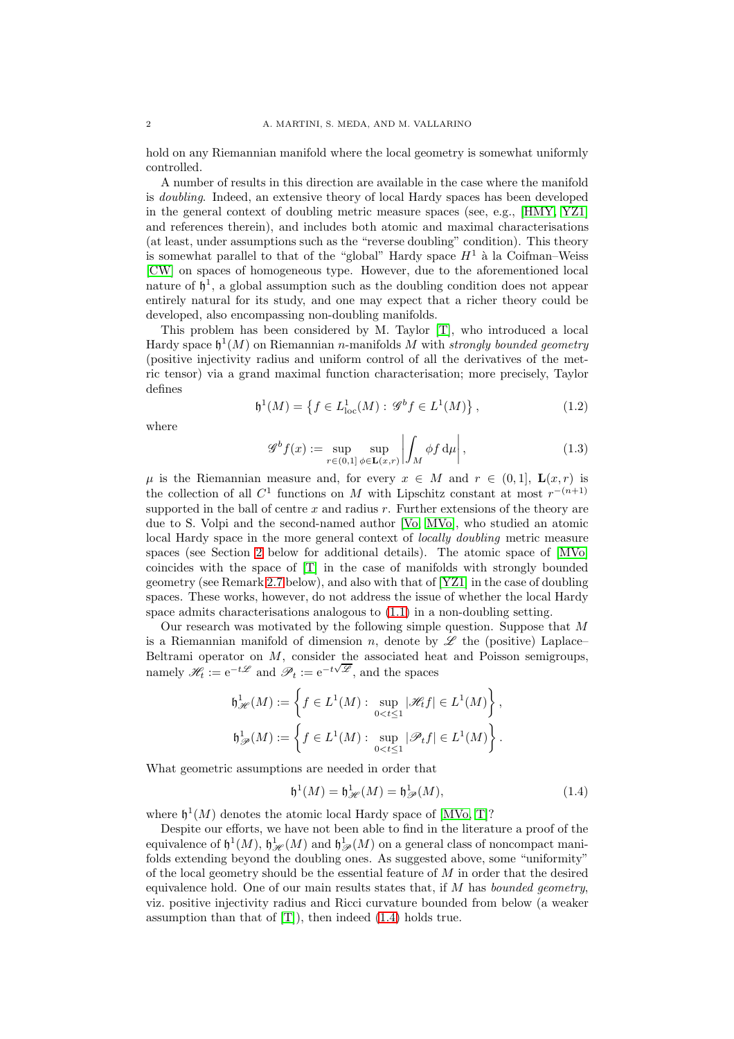hold on any Riemannian manifold where the local geometry is somewhat uniformly controlled.

A number of results in this direction are available in the case where the manifold is doubling. Indeed, an extensive theory of local Hardy spaces has been developed in the general context of doubling metric measure spaces (see, e.g., [\[HMY,](#page-30-2) [YZ1\]](#page-30-3) and references therein), and includes both atomic and maximal characterisations (at least, under assumptions such as the "reverse doubling" condition). This theory is somewhat parallel to that of the "global" Hardy space  $H<sup>1</sup>$  à la Coifman–Weiss [\[CW\]](#page-30-4) on spaces of homogeneous type. However, due to the aforementioned local nature of  $\mathfrak{h}^1$ , a global assumption such as the doubling condition does not appear entirely natural for its study, and one may expect that a richer theory could be developed, also encompassing non-doubling manifolds.

This problem has been considered by M. Taylor [\[T\]](#page-30-5), who introduced a local Hardy space  $\mathfrak{h}^1(M)$  on Riemannian n-manifolds M with strongly bounded geometry (positive injectivity radius and uniform control of all the derivatives of the metric tensor) via a grand maximal function characterisation; more precisely, Taylor defines

<span id="page-1-2"></span>
$$
\mathfrak{h}^1(M) = \left\{ f \in L^1_{loc}(M) : \mathcal{G}^b f \in L^1(M) \right\},\tag{1.2}
$$

where

<span id="page-1-1"></span>
$$
\mathcal{G}^b f(x) := \sup_{r \in (0,1]} \sup_{\phi \in \mathbf{L}(x,r)} \left| \int_M \phi f \, d\mu \right|, \tag{1.3}
$$

 $\mu$  is the Riemannian measure and, for every  $x \in M$  and  $r \in (0,1]$ ,  $\mathbf{L}(x,r)$  is the collection of all  $C^1$  functions on M with Lipschitz constant at most  $r^{-(n+1)}$ supported in the ball of centre  $x$  and radius  $r$ . Further extensions of the theory are due to S. Volpi and the second-named author [\[Vo,](#page-30-6) [MVo\]](#page-30-7), who studied an atomic local Hardy space in the more general context of locally doubling metric measure spaces (see Section [2](#page-4-0) below for additional details). The atomic space of [\[MVo\]](#page-30-7) coincides with the space of [\[T\]](#page-30-5) in the case of manifolds with strongly bounded geometry (see Remark [2.7](#page-7-0) below), and also with that of [\[YZ1\]](#page-30-3) in the case of doubling spaces. These works, however, do not address the issue of whether the local Hardy space admits characterisations analogous to [\(1.1\)](#page-0-0) in a non-doubling setting.

Our research was motivated by the following simple question. Suppose that  $M$ is a Riemannian manifold of dimension n, denote by  $\mathscr L$  the (positive) Laplace– Beltrami operator on  $M$ , consider the associated heat and Poisson semigroups, namely  $\mathscr{H}_t := e^{-t\mathscr{L}}$  and  $\mathscr{P}_t := e^{-t\sqrt{\mathscr{L}}}$ , and the spaces

$$
\begin{split} \mathfrak{h}^1_{\mathscr{H}}(M):=\left\{f\in L^1(M):\sup_{0
$$

What geometric assumptions are needed in order that

<span id="page-1-0"></span>
$$
\mathfrak{h}^1(M) = \mathfrak{h}^1_{\mathscr{H}}(M) = \mathfrak{h}^1_{\mathscr{P}}(M),\tag{1.4}
$$

where  $\mathfrak{h}^1(M)$  denotes the atomic local Hardy space of [\[MVo,](#page-30-7) [T\]](#page-30-5)?

Despite our efforts, we have not been able to find in the literature a proof of the equivalence of  $\mathfrak{h}^1(M)$ ,  $\mathfrak{h}^1_{\mathscr{H}}(M)$  and  $\mathfrak{h}^1_{\mathscr{P}}(M)$  on a general class of noncompact manifolds extending beyond the doubling ones. As suggested above, some "uniformity" of the local geometry should be the essential feature of M in order that the desired equivalence hold. One of our main results states that, if  $M$  has *bounded geometry*, viz. positive injectivity radius and Ricci curvature bounded from below (a weaker assumption than that of  $[T]$ , then indeed  $(1.4)$  holds true.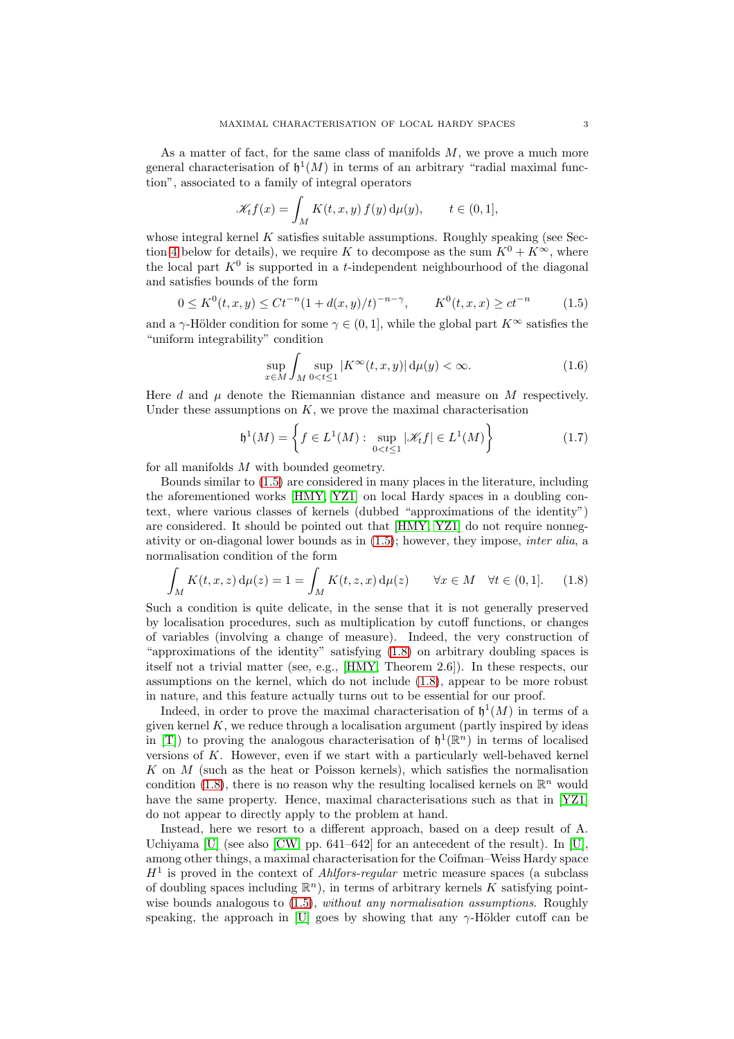As a matter of fact, for the same class of manifolds  $M$ , we prove a much more general characterisation of  $\mathfrak{h}^1(M)$  in terms of an arbitrary "radial maximal function", associated to a family of integral operators

$$
\mathcal{K}_t f(x) = \int_M K(t, x, y) f(y) d\mu(y), \qquad t \in (0, 1],
$$

whose integral kernel  $K$  satisfies suitable assumptions. Roughly speaking (see Sec-tion [4](#page-17-0) below for details), we require K to decompose as the sum  $K^0 + K^{\infty}$ , where the local part  $K^0$  is supported in a *t*-independent neighbourhood of the diagonal and satisfies bounds of the form

<span id="page-2-0"></span>
$$
0 \le K^0(t, x, y) \le Ct^{-n} (1 + d(x, y)/t)^{-n-\gamma}, \qquad K^0(t, x, x) \ge ct^{-n} \tag{1.5}
$$

and a  $\gamma$ -Hölder condition for some  $\gamma \in (0, 1]$ , while the global part  $K^{\infty}$  satisfies the "uniform integrability" condition

<span id="page-2-3"></span>
$$
\sup_{x \in M} \int_{M} \sup_{0 < t \le 1} |K^{\infty}(t, x, y)| \, \mathrm{d}\mu(y) < \infty. \tag{1.6}
$$

Here d and  $\mu$  denote the Riemannian distance and measure on M respectively. Under these assumptions on  $K$ , we prove the maximal characterisation

<span id="page-2-2"></span>
$$
\mathfrak{h}^1(M) = \left\{ f \in L^1(M) : \sup_{0 < t \le 1} |\mathcal{K}_t f| \in L^1(M) \right\} \tag{1.7}
$$

for all manifolds M with bounded geometry.

Bounds similar to [\(1.5\)](#page-2-0) are considered in many places in the literature, including the aforementioned works [\[HMY,](#page-30-2) [YZ1\]](#page-30-3) on local Hardy spaces in a doubling context, where various classes of kernels (dubbed "approximations of the identity") are considered. It should be pointed out that [\[HMY,](#page-30-2) [YZ1\]](#page-30-3) do not require nonnegativity or on-diagonal lower bounds as in [\(1.5\)](#page-2-0); however, they impose, inter alia, a normalisation condition of the form

<span id="page-2-1"></span>
$$
\int_M K(t, x, z) d\mu(z) = 1 = \int_M K(t, z, x) d\mu(z) \qquad \forall x \in M \quad \forall t \in (0, 1]. \tag{1.8}
$$

Such a condition is quite delicate, in the sense that it is not generally preserved by localisation procedures, such as multiplication by cutoff functions, or changes of variables (involving a change of measure). Indeed, the very construction of "approximations of the identity" satisfying [\(1.8\)](#page-2-1) on arbitrary doubling spaces is itself not a trivial matter (see, e.g., [\[HMY,](#page-30-2) Theorem 2.6]). In these respects, our assumptions on the kernel, which do not include [\(1.8\)](#page-2-1), appear to be more robust in nature, and this feature actually turns out to be essential for our proof.

Indeed, in order to prove the maximal characterisation of  $\mathfrak{h}^1(M)$  in terms of a given kernel  $K$ , we reduce through a localisation argument (partly inspired by ideas in [\[T\]](#page-30-5)) to proving the analogous characterisation of  $\mathfrak{h}^1(\mathbb{R}^n)$  in terms of localised versions of K. However, even if we start with a particularly well-behaved kernel K on  $M$  (such as the heat or Poisson kernels), which satisfies the normalisation condition [\(1.8\)](#page-2-1), there is no reason why the resulting localised kernels on  $\mathbb{R}^n$  would have the same property. Hence, maximal characterisations such as that in [\[YZ1\]](#page-30-3) do not appear to directly apply to the problem at hand.

Instead, here we resort to a different approach, based on a deep result of A. Uchiyama [\[U\]](#page-30-8) (see also [\[CW,](#page-30-4) pp. 641–642] for an antecedent of the result). In [\[U\]](#page-30-8), among other things, a maximal characterisation for the Coifman–Weiss Hardy space  $H<sup>1</sup>$  is proved in the context of *Ahlfors-regular* metric measure spaces (a subclass of doubling spaces including  $\mathbb{R}^n$ , in terms of arbitrary kernels K satisfying pointwise bounds analogous to  $(1.5)$ , without any normalisation assumptions. Roughly speaking, the approach in [\[U\]](#page-30-8) goes by showing that any  $\gamma$ -Hölder cutoff can be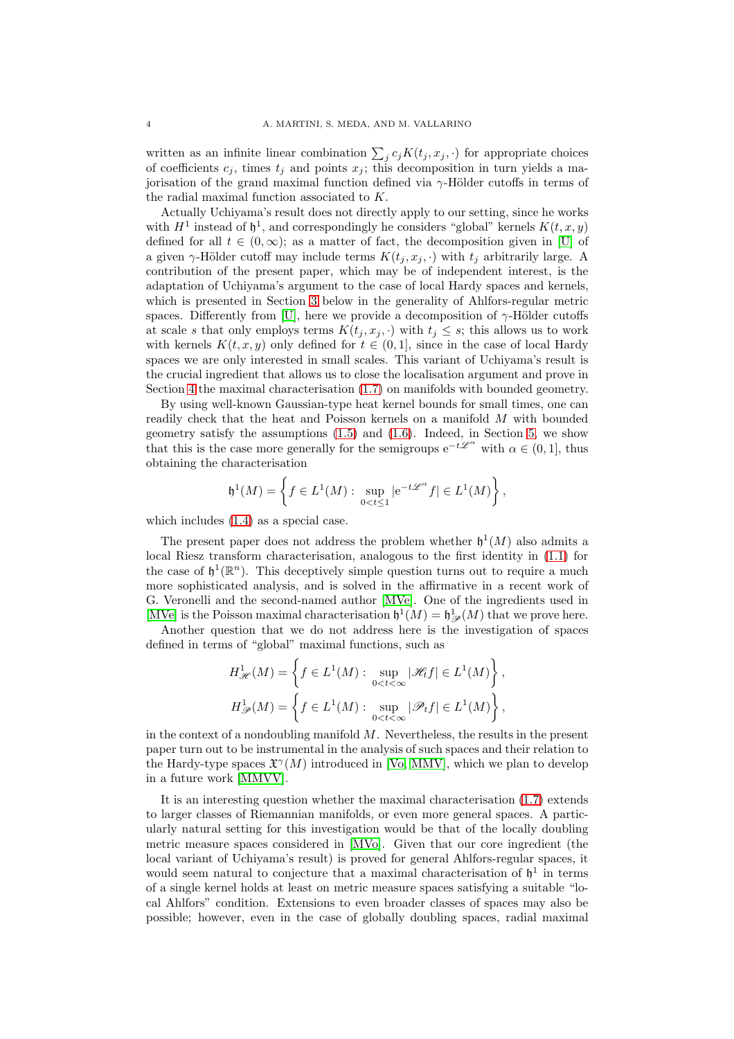written as an infinite linear combination  $\sum_j c_j K(t_j, x_j, \cdot)$  for appropriate choices of coefficients  $c_i$ , times  $t_i$  and points  $x_i$ ; this decomposition in turn yields a majorisation of the grand maximal function defined via  $\gamma$ -Hölder cutoffs in terms of the radial maximal function associated to K.

Actually Uchiyama's result does not directly apply to our setting, since he works with  $H^1$  instead of  $\mathfrak{h}^1$ , and correspondingly he considers "global" kernels  $K(t, x, y)$ defined for all  $t \in (0,\infty)$ ; as a matter of fact, the decomposition given in [\[U\]](#page-30-8) of a given  $\gamma$ -Hölder cutoff may include terms  $K(t_j, x_j, \cdot)$  with  $t_j$  arbitrarily large. A contribution of the present paper, which may be of independent interest, is the adaptation of Uchiyama's argument to the case of local Hardy spaces and kernels, which is presented in Section [3](#page-7-1) below in the generality of Ahlfors-regular metric spaces. Differently from [\[U\]](#page-30-8), here we provide a decomposition of  $\gamma$ -Hölder cutoffs at scale s that only employs terms  $K(t_i, x_i, \cdot)$  with  $t_i \leq s$ ; this allows us to work with kernels  $K(t, x, y)$  only defined for  $t \in (0, 1]$ , since in the case of local Hardy spaces we are only interested in small scales. This variant of Uchiyama's result is the crucial ingredient that allows us to close the localisation argument and prove in Section [4](#page-17-0) the maximal characterisation [\(1.7\)](#page-2-2) on manifolds with bounded geometry.

By using well-known Gaussian-type heat kernel bounds for small times, one can readily check that the heat and Poisson kernels on a manifold M with bounded geometry satisfy the assumptions  $(1.5)$  and  $(1.6)$ . Indeed, in Section [5,](#page-26-0) we show that this is the case more generally for the semigroups  $e^{-t\mathscr{L}^{\alpha}}$  with  $\alpha \in (0,1]$ , thus obtaining the characterisation

$$
\mathfrak h^1(M)=\left\{f\in L^1(M):\ \sup_{0
$$

which includes [\(1.4\)](#page-1-0) as a special case.

The present paper does not address the problem whether  $\mathfrak{h}^1(M)$  also admits a local Riesz transform characterisation, analogous to the first identity in [\(1.1\)](#page-0-0) for the case of  $\mathfrak{h}^1(\mathbb{R}^n)$ . This deceptively simple question turns out to require a much more sophisticated analysis, and is solved in the affirmative in a recent work of G. Veronelli and the second-named author [\[MVe\]](#page-30-9). One of the ingredients used in [\[MVe\]](#page-30-9) is the Poisson maximal characterisation  $\mathfrak{h}^1(M) = \mathfrak{h}^1_{\mathscr{P}}(M)$  that we prove here.

Another question that we do not address here is the investigation of spaces defined in terms of "global" maximal functions, such as

$$
\begin{split} &H^1_{\mathscr{H}}(M)=\left\{f\in L^1(M):\sup_{0
$$

in the context of a nondoubling manifold  $M$ . Nevertheless, the results in the present paper turn out to be instrumental in the analysis of such spaces and their relation to the Hardy-type spaces  $\mathfrak{X}^{\gamma}(M)$  introduced in [\[Vo,](#page-30-6) [MMV\]](#page-30-10), which we plan to develop in a future work [\[MMVV\]](#page-30-11).

It is an interesting question whether the maximal characterisation [\(1.7\)](#page-2-2) extends to larger classes of Riemannian manifolds, or even more general spaces. A particularly natural setting for this investigation would be that of the locally doubling metric measure spaces considered in [\[MVo\]](#page-30-7). Given that our core ingredient (the local variant of Uchiyama's result) is proved for general Ahlfors-regular spaces, it would seem natural to conjecture that a maximal characterisation of  $\mathfrak{h}^1$  in terms of a single kernel holds at least on metric measure spaces satisfying a suitable "local Ahlfors" condition. Extensions to even broader classes of spaces may also be possible; however, even in the case of globally doubling spaces, radial maximal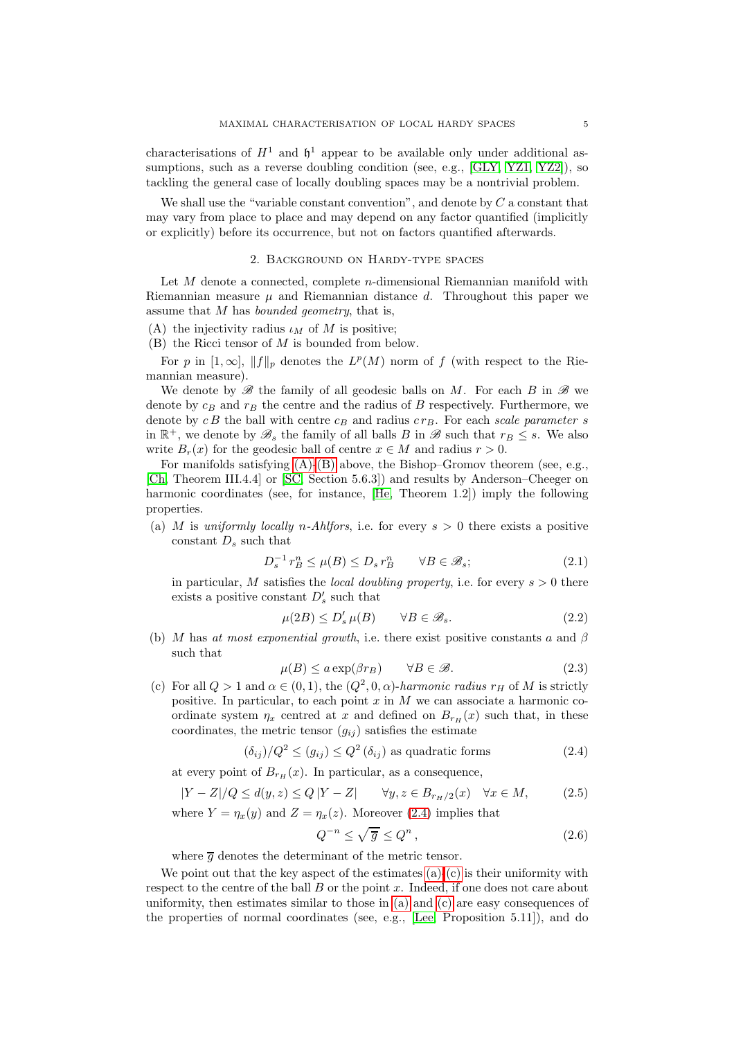characterisations of  $H^1$  and  $\mathfrak{h}^1$  appear to be available only under additional as-sumptions, such as a reverse doubling condition (see, e.g., [\[GLY,](#page-30-12) [YZ1,](#page-30-3) [YZ2\]](#page-30-13)), so tackling the general case of locally doubling spaces may be a nontrivial problem.

We shall use the "variable constant convention", and denote by  $C$  a constant that may vary from place to place and may depend on any factor quantified (implicitly or explicitly) before its occurrence, but not on factors quantified afterwards.

### 2. Background on Hardy-type spaces

<span id="page-4-0"></span>Let  $M$  denote a connected, complete  $n$ -dimensional Riemannian manifold with Riemannian measure  $\mu$  and Riemannian distance d. Throughout this paper we assume that  $M$  has *bounded geometry*, that is,

- <span id="page-4-2"></span><span id="page-4-1"></span>(A) the injectivity radius  $\iota_M$  of M is positive;
- (B) the Ricci tensor of M is bounded from below.

For p in  $[1,\infty]$ ,  $||f||_p$  denotes the  $L^p(M)$  norm of f (with respect to the Riemannian measure).

We denote by  $\mathscr{B}$  the family of all geodesic balls on M. For each B in  $\mathscr{B}$  we denote by  $c_B$  and  $r_B$  the centre and the radius of B respectively. Furthermore, we denote by  $c B$  the ball with centre  $c_B$  and radius  $c r_B$ . For each scale parameter s in  $\mathbb{R}^+$ , we denote by  $\mathscr{B}_s$  the family of all balls B in  $\mathscr{B}$  such that  $r_B \leq s$ . We also write  $B_r(x)$  for the geodesic ball of centre  $x \in M$  and radius  $r > 0$ .

For manifolds satisfying [\(A\)-](#page-4-1)[\(B\)](#page-4-2) above, the Bishop–Gromov theorem (see, e.g., [\[Ch,](#page-30-14) Theorem III.4.4] or [\[SC,](#page-30-15) Section 5.6.3]) and results by Anderson–Cheeger on harmonic coordinates (see, for instance, [\[He,](#page-30-16) Theorem 1.2]) imply the following properties.

<span id="page-4-4"></span>(a) M is uniformly locally n-Ahlfors, i.e. for every  $s > 0$  there exists a positive constant  $D_s$  such that

$$
D_s^{-1} r_B^n \le \mu(B) \le D_s r_B^n \qquad \forall B \in \mathcal{B}_s; \tag{2.1}
$$

in particular, M satisfies the *local doubling property*, i.e. for every  $s > 0$  there exists a positive constant  $D'_s$  such that

$$
\mu(2B) \le D_s' \,\mu(B) \qquad \forall B \in \mathcal{B}_s. \tag{2.2}
$$

(b) M has at most exponential growth, i.e. there exist positive constants a and  $\beta$ such that

<span id="page-4-6"></span>
$$
\mu(B) \le a \exp(\beta r_B) \qquad \forall B \in \mathcal{B}.\tag{2.3}
$$

<span id="page-4-5"></span>(c) For all  $Q > 1$  and  $\alpha \in (0, 1)$ , the  $(Q^2, 0, \alpha)$ -harmonic radius  $r_H$  of M is strictly positive. In particular, to each point  $x$  in  $M$  we can associate a harmonic coordinate system  $\eta_x$  centred at x and defined on  $B_{r_H}(x)$  such that, in these coordinates, the metric tensor  $(g_{ij})$  satisfies the estimate

<span id="page-4-3"></span>
$$
(\delta_{ij})/Q^2 \le (g_{ij}) \le Q^2 \left(\delta_{ij}\right) \text{ as quadratic forms } (2.4)
$$

at every point of  $B_{r_H}(x)$ . In particular, as a consequence,

$$
|Y - Z|/Q \le d(y, z) \le Q|Y - Z| \qquad \forall y, z \in B_{r_H/2}(x) \quad \forall x \in M,
$$
\n
$$
(2.5)
$$

where  $Y = \eta_x(y)$  and  $Z = \eta_x(z)$ . Moreover [\(2.4\)](#page-4-3) implies that

$$
Q^{-n} \le \sqrt{\overline{g}} \le Q^n \,,\tag{2.6}
$$

where  $\overline{g}$  denotes the determinant of the metric tensor.

We point out that the key aspect of the estimates  $(a)-(c)$  $(a)-(c)$  is their uniformity with respect to the centre of the ball  $B$  or the point  $x$ . Indeed, if one does not care about uniformity, then estimates similar to those in [\(a\)](#page-4-4) and [\(c\)](#page-4-5) are easy consequences of the properties of normal coordinates (see, e.g., [\[Lee,](#page-30-17) Proposition 5.11]), and do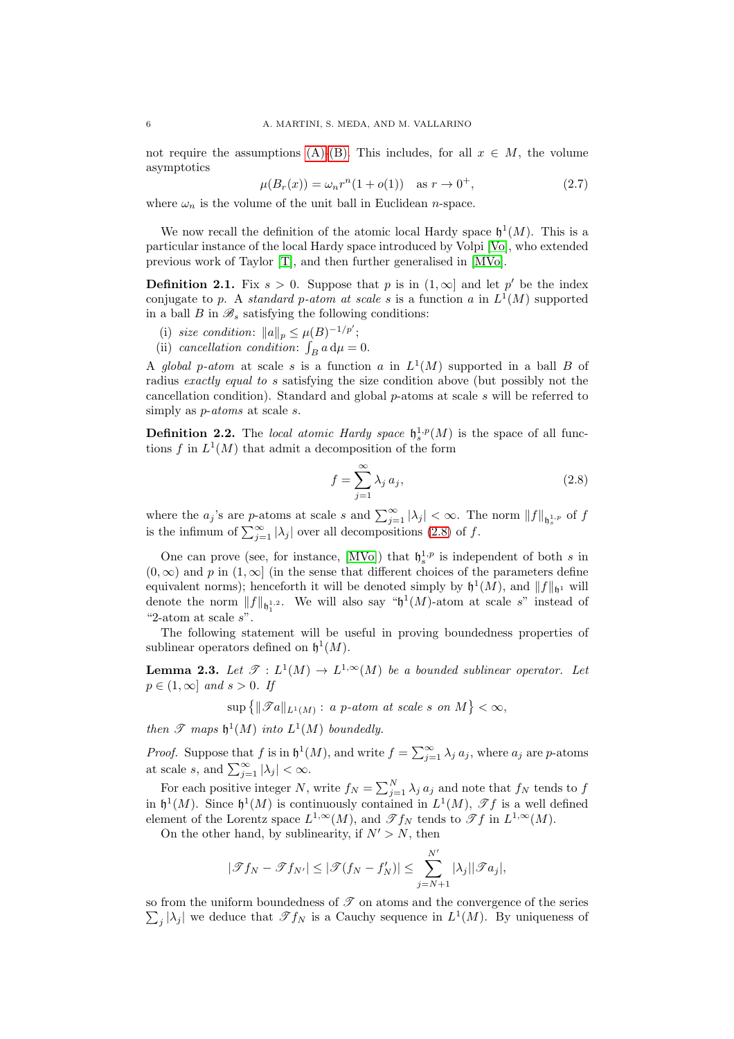not require the assumptions [\(A\)-](#page-4-1)[\(B\).](#page-4-2) This includes, for all  $x \in M$ , the volume asymptotics

> <span id="page-5-1"></span> $\mu(B_r(x)) = \omega_n r^n (1 + o(1)) \text{ as } r \to 0$  $(2.7)$

where  $\omega_n$  is the volume of the unit ball in Euclidean *n*-space.

We now recall the definition of the atomic local Hardy space  $\mathfrak{h}^1(M)$ . This is a particular instance of the local Hardy space introduced by Volpi [\[Vo\]](#page-30-6), who extended previous work of Taylor [\[T\]](#page-30-5), and then further generalised in [\[MVo\]](#page-30-7).

**Definition 2.1.** Fix  $s > 0$ . Suppose that p is in  $(1, \infty]$  and let p' be the index conjugate to p. A standard p-atom at scale s is a function a in  $L^1(M)$  supported in a ball  $B$  in  $\mathscr{B}_s$  satisfying the following conditions:

- (i) size condition:  $||a||_p \leq \mu(B)^{-1/p'}$ ;
- (ii) cancellation condition:  $\int_B a d\mu = 0$ .

A global p-atom at scale s is a function a in  $L^1(M)$  supported in a ball B of radius exactly equal to s satisfying the size condition above (but possibly not the cancellation condition). Standard and global p-atoms at scale s will be referred to simply as *p*-*atoms* at scale *s*.

**Definition 2.2.** The local atomic Hardy space  $\mathfrak{h}_s^{1,p}(M)$  is the space of all functions f in  $L^1(M)$  that admit a decomposition of the form

<span id="page-5-0"></span>
$$
f = \sum_{j=1}^{\infty} \lambda_j a_j,
$$
\n(2.8)

where the  $a_j$ 's are p-atoms at scale s and  $\sum_{j=1}^{\infty} |\lambda_j| < \infty$ . The norm  $||f||_{\mathfrak{h}_s^{1,p}}$  of f is the infimum of  $\sum_{j=1}^{\infty} |\lambda_j|$  over all decompositions [\(2.8\)](#page-5-0) of f.

One can prove (see, for instance, [\[MVo\]](#page-30-7)) that  $\mathfrak{h}_s^{1,p}$  is independent of both s in  $(0, \infty)$  and p in  $(1, \infty)$  (in the sense that different choices of the parameters define equivalent norms); henceforth it will be denoted simply by  $\mathfrak{h}^1(M)$ , and  $||f||_{\mathfrak{h}^1}$  will denote the norm  $||f||_{\mathfrak{h}_1^{1,2}}$ . We will also say " $\mathfrak{h}^1(M)$ -atom at scale s" instead of "2-atom at scale s".

The following statement will be useful in proving boundedness properties of sublinear operators defined on  $\mathfrak{h}^1(M)$ .

<span id="page-5-2"></span>**Lemma 2.3.** Let  $\mathscr{T}: L^1(M) \to L^{1,\infty}(M)$  be a bounded sublinear operator. Let  $p \in (1,\infty]$  and  $s > 0$ . If

 $\sup \left\{ \|\mathscr{T}a\|_{L^1(M)}:\ a\ p\text{-atom at scale }s\ \text{on}\ M\right\}<\infty,$ 

then  $\mathscr T$  maps  $\mathfrak h^1(M)$  into  $L^1(M)$  boundedly.

*Proof.* Suppose that f is in  $\mathfrak{h}^1(M)$ , and write  $f = \sum_{j=1}^{\infty} \lambda_j a_j$ , where  $a_j$  are p-atoms at scale s, and  $\sum_{j=1}^{\infty} |\lambda_j| < \infty$ .

For each positive integer N, write  $f_N = \sum_{j=1}^N \lambda_j a_j$  and note that  $f_N$  tends to  $f$ in  $\mathfrak{h}^1(M)$ . Since  $\mathfrak{h}^1(M)$  is continuously contained in  $L^1(M)$ ,  $\mathscr{T}f$  is a well defined element of the Lorentz space  $L^{1,\infty}(M)$ , and  $\mathscr{T} f_N$  tends to  $\mathscr{T} f$  in  $L^{1,\infty}(M)$ .

On the other hand, by sublinearity, if  $N' > N$ , then

$$
|\mathscr{T} f_N - \mathscr{T} f_{N'}| \leq |\mathscr{T} (f_N - f'_N)| \leq \sum_{j=N+1}^{N'} |\lambda_j| |\mathscr{T} a_j|,
$$

so from the uniform boundedness of  $\mathscr T$  on atoms and the convergence of the series  $\sum_j |\lambda_j|$  we deduce that  $\mathscr{T} f_N$  is a Cauchy sequence in  $L^1(M)$ . By uniqueness of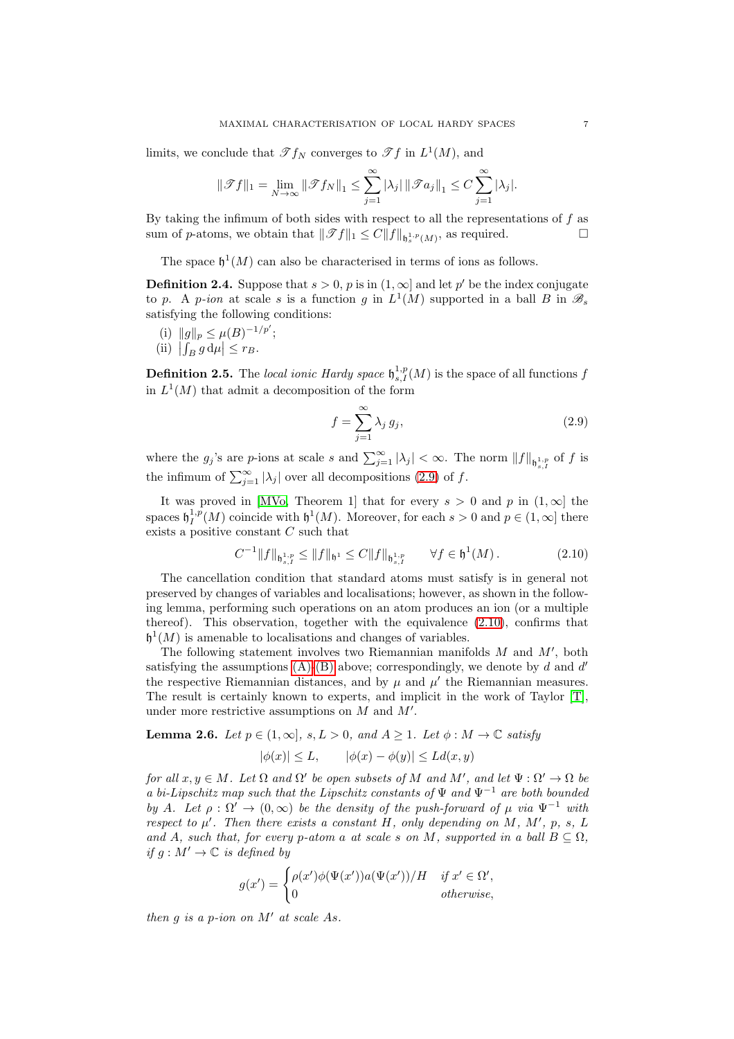limits, we conclude that  $\mathscr{T} f_N$  converges to  $\mathscr{T} f$  in  $L^1(M)$ , and

$$
\|\mathscr{T}f\|_1 = \lim_{N \to \infty} \|\mathscr{T}f_N\|_1 \le \sum_{j=1}^{\infty} |\lambda_j| \|\mathscr{T}a_j\|_1 \le C \sum_{j=1}^{\infty} |\lambda_j|.
$$

By taking the infimum of both sides with respect to all the representations of  $f$  as sum of *p*-atoms, we obtain that  $||\mathscr{T}f||_1 \leq C||f||_{\mathfrak{h}^{1,p}_s(M)}$ , as required.

The space  $\mathfrak{h}^1(M)$  can also be characterised in terms of ions as follows.

<span id="page-6-3"></span>**Definition 2.4.** Suppose that  $s > 0$ , p is in  $(1, \infty)$  and let p' be the index conjugate to p. A p-ion at scale s is a function g in  $L^1(M)$  supported in a ball B in  $\mathscr{B}_s$ satisfying the following conditions:

- <span id="page-6-4"></span><span id="page-6-2"></span>(i)  $||g||_p \leq \mu(B)^{-1/p'};$
- (ii)  $\left| \int_B g \, d\mu \right| \leq r_B$ .

**Definition 2.5.** The local ionic Hardy space  $\mathfrak{h}_{s,I}^{1,p}(M)$  is the space of all functions f in  $L^1(M)$  that admit a decomposition of the form

<span id="page-6-0"></span>
$$
f = \sum_{j=1}^{\infty} \lambda_j g_j,
$$
\n(2.9)

where the  $g_j$ 's are p-ions at scale s and  $\sum_{j=1}^{\infty} |\lambda_j| < \infty$ . The norm  $||f||_{\mathfrak{h}_{s,I}^{1,p}}$  of f is the infimum of  $\sum_{j=1}^{\infty} |\lambda_j|$  over all decompositions [\(2.9\)](#page-6-0) of f.

It was proved in [\[MVo,](#page-30-7) Theorem 1] that for every  $s > 0$  and p in  $(1, \infty]$  the spaces  $\mathfrak{h}^{1,p}_I(M)$  coincide with  $\mathfrak{h}^1(M)$ . Moreover, for each  $s > 0$  and  $p \in (1,\infty]$  there exists a positive constant C such that

<span id="page-6-1"></span>
$$
C^{-1}||f||_{\mathfrak{h}^{1,p}_{s,I}} \le ||f||_{\mathfrak{h}^1} \le C||f||_{\mathfrak{h}^{1,p}_{s,I}} \qquad \forall f \in \mathfrak{h}^1(M). \tag{2.10}
$$

The cancellation condition that standard atoms must satisfy is in general not preserved by changes of variables and localisations; however, as shown in the following lemma, performing such operations on an atom produces an ion (or a multiple thereof). This observation, together with the equivalence [\(2.10\)](#page-6-1), confirms that  $\mathfrak{h}^1(M)$  is amenable to localisations and changes of variables.

The following statement involves two Riemannian manifolds M and M′ , both satisfying the assumptions  $(A)$ - $(B)$  above; correspondingly, we denote by d and d' the respective Riemannian distances, and by  $\mu$  and  $\mu'$  the Riemannian measures. The result is certainly known to experts, and implicit in the work of Taylor [\[T\]](#page-30-5), under more restrictive assumptions on  $M$  and  $M'$ .

<span id="page-6-5"></span>**Lemma 2.6.** Let  $p \in (1,\infty]$ ,  $s, L > 0$ , and  $A \geq 1$ . Let  $\phi : M \to \mathbb{C}$  satisfy

$$
|\phi(x)| \le L, \qquad |\phi(x) - \phi(y)| \le Ld(x, y)
$$

for all  $x, y \in M$ . Let  $\Omega$  and  $\Omega'$  be open subsets of M and M', and let  $\Psi : \Omega' \to \Omega$  be a bi-Lipschitz map such that the Lipschitz constants of  $\Psi$  and  $\Psi^{-1}$  are both bounded by A. Let  $\rho : \Omega' \to (0,\infty)$  be the density of the push-forward of  $\mu$  via  $\Psi^{-1}$  with respect to  $\mu'$ . Then there exists a constant H, only depending on M, M', p, s, L and A, such that, for every p-atom a at scale s on M, supported in a ball  $B \subseteq \Omega$ , if  $g : M' \to \mathbb{C}$  is defined by

$$
g(x') = \begin{cases} \rho(x')\phi(\Psi(x'))a(\Psi(x'))/H & \text{if } x' \in \Omega', \\ 0 & \text{otherwise,} \end{cases}
$$

then  $q$  is a p-ion on  $M'$  at scale As.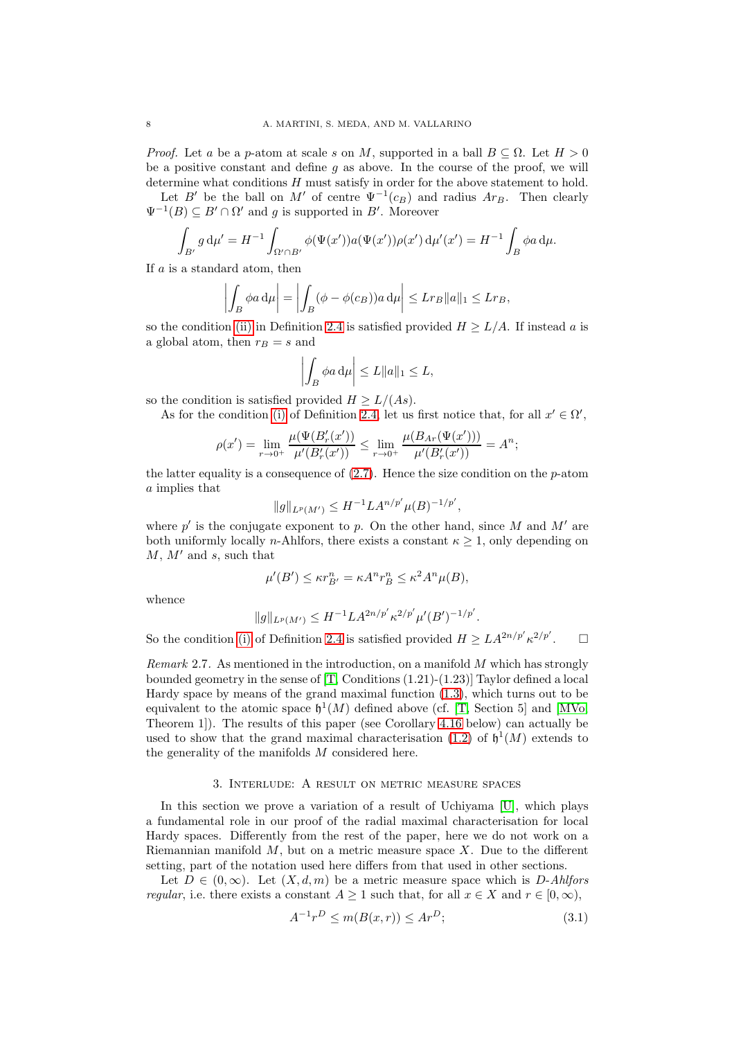*Proof.* Let a be a p-atom at scale s on M, supported in a ball  $B \subseteq \Omega$ . Let  $H > 0$ be a positive constant and define  $g$  as above. In the course of the proof, we will determine what conditions  $H$  must satisfy in order for the above statement to hold.

Let B' be the ball on M' of centre  $\Psi^{-1}(c_B)$  and radius  $Ar_B$ . Then clearly  $\Psi^{-1}(B) \subseteq B' \cap \Omega'$  and g is supported in B'. Moreover

$$
\int_{B'} g \, d\mu' = H^{-1} \int_{\Omega' \cap B'} \phi(\Psi(x')) a(\Psi(x')) \rho(x') \, d\mu'(x') = H^{-1} \int_B \phi a \, d\mu.
$$

If a is a standard atom, then

$$
\left| \int_B \phi a \, \mathrm{d}\mu \right| = \left| \int_B (\phi - \phi(c_B)) a \, \mathrm{d}\mu \right| \leq L r_B ||a||_1 \leq L r_B,
$$

so the condition [\(ii\)](#page-6-2) in Definition [2.4](#page-6-3) is satisfied provided  $H \geq L/A$ . If instead a is a global atom, then  $r_B = s$  and

$$
\left| \int_B \phi a \, \mathrm{d}\mu \right| \leq L \|a\|_1 \leq L,
$$

so the condition is satisfied provided  $H > L/(As)$ .

As for the condition [\(i\)](#page-6-4) of Definition [2.4,](#page-6-3) let us first notice that, for all  $x' \in \Omega'$ ,

$$
\rho(x') = \lim_{r \to 0^+} \frac{\mu(\Psi(B'_r(x'))}{\mu'(B'_r(x'))} \le \lim_{r \to 0^+} \frac{\mu(B_{Ar}(\Psi(x')))}{\mu'(B'_r(x'))} = A^n;
$$

the latter equality is a consequence of  $(2.7)$ . Hence the size condition on the p-atom a implies that

$$
||g||_{L^p(M')} \leq H^{-1}LA^{n/p'}\mu(B)^{-1/p'},
$$

where  $p'$  is the conjugate exponent to p. On the other hand, since M and M' are both uniformly locally *n*-Ahlfors, there exists a constant  $\kappa \geq 1$ , only depending on  $M, M'$  and s, such that

$$
\mu'(B') \le \kappa r_{B'}^n = \kappa A^n r_B^n \le \kappa^2 A^n \mu(B),
$$

whence

$$
||g||_{L^p(M')} \leq H^{-1}LA^{2n/p'}\kappa^{2/p'}\mu'(B')^{-1/p'}.
$$

So the condition [\(i\)](#page-6-4) of Definition [2.4](#page-6-3) is satisfied provided  $H \geq LA^{2n/p'}\kappa^{2/p'}$  $\Box$ 

<span id="page-7-0"></span>*Remark* 2.7. As mentioned in the introduction, on a manifold  $M$  which has strongly bounded geometry in the sense of  $[T,$  Conditions  $(1.21)-(1.23)]$  Taylor defined a local Hardy space by means of the grand maximal function [\(1.3\)](#page-1-1), which turns out to be equivalent to the atomic space  $\mathfrak{h}^1(M)$  defined above (cf. [\[T,](#page-30-5) Section 5] and [\[MVo,](#page-30-7) Theorem 1]). The results of this paper (see Corollary [4.16](#page-25-0) below) can actually be used to show that the grand maximal characterisation [\(1.2\)](#page-1-2) of  $\mathfrak{h}^1(M)$  extends to the generality of the manifolds M considered here.

#### 3. Interlude: A result on metric measure spaces

<span id="page-7-1"></span>In this section we prove a variation of a result of Uchiyama [\[U\]](#page-30-8), which plays a fundamental role in our proof of the radial maximal characterisation for local Hardy spaces. Differently from the rest of the paper, here we do not work on a Riemannian manifold  $M$ , but on a metric measure space  $X$ . Due to the different setting, part of the notation used here differs from that used in other sections.

Let  $D \in (0,\infty)$ . Let  $(X,d,m)$  be a metric measure space which is D-Ahlfors *regular*, i.e. there exists a constant  $A \ge 1$  such that, for all  $x \in X$  and  $r \in [0, \infty)$ ,

<span id="page-7-2"></span>
$$
A^{-1}r^{D} \le m(B(x,r)) \le Ar^{D};\tag{3.1}
$$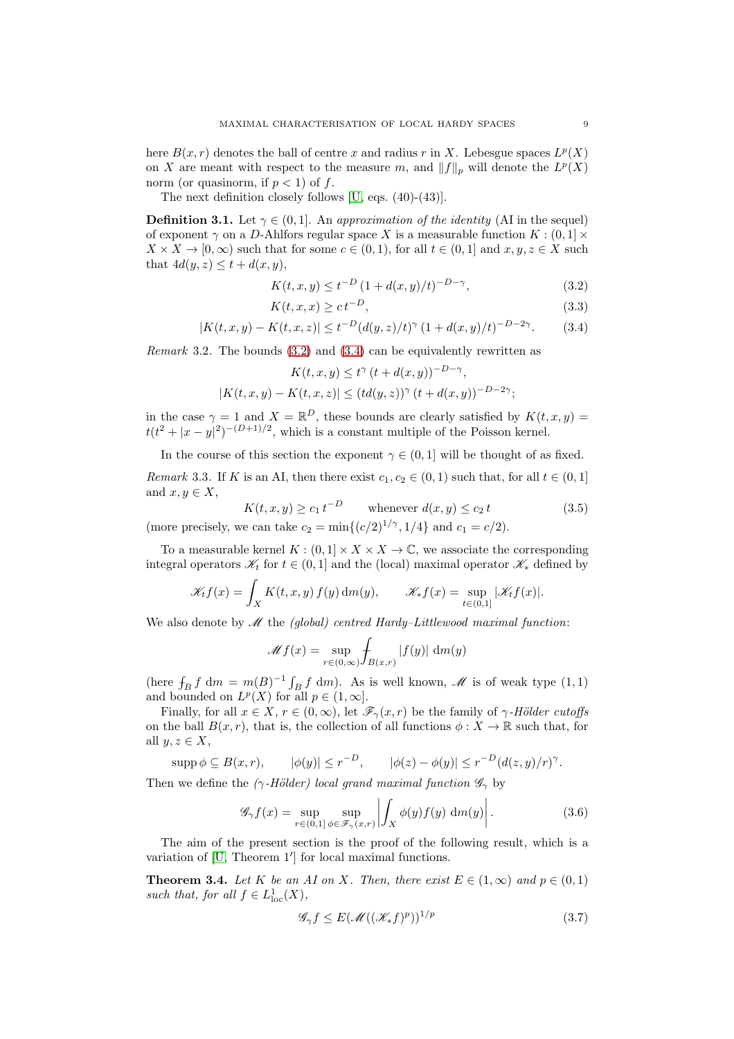here  $B(x, r)$  denotes the ball of centre x and radius r in X. Lebesgue spaces  $L^p(X)$ on X are meant with respect to the measure m, and  $||f||_p$  will denote the  $L^p(X)$ norm (or quasinorm, if  $p < 1$ ) of f.

The next definition closely follows [\[U,](#page-30-8) eqs. (40)-(43)].

<span id="page-8-3"></span>**Definition 3.1.** Let  $\gamma \in (0, 1]$ . An approximation of the identity (AI in the sequel) of exponent  $\gamma$  on a D-Ahlfors regular space X is a measurable function  $K : (0,1] \times$  $X \times X \to [0, \infty)$  such that for some  $c \in (0, 1)$ , for all  $t \in (0, 1]$  and  $x, y, z \in X$  such that  $4d(y, z) \leq t + d(x, y)$ ,

<span id="page-8-1"></span><span id="page-8-0"></span>
$$
K(t, x, y) \le t^{-D} (1 + d(x, y)/t)^{-D - \gamma},
$$
\n(3.2)

$$
K(t, x, x) \geq ct^{-D},\tag{3.3}
$$

$$
|K(t, x, y) - K(t, x, z)| \le t^{-D} (d(y, z)/t)^{\gamma} (1 + d(x, y)/t)^{-D - 2\gamma}.
$$
 (3.4)

Remark 3.2. The bounds [\(3.2\)](#page-8-0) and [\(3.4\)](#page-8-1) can be equivalently rewritten as

$$
K(t, x, y) \le t^{\gamma} (t + d(x, y))^{-D - \gamma},
$$
  

$$
|K(t, x, y) - K(t, x, z)| \le (td(y, z))^{\gamma} (t + d(x, y))^{-D - 2\gamma};
$$

in the case  $\gamma = 1$  and  $X = \mathbb{R}^D$ , these bounds are clearly satisfied by  $K(t, x, y) =$  $t(t^2 + |x - y|^2)^{-(D+1)/2}$ , which is a constant multiple of the Poisson kernel.

In the course of this section the exponent  $\gamma \in (0,1]$  will be thought of as fixed.

Remark 3.3. If K is an AI, then there exist  $c_1, c_2 \in (0, 1)$  such that, for all  $t \in (0, 1]$ and  $x, y \in X$ ,

<span id="page-8-5"></span>
$$
K(t, x, y) \ge c_1 t^{-D} \qquad \text{whenever } d(x, y) \le c_2 t \tag{3.5}
$$

(more precisely, we can take  $c_2 = \min\{(c/2)^{1/\gamma}, 1/4\}$  and  $c_1 = c/2$ ).

To a measurable kernel  $K : (0,1] \times X \times X \to \mathbb{C}$ , we associate the corresponding integral operators  $\mathcal{K}_t$  for  $t \in (0, 1]$  and the (local) maximal operator  $\mathcal{K}_*$  defined by

$$
\mathscr{K}_t f(x) = \int_X K(t, x, y) f(y) dm(y), \qquad \mathscr{K}_t f(x) = \sup_{t \in (0, 1]} |\mathscr{K}_t f(x)|.
$$

We also denote by  $\mathcal M$  the *(global) centred Hardy–Littlewood maximal function*:

$$
\mathscr{M} f(x) = \sup_{r \in (0,\infty)} \int_{B(x,r)} |f(y)| \ \mathrm{d} m(y)
$$

(here  $\int_B f \, dm = m(B)^{-1} \int_B f \, dm$ ). As is well known,  $\mathcal M$  is of weak type  $(1,1)$ and bounded on  $L^p(X)$  for all  $p \in (1, \infty]$ .

Finally, for all  $x \in X$ ,  $r \in (0,\infty)$ , let  $\mathscr{F}_{\gamma}(x,r)$  be the family of  $\gamma$ -Hölder cutoffs on the ball  $B(x, r)$ , that is, the collection of all functions  $\phi: X \to \mathbb{R}$  such that, for all  $y, z \in X$ ,

$$
\operatorname{supp} \phi \subseteq B(x, r), \qquad |\phi(y)| \le r^{-D}, \qquad |\phi(z) - \phi(y)| \le r^{-D} (d(z, y)/r)^{\gamma}.
$$

Then we define the ( $\gamma$ -Hölder) local grand maximal function  $\mathscr{G}_{\gamma}$  by

<span id="page-8-6"></span>
$$
\mathscr{G}_{\gamma}f(x) = \sup_{r \in (0,1]} \sup_{\phi \in \mathscr{F}_{\gamma}(x,r)} \left| \int_{X} \phi(y)f(y) \, \mathrm{d}m(y) \right|.
$$
 (3.6)

The aim of the present section is the proof of the following result, which is a variation of [\[U,](#page-30-8) Theorem 1′ ] for local maximal functions.

<span id="page-8-2"></span>**Theorem 3.4.** Let K be an AI on X. Then, there exist  $E \in (1,\infty)$  and  $p \in (0,1)$ such that, for all  $f \in L^1_{loc}(X)$ ,

<span id="page-8-4"></span>
$$
\mathcal{G}_{\gamma}f \le E(\mathcal{M}((\mathcal{K}_*f)^p))^{1/p} \tag{3.7}
$$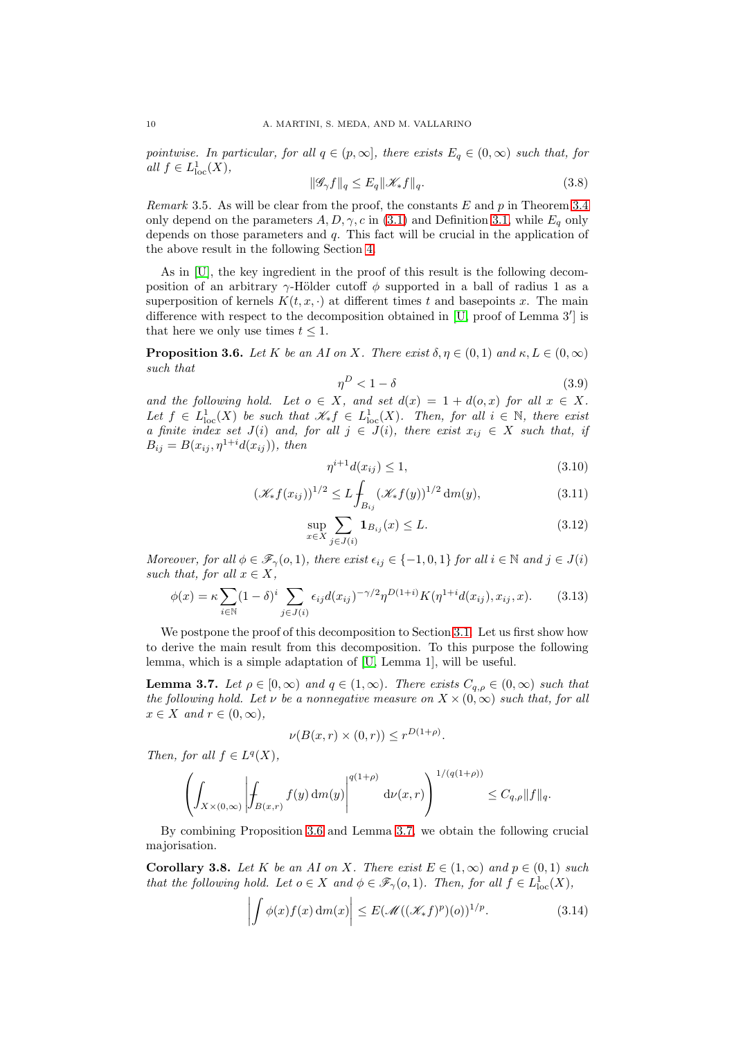pointwise. In particular, for all  $q \in (p, \infty]$ , there exists  $E_q \in (0, \infty)$  such that, for all  $f \in L^1_{\text{loc}}(X)$ ,

<span id="page-9-8"></span>
$$
\|\mathcal{G}_{\gamma}f\|_{q} \le E_{q} \|\mathcal{K}_{*}f\|_{q}.
$$
\n(3.8)

Remark 3.5. As will be clear from the proof, the constants  $E$  and  $p$  in Theorem [3.4](#page-8-2) only depend on the parameters  $A, D, \gamma, c$  in [\(3.1\)](#page-7-2) and Definition [3.1,](#page-8-3) while  $E_q$  only depends on those parameters and  $q$ . This fact will be crucial in the application of the above result in the following Section [4.](#page-17-0)

As in [\[U\]](#page-30-8), the key ingredient in the proof of this result is the following decomposition of an arbitrary  $\gamma$ -Hölder cutoff  $\phi$  supported in a ball of radius 1 as a superposition of kernels  $K(t, x, \cdot)$  at different times t and basepoints x. The main difference with respect to the decomposition obtained in [\[U,](#page-30-8) proof of Lemma 3′ ] is that here we only use times  $t \leq 1$ .

<span id="page-9-0"></span>**Proposition 3.6.** Let K be an AI on X. There exist  $\delta, \eta \in (0,1)$  and  $\kappa, L \in (0,\infty)$ such that

<span id="page-9-4"></span>
$$
\eta^D < 1 - \delta \tag{3.9}
$$

and the following hold. Let  $o \in X$ , and set  $d(x) = 1 + d(o, x)$  for all  $x \in X$ . Let  $f \in L^1_{loc}(X)$  be such that  $\mathscr{K}_* f \in L^1_{loc}(X)$ . Then, for all  $i \in \mathbb{N}$ , there exist a finite index set  $J(i)$  and, for all  $j \in J(i)$ , there exist  $x_{ij} \in X$  such that, if  $B_{ij} = B(x_{ij}, \eta^{1+i} d(x_{ij}))$ , then

<span id="page-9-9"></span><span id="page-9-5"></span><span id="page-9-3"></span>
$$
\eta^{i+1}d(x_{ij}) \le 1,\t\t(3.10)
$$

$$
(\mathscr{K}_*f(x_{ij}))^{1/2} \le L \int_{B_{ij}} (\mathscr{K}_*f(y))^{1/2} dm(y), \tag{3.11}
$$

$$
\sup_{x \in X} \sum_{j \in J(i)} \mathbf{1}_{B_{ij}}(x) \le L. \tag{3.12}
$$

Moreover, for all  $\phi \in \mathscr{F}_{\gamma}(o,1)$ , there exist  $\epsilon_{ij} \in \{-1,0,1\}$  for all  $i \in \mathbb{N}$  and  $j \in J(i)$ such that, for all  $x \in X$ ,

<span id="page-9-2"></span>
$$
\phi(x) = \kappa \sum_{i \in \mathbb{N}} (1 - \delta)^i \sum_{j \in J(i)} \epsilon_{ij} d(x_{ij})^{-\gamma/2} \eta^{D(1+i)} K(\eta^{1+i} d(x_{ij}), x_{ij}, x). \tag{3.13}
$$

We postpone the proof of this decomposition to Section [3.1.](#page-11-0) Let us first show how to derive the main result from this decomposition. To this purpose the following lemma, which is a simple adaptation of [\[U,](#page-30-8) Lemma 1], will be useful.

<span id="page-9-1"></span>**Lemma 3.7.** Let  $\rho \in [0, \infty)$  and  $q \in (1, \infty)$ . There exists  $C_{q,\rho} \in (0, \infty)$  such that the following hold. Let  $\nu$  be a nonnegative measure on  $X \times (0, \infty)$  such that, for all  $x \in X$  and  $r \in (0, \infty)$ ,

$$
\nu(B(x,r)\times(0,r))\leq r^{D(1+\rho)}.
$$

Then, for all  $f \in L^q(X)$ ,

$$
\left(\int_{X\times(0,\infty)}\left|\int_{B(x,r)}f(y)\,\mathrm{d}m(y)\right|^{q(1+\rho)}\,\mathrm{d}\nu(x,r)\right)^{1/(q(1+\rho))}\leq C_{q,\rho}\|f\|_q.
$$

By combining Proposition [3.6](#page-9-0) and Lemma [3.7,](#page-9-1) we obtain the following crucial majorisation.

<span id="page-9-7"></span>Corollary 3.8. Let K be an AI on X. There exist  $E \in (1,\infty)$  and  $p \in (0,1)$  such that the following hold. Let  $o \in X$  and  $\phi \in \mathscr{F}_{\gamma}(o,1)$ . Then, for all  $f \in L^1_{loc}(X)$ ,

<span id="page-9-6"></span>
$$
\left| \int \phi(x) f(x) \, dm(x) \right| \le E(\mathcal{M}((\mathcal{K}_* f)^p)(o))^{1/p}.
$$
 (3.14)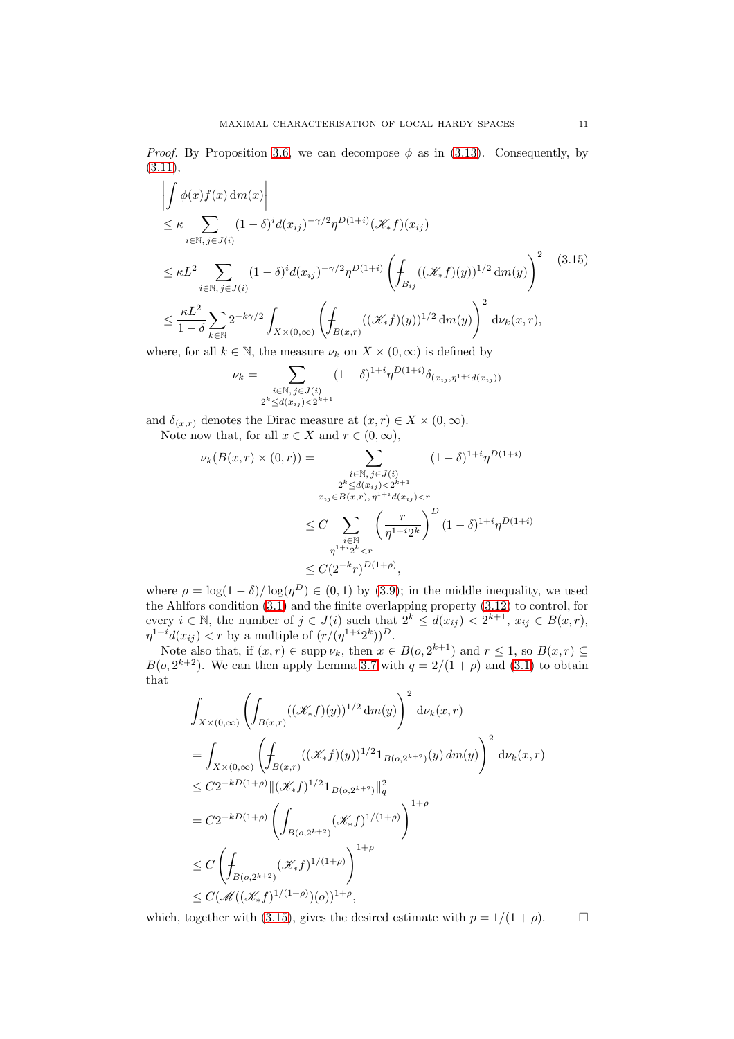*Proof.* By Proposition [3.6,](#page-9-0) we can decompose  $\phi$  as in [\(3.13\)](#page-9-2). Consequently, by  $(3.11),$  $(3.11),$ 

<span id="page-10-0"></span>
$$
\left| \int \phi(x) f(x) dm(x) \right|
$$
\n
$$
\leq \kappa \sum_{i \in \mathbb{N}, j \in J(i)} (1 - \delta)^i d(x_{ij})^{-\gamma/2} \eta^{D(1+i)} (\mathcal{K}_* f)(x_{ij})
$$
\n
$$
\leq \kappa L^2 \sum_{i \in \mathbb{N}, j \in J(i)} (1 - \delta)^i d(x_{ij})^{-\gamma/2} \eta^{D(1+i)} \left( \int_{B_{ij}} ((\mathcal{K}_* f)(y))^{1/2} dm(y) \right)^2 \quad (3.15)
$$
\n
$$
\leq \frac{\kappa L^2}{1 - \delta} \sum_{k \in \mathbb{N}} 2^{-k\gamma/2} \int_{X \times (0, \infty)} \left( \int_{B(x, r)} ((\mathcal{K}_* f)(y))^{1/2} dm(y) \right)^2 d\nu_k(x, r),
$$

where, for all  $k \in \mathbb{N}$ , the measure  $\nu_k$  on  $X \times (0, \infty)$  is defined by

$$
\nu_k = \sum_{\substack{i \in \mathbb{N}, \, j \in J(i) \\ 2^k \le d(x_{ij}) < 2^{k+1}}} (1 - \delta)^{1+i} \eta^{D(1+i)} \delta_{(x_{ij}, \eta^{1+i} d(x_{ij}))}
$$

and  $\delta_{(x,r)}$  denotes the Dirac measure at  $(x, r) \in X \times (0, \infty)$ .

Note now that, for all  $x \in X$  and  $r \in (0, \infty)$ ,<br> $\mathcal{L}(P(x, x) \times (0, x)) = \sum_{x \in X}$  $u_k(R(r, r) \times (0, r))$ 

$$
\gamma_k(B(x,r) \times (0,r)) = \sum_{\substack{i \in \mathbb{N}, j \in J(i) \\ 2^k \le d(x_{ij}) < 2^{k+1} \\ x_{ij} \in B(x,r), \eta^{1+i} d(x_{ij}) < r}} (1 - \delta)^{1+i} \eta^{D(1+i)}
$$
\n
$$
\le C \sum_{\substack{i \in \mathbb{N} \\ \eta^{1+i} 2^k < r}} \left(\frac{r}{\eta^{1+i} 2^k}\right)^D (1 - \delta)^{1+i} \eta^{D(1+i)}
$$
\n
$$
\le C(2^{-k}r)^{D(1+\rho)},
$$

where  $\rho = \log(1 - \delta) / \log(\eta^D) \in (0, 1)$  by [\(3.9\)](#page-9-4); in the middle inequality, we used the Ahlfors condition [\(3.1\)](#page-7-2) and the finite overlapping property [\(3.12\)](#page-9-5) to control, for every  $i \in \mathbb{N}$ , the number of  $j \in J(i)$  such that  $2^k \leq d(x_{ij}) < 2^{k+1}$ ,  $x_{ij} \in B(x, r)$ ,  $\eta^{1+i}d(x_{ij}) < r$  by a multiple of  $(r/(\eta^{1+i}2^k))^D$ .

Note also that, if  $(x, r) \in \text{supp } \nu_k$ , then  $x \in B(0, 2^{k+1})$  and  $r \leq 1$ , so  $B(x, r) \subseteq$  $B(o, 2^{k+2})$ . We can then apply Lemma [3.7](#page-9-1) with  $q = 2/(1 + \rho)$  and [\(3.1\)](#page-7-2) to obtain that

$$
\int_{X \times (0,\infty)} \left( \int_{B(x,r)} ((\mathcal{K}_f)(y))^{1/2} dm(y) \right)^2 d\nu_k(x,r)
$$
\n
$$
= \int_{X \times (0,\infty)} \left( \int_{B(x,r)} ((\mathcal{K}_f)(y))^{1/2} \mathbf{1}_{B(o,2^{k+2})}(y) dm(y) \right)^2 d\nu_k(x,r)
$$
\n
$$
\leq C2^{-kD(1+\rho)} \| (\mathcal{K}_f)^{1/2} \mathbf{1}_{B(o,2^{k+2})} \|_q^2
$$
\n
$$
= C2^{-kD(1+\rho)} \left( \int_{B(o,2^{k+2})} (\mathcal{K}_f)^{1/(1+\rho)} \right)^{1+\rho}
$$
\n
$$
\leq C \left( \int_{B(o,2^{k+2})} (\mathcal{K}_f)^{1/(1+\rho)} \right)^{1+\rho}
$$
\n
$$
\leq C (\mathcal{M}((\mathcal{K}_f)^{1/(1+\rho)})(o))^{1+\rho},
$$

which, together with [\(3.15\)](#page-10-0), gives the desired estimate with  $p = 1/(1 + \rho)$ .  $\Box$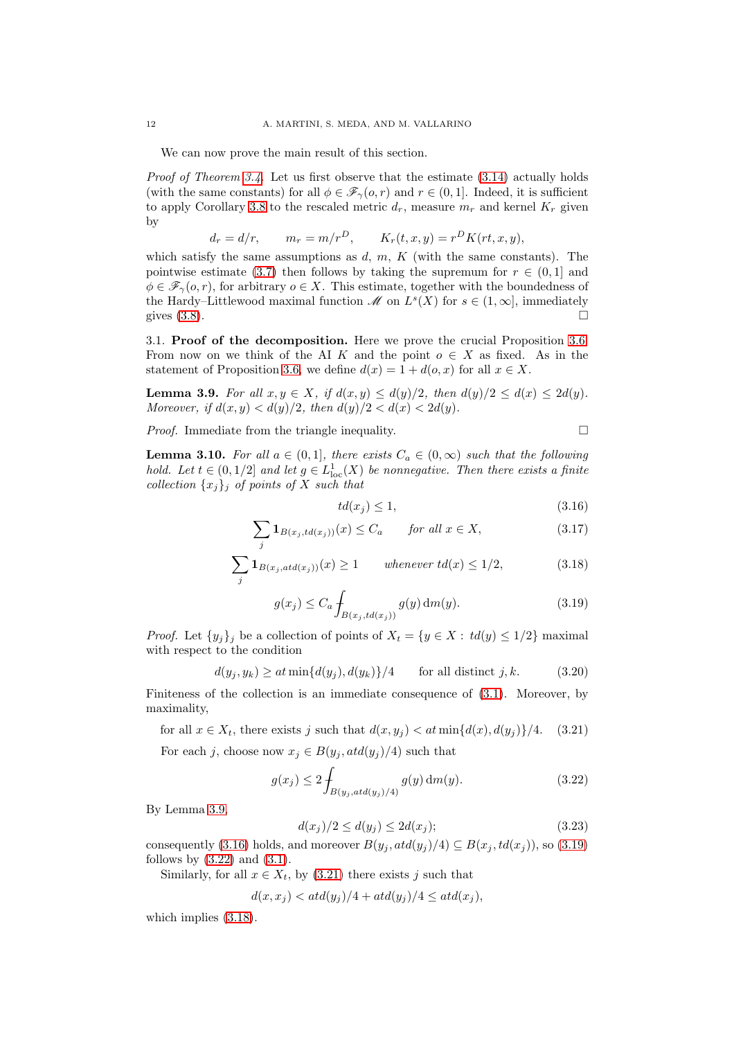We can now prove the main result of this section.

Proof of Theorem [3.4.](#page-8-2) Let us first observe that the estimate  $(3.14)$  actually holds (with the same constants) for all  $\phi \in \mathscr{F}_{\gamma}(o,r)$  and  $r \in (0,1]$ . Indeed, it is sufficient to apply Corollary [3.8](#page-9-7) to the rescaled metric  $d_r$ , measure  $m_r$  and kernel  $K_r$  given by

$$
d_r = d/r, \qquad m_r = m/r^D, \qquad K_r(t, x, y) = r^D K(rt, x, y),
$$

which satisfy the same assumptions as  $d, m, K$  (with the same constants). The pointwise estimate [\(3.7\)](#page-8-4) then follows by taking the supremum for  $r \in (0,1]$  and  $\phi \in \mathscr{F}_{\gamma}(o,r)$ , for arbitrary  $o \in X$ . This estimate, together with the boundedness of the Hardy–Littlewood maximal function  $\mathcal M$  on  $L^s(X)$  for  $s \in (1,\infty]$ , immediately gives  $(3.8)$ .

<span id="page-11-0"></span>3.1. Proof of the decomposition. Here we prove the crucial Proposition [3.6.](#page-9-0) From now on we think of the AI K and the point  $o \in X$  as fixed. As in the statement of Proposition [3.6,](#page-9-0) we define  $d(x) = 1 + d(o, x)$  for all  $x \in X$ .

<span id="page-11-1"></span>**Lemma 3.9.** For all  $x, y \in X$ , if  $d(x, y) \leq d(y)/2$ , then  $d(y)/2 \leq d(x) \leq 2d(y)$ . Moreover, if  $d(x, y) < d(y)/2$ , then  $d(y)/2 < d(x) < 2d(y)$ .

*Proof.* Immediate from the triangle inequality.  $\square$ 

<span id="page-11-10"></span>**Lemma 3.10.** For all  $a \in (0,1]$ , there exists  $C_a \in (0,\infty)$  such that the following hold. Let  $t \in (0,1/2]$  and let  $g \in L^1_{loc}(X)$  be nonnegative. Then there exists a finite collection  $\{x_j\}_j$  of points of X such that

<span id="page-11-9"></span><span id="page-11-6"></span><span id="page-11-3"></span><span id="page-11-2"></span>
$$
td(x_j) \le 1,\tag{3.16}
$$

$$
\sum_{j} \mathbf{1}_{B(x_j, td(x_j))}(x) \le C_a \qquad \text{for all } x \in X,
$$
\n(3.17)

$$
\sum_{j} \mathbf{1}_{B(x_j, \operatorname{atd}(x_j))}(x) \ge 1 \qquad \text{whenever } \operatorname{td}(x) \le 1/2,\tag{3.18}
$$

$$
g(x_j) \le C_a \int_{B(x_j, td(x_j))} g(y) dm(y). \tag{3.19}
$$

*Proof.* Let  $\{y_j\}_j$  be a collection of points of  $X_t = \{y \in X : td(y) \leq 1/2\}$  maximal with respect to the condition

<span id="page-11-8"></span>
$$
d(y_j, y_k) \ge at \min\{d(y_j), d(y_k)\}/4 \qquad \text{for all distinct } j, k. \tag{3.20}
$$

Finiteness of the collection is an immediate consequence of [\(3.1\)](#page-7-2). Moreover, by maximality,

<span id="page-11-5"></span>for all  $x \in X_t$ , there exists j such that  $d(x, y_i) < at \min\{d(x), d(y_i)\}/4.$  (3.21)

For each j, choose now  $x_j \in B(y_j, \text{atd}(y_j)/4)$  such that

<span id="page-11-4"></span>
$$
g(x_j) \le 2 \int_{B(y_j, \text{atd}(y_j)/4)} g(y) \, dm(y). \tag{3.22}
$$

By Lemma [3.9,](#page-11-1)

<span id="page-11-7"></span>
$$
d(x_j)/2 \le d(y_j) \le 2d(x_j); \tag{3.23}
$$

consequently [\(3.16\)](#page-11-2) holds, and moreover  $B(y_j, \text{atd}(y_j)/4) \subseteq B(x_j, \text{td}(x_j))$ , so [\(3.19\)](#page-11-3) follows by  $(3.22)$  and  $(3.1)$ .

Similarly, for all  $x \in X_t$ , by [\(3.21\)](#page-11-5) there exists j such that

$$
d(x, x_j) < \operatorname{atd}(y_j)/4 + \operatorname{atd}(y_j)/4 \leq \operatorname{atd}(x_j),
$$

which implies [\(3.18\)](#page-11-6).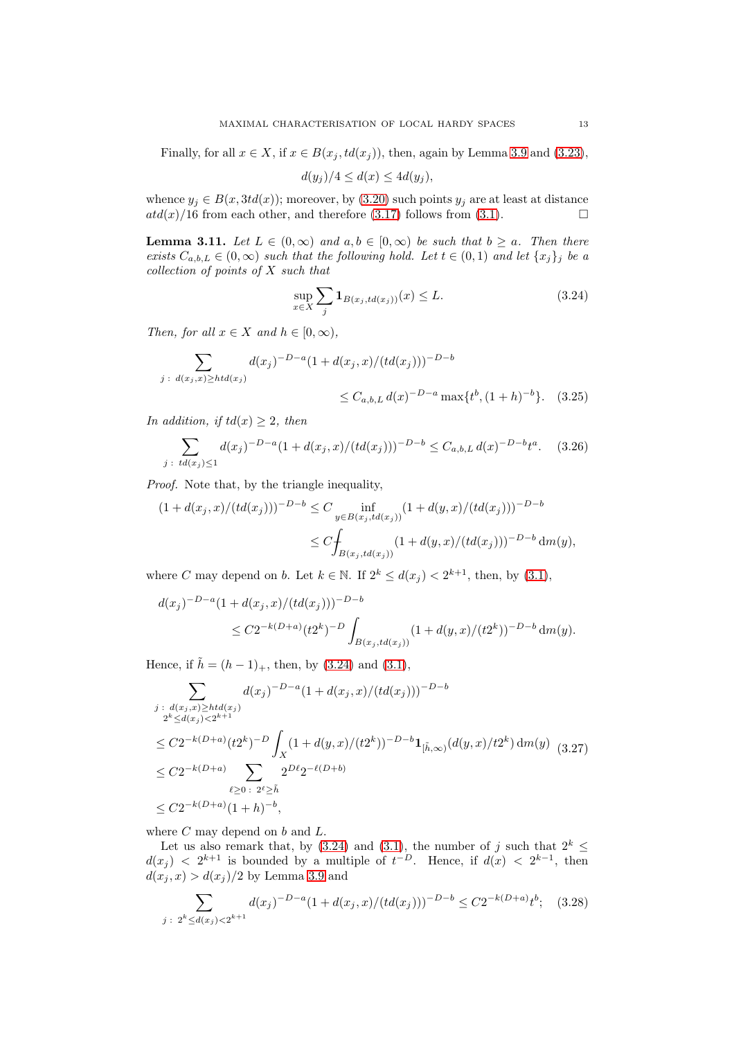Finally, for all  $x \in X$ , if  $x \in B(x_j, td(x_j))$ , then, again by Lemma [3.9](#page-11-1) and [\(3.23\)](#page-11-7),

$$
d(y_j)/4 \leq d(x) \leq 4d(y_j),
$$

whence  $y_j \in B(x, 3td(x))$ ; moreover, by [\(3.20\)](#page-11-8) such points  $y_j$  are at least at distance  $atd(x)/16$  from each other, and therefore (3.17) follows from (3.1).  $atd(x)/16$  from each other, and therefore [\(3.17\)](#page-11-9) follows from [\(3.1\)](#page-7-2).

<span id="page-12-5"></span>**Lemma 3.11.** Let  $L \in (0, \infty)$  and  $a, b \in [0, \infty)$  be such that  $b \ge a$ . Then there exists  $C_{a,b,L} \in (0,\infty)$  such that the following hold. Let  $t \in (0,1)$  and let  $\{x_j\}_j$  be a collection of points of X such that

<span id="page-12-3"></span><span id="page-12-0"></span>
$$
\sup_{x \in X} \sum_{j} \mathbf{1}_{B(x_j, td(x_j))}(x) \le L. \tag{3.24}
$$

Then, for all  $x \in X$  and  $h \in [0, \infty)$ ,

$$
\sum_{j \,:\, d(x_j, x) \geq htd(x_j)} d(x_j)^{-D-a} (1 + d(x_j, x) / (td(x_j)))^{-D-b}
$$
  

$$
\leq C_{a,b,L} d(x)^{-D-a} \max\{t^b, (1+h)^{-b}\}. \quad (3.25)
$$

In addition, if  $td(x) \geq 2$ , then

<span id="page-12-4"></span>
$$
\sum_{j \; : \; td(x_j) \le 1} d(x_j)^{-D-a} (1 + d(x_j, x) / (td(x_j)))^{-D-b} \le C_{a, b, L} d(x)^{-D-b} t^a. \tag{3.26}
$$

Proof. Note that, by the triangle inequality,

$$
(1 + d(x_j, x)/(td(x_j)))^{-D-b} \le C \inf_{y \in B(x_j, td(x_j))} (1 + d(y, x)/(td(x_j)))^{-D-b}
$$
  

$$
\le C \int_{B(x_j, td(x_j))} (1 + d(y, x)/(td(x_j)))^{-D-b} dm(y),
$$

where C may depend on b. Let  $k \in \mathbb{N}$ . If  $2^k \leq d(x_j) < 2^{k+1}$ , then, by [\(3.1\)](#page-7-2),

$$
d(x_j)^{-D-a} (1 + d(x_j, x)/(td(x_j)))^{-D-b}
$$
  
\n
$$
\leq C2^{-k(D+a)} (t2^k)^{-D} \int_{B(x_j, td(x_j))} (1 + d(y, x)/(t2^k))^{-D-b} dm(y).
$$

Hence, if  $\tilde{h} = (h - 1)_+$ , then, by [\(3.24\)](#page-12-0) and [\(3.1\)](#page-7-2),

<span id="page-12-1"></span>
$$
\sum_{\substack{j \,:\, d(x_j, x) \geq htd(x_j) \\ 2^k \leq d(x_j) < 2^{k+1} \\ \leq C2^{-k(D+a)}(t2^k)^{-D}}} d(x_j)^{-D-a} (1 + d(x_j, x)/(td(x_j)))^{-D-b}
$$
\n
$$
\leq C2^{-k(D+a)}(t2^k)^{-D} \int_X (1 + d(y, x)/(t2^k))^{-D-b} \mathbf{1}_{[\tilde{h}, \infty)}(d(y, x)/t2^k) \, dm(y) \tag{3.27}
$$
\n
$$
\leq C2^{-k(D+a)} \sum_{\ell \geq 0 \,:\, 2^{\ell} \geq \tilde{h}} 2^{D\ell} 2^{-\ell(D+b)}
$$
\n
$$
\leq C2^{-k(D+a)}(1+h)^{-b},
$$

where  $C$  may depend on  $b$  and  $L$ .

Let us also remark that, by [\(3.24\)](#page-12-0) and [\(3.1\)](#page-7-2), the number of j such that  $2^k \le$  $d(x_j) < 2^{k+1}$  is bounded by a multiple of  $t^{-D}$ . Hence, if  $d(x) < 2^{k-1}$ , then  $d(x_i, x) > d(x_i)/2$  by Lemma [3.9](#page-11-1) and

<span id="page-12-2"></span>
$$
\sum_{j \; : \; 2^k \le d(x_j) < 2^{k+1}} d(x_j)^{-D-a} (1 + d(x_j, x) / (td(x_j)))^{-D-b} \le C 2^{-k(D+a)} t^b; \quad (3.28)
$$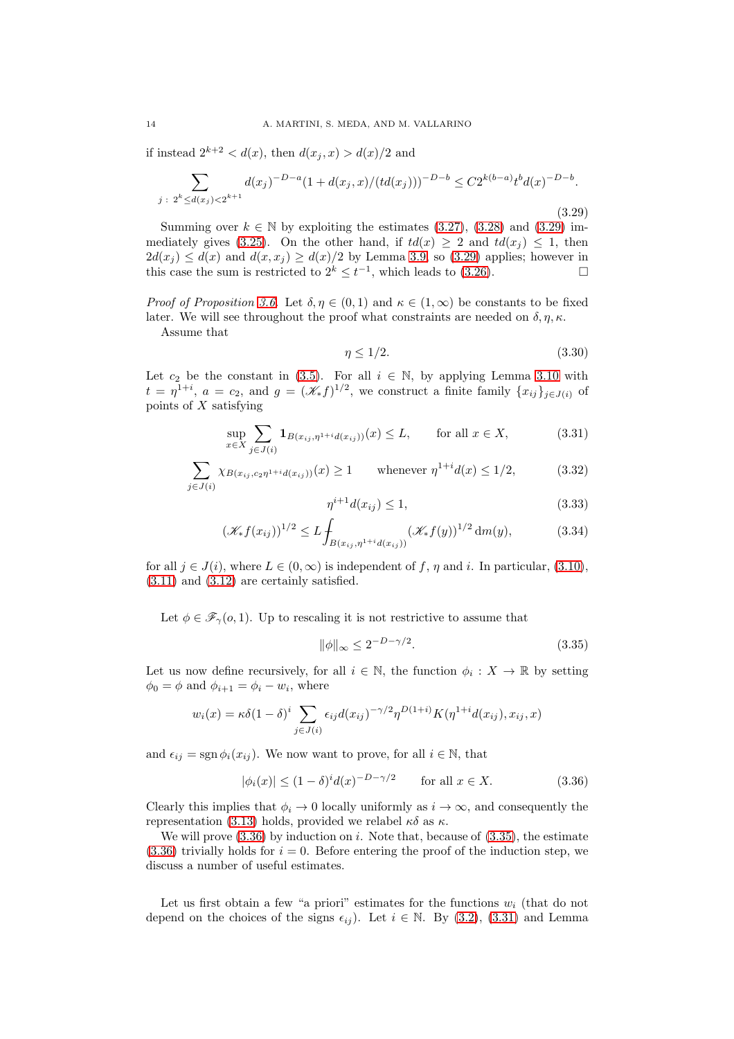if instead  $2^{k+2} < d(x)$ , then  $d(x_j, x) > d(x)/2$  and

<span id="page-13-0"></span>
$$
\sum_{j \; : \; 2^k \le d(x_j) < 2^{k+1}} d(x_j)^{-D-a} (1 + d(x_j, x) / (td(x_j)))^{-D-b} \le C 2^{k(b-a)} t^b d(x)^{-D-b}.\tag{3.29}
$$

Summing over  $k \in \mathbb{N}$  by exploiting the estimates [\(3.27\)](#page-12-1), [\(3.28\)](#page-12-2) and [\(3.29\)](#page-13-0) im-mediately gives [\(3.25\)](#page-12-3). On the other hand, if  $td(x) \geq 2$  and  $td(x_i) \leq 1$ , then  $2d(x_j) \leq d(x)$  and  $d(x, x_j) \geq d(x)/2$  by Lemma [3.9,](#page-11-1) so [\(3.29\)](#page-13-0) applies; however in this case the sum is restricted to  $2^k \leq t^{-1}$ , which leads to (3.26). this case the sum is restricted to  $2^k \le t^{-1}$ , which leads to [\(3.26\)](#page-12-4).

Proof of Proposition [3.6.](#page-9-0) Let  $\delta, \eta \in (0,1)$  and  $\kappa \in (1,\infty)$  be constants to be fixed later. We will see throughout the proof what constraints are needed on  $\delta, \eta, \kappa$ .

Assume that

<span id="page-13-5"></span><span id="page-13-3"></span>
$$
\eta \le 1/2. \tag{3.30}
$$

Let  $c_2$  be the constant in [\(3.5\)](#page-8-5). For all  $i \in \mathbb{N}$ , by applying Lemma [3.10](#page-11-10) with  $t = \eta^{1+i}, a = c_2$ , and  $g = (\mathcal{K}_* f)^{1/2}$ , we construct a finite family  $\{x_{ij}\}_{j \in J(i)}$  of points of X satisfying

$$
\sup_{x \in X} \sum_{j \in J(i)} \mathbf{1}_{B(x_{ij}, \eta^{1+i} d(x_{ij}))}(x) \le L, \qquad \text{for all } x \in X,
$$
 (3.31)

$$
\sum_{j \in J(i)} \chi_{B(x_{ij}, c_2 \eta^{1+i} d(x_{ij}))}(x) \ge 1 \quad \text{whenever } \eta^{1+i} d(x) \le 1/2,
$$
 (3.32)

<span id="page-13-4"></span>
$$
\eta^{i+1}d(x_{ij}) \le 1,\tag{3.33}
$$

$$
(\mathcal{K}_* f(x_{ij}))^{1/2} \le L \int_{B(x_{ij}, \eta^{1+i} d(x_{ij}))} (\mathcal{K}_* f(y))^{1/2} dm(y), \tag{3.34}
$$

for all  $j \in J(i)$ , where  $L \in (0,\infty)$  is independent of f,  $\eta$  and i. In particular, [\(3.10\)](#page-9-9), [\(3.11\)](#page-9-3) and [\(3.12\)](#page-9-5) are certainly satisfied.

Let  $\phi \in \mathscr{F}_{\gamma}(o,1)$ . Up to rescaling it is not restrictive to assume that

<span id="page-13-2"></span>
$$
\|\phi\|_{\infty} \le 2^{-D-\gamma/2}.\tag{3.35}
$$

Let us now define recursively, for all  $i \in \mathbb{N}$ , the function  $\phi_i : X \to \mathbb{R}$  by setting  $\phi_0 = \phi$  and  $\phi_{i+1} = \phi_i - w_i$ , where

$$
w_i(x) = \kappa \delta(1-\delta)^i \sum_{j \in J(i)} \epsilon_{ij} d(x_{ij})^{-\gamma/2} \eta^{D(1+i)} K(\eta^{1+i} d(x_{ij}), x_{ij}, x)
$$

and  $\epsilon_{ij} = \text{sgn}\,\phi_i(x_{ij})$ . We now want to prove, for all  $i \in \mathbb{N}$ , that

<span id="page-13-1"></span>
$$
|\phi_i(x)| \le (1 - \delta)^i d(x)^{-D - \gamma/2} \qquad \text{for all } x \in X. \tag{3.36}
$$

Clearly this implies that  $\phi_i \to 0$  locally uniformly as  $i \to \infty$ , and consequently the representation [\(3.13\)](#page-9-2) holds, provided we relabel  $\kappa \delta$  as  $\kappa$ .

We will prove  $(3.36)$  by induction on i. Note that, because of  $(3.35)$ , the estimate  $(3.36)$  trivially holds for  $i = 0$ . Before entering the proof of the induction step, we discuss a number of useful estimates.

Let us first obtain a few "a priori" estimates for the functions  $w_i$  (that do not depend on the choices of the signs  $\epsilon_{ij}$ ). Let  $i \in \mathbb{N}$ . By [\(3.2\)](#page-8-0), [\(3.31\)](#page-13-3) and Lemma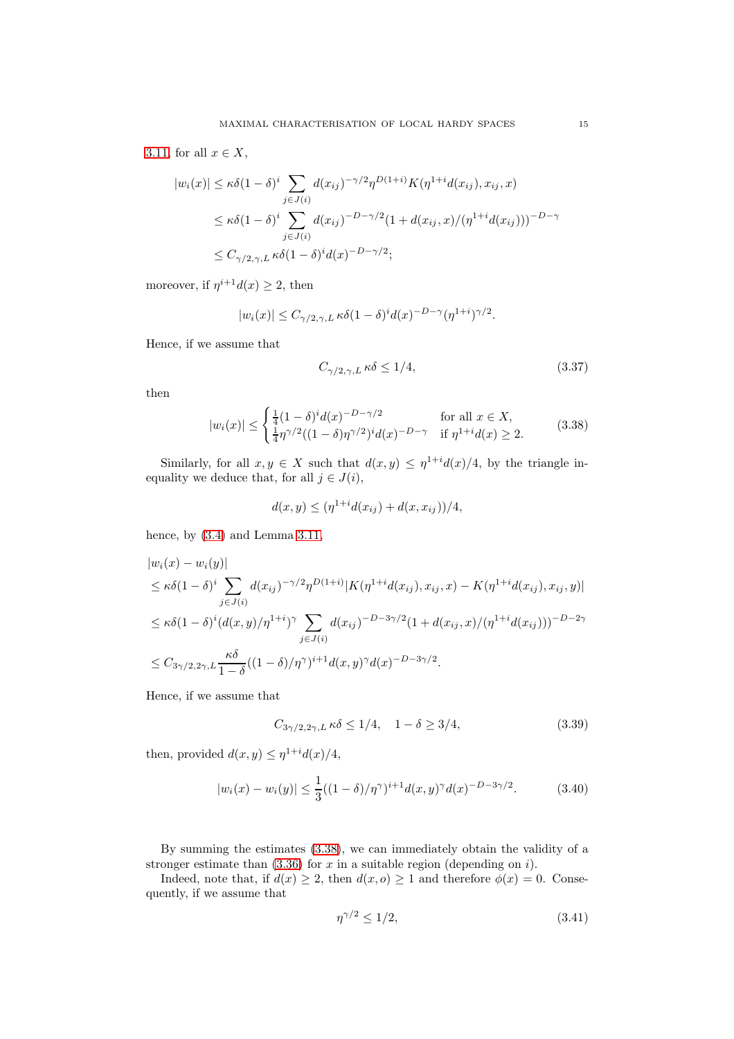[3.11,](#page-12-5) for all  $x \in X$ ,

$$
|w_i(x)| \le \kappa \delta (1 - \delta)^i \sum_{j \in J(i)} d(x_{ij})^{-\gamma/2} \eta^{D(1+i)} K(\eta^{1+i} d(x_{ij}), x_{ij}, x)
$$
  

$$
\le \kappa \delta (1 - \delta)^i \sum_{j \in J(i)} d(x_{ij})^{-D - \gamma/2} (1 + d(x_{ij}, x)/(\eta^{1+i} d(x_{ij})))^{-D - \gamma}
$$
  

$$
\le C_{\gamma/2, \gamma, L} \kappa \delta (1 - \delta)^i d(x)^{-D - \gamma/2};
$$

moreover, if  $\eta^{i+1}d(x) \geq 2$ , then

$$
|w_i(x)| \leq C_{\gamma/2,\gamma,L} \kappa \delta(1-\delta)^i d(x)^{-D-\gamma} (\eta^{1+i})^{\gamma/2}.
$$

Hence, if we assume that

<span id="page-14-4"></span>
$$
C_{\gamma/2,\gamma,L} \,\kappa\delta \le 1/4,\tag{3.37}
$$

then

<span id="page-14-0"></span>
$$
|w_i(x)| \le \begin{cases} \frac{1}{4}(1-\delta)^i d(x)^{-D-\gamma/2} & \text{for all } x \in X, \\ \frac{1}{4}\eta^{\gamma/2}((1-\delta)\eta^{\gamma/2})^i d(x)^{-D-\gamma} & \text{if } \eta^{1+i} d(x) \ge 2. \end{cases}
$$
(3.38)

Similarly, for all  $x, y \in X$  such that  $d(x, y) \leq \eta^{1+i} d(x)/4$ , by the triangle inequality we deduce that, for all  $j \in J(i)$ ,

$$
d(x, y) \le (\eta^{1+i} d(x_{ij}) + d(x, x_{ij})) / 4,
$$

hence, by  $(3.4)$  and Lemma [3.11,](#page-12-5)

$$
|w_i(x) - w_i(y)|
$$
  
\n
$$
\leq \kappa \delta (1 - \delta)^i \sum_{j \in J(i)} d(x_{ij})^{-\gamma/2} \eta^{D(1+i)} |K(\eta^{1+i} d(x_{ij}), x_{ij}, x) - K(\eta^{1+i} d(x_{ij}), x_{ij}, y)|
$$
  
\n
$$
\leq \kappa \delta (1 - \delta)^i (d(x, y)/\eta^{1+i})^{\gamma} \sum_{j \in J(i)} d(x_{ij})^{-D-3\gamma/2} (1 + d(x_{ij}, x)/(\eta^{1+i} d(x_{ij})))^{-D-2\gamma}
$$
  
\n
$$
\leq C_{3\gamma/2, 2\gamma, L} \frac{\kappa \delta}{1 - \delta} ((1 - \delta)/\eta^{\gamma})^{i+1} d(x, y)^{\gamma} d(x)^{-D-3\gamma/2}.
$$

Hence, if we assume that

<span id="page-14-1"></span>
$$
C_{3\gamma/2,2\gamma,L} \kappa \delta \le 1/4, \quad 1 - \delta \ge 3/4,\tag{3.39}
$$

then, provided  $d(x, y) \leq \eta^{1+i} d(x)/4$ ,

<span id="page-14-3"></span>
$$
|w_i(x) - w_i(y)| \le \frac{1}{3}((1 - \delta)/\eta^{\gamma})^{i+1} d(x, y)^{\gamma} d(x)^{-D - 3\gamma/2}.
$$
 (3.40)

By summing the estimates [\(3.38\)](#page-14-0), we can immediately obtain the validity of a stronger estimate than  $(3.36)$  for x in a suitable region (depending on i).

Indeed, note that, if  $d(x) \geq 2$ , then  $d(x, 0) \geq 1$  and therefore  $\phi(x) = 0$ . Consequently, if we assume that

<span id="page-14-2"></span>
$$
\eta^{\gamma/2} \le 1/2,\tag{3.41}
$$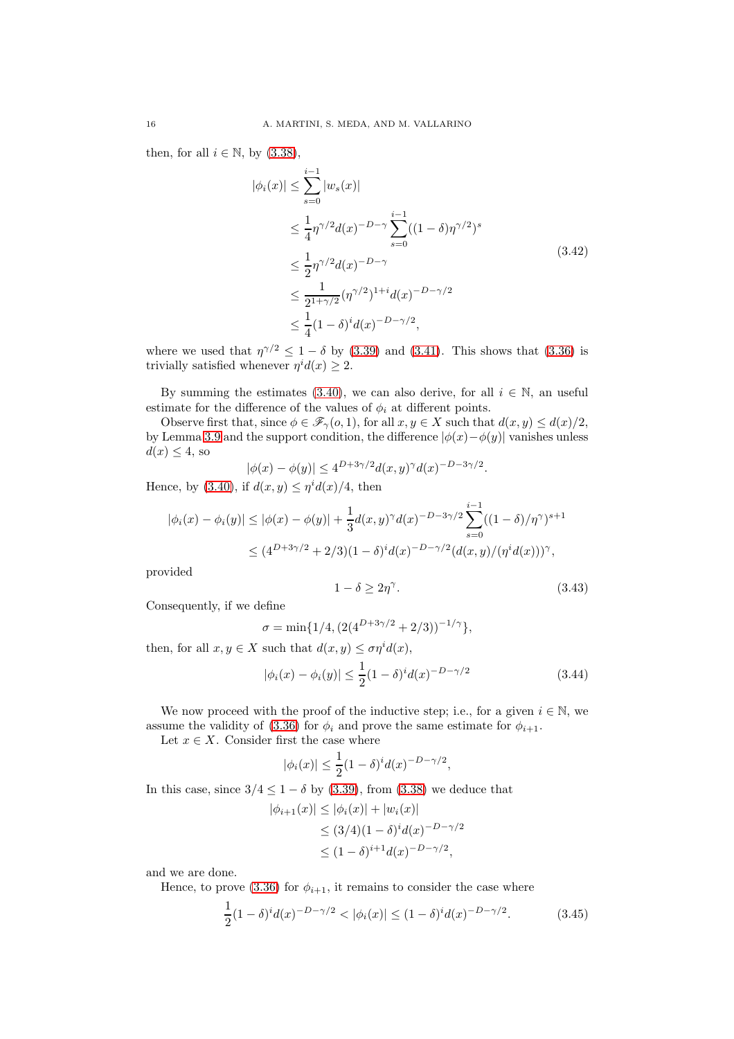<span id="page-15-0"></span>then, for all  $i \in \mathbb{N}$ , by  $(3.38)$ ,

$$
|\phi_i(x)| \leq \sum_{s=0}^{i-1} |w_s(x)|
$$
  
\n
$$
\leq \frac{1}{4} \eta^{\gamma/2} d(x)^{-D-\gamma} \sum_{s=0}^{i-1} ((1-\delta)\eta^{\gamma/2})^s
$$
  
\n
$$
\leq \frac{1}{2} \eta^{\gamma/2} d(x)^{-D-\gamma}
$$
  
\n
$$
\leq \frac{1}{2^{1+\gamma/2}} (\eta^{\gamma/2})^{1+i} d(x)^{-D-\gamma/2}
$$
  
\n
$$
\leq \frac{1}{4} (1-\delta)^i d(x)^{-D-\gamma/2},
$$
\n(3.42)

where we used that  $\eta^{\gamma/2} \leq 1 - \delta$  by [\(3.39\)](#page-14-1) and [\(3.41\)](#page-14-2). This shows that [\(3.36\)](#page-13-1) is trivially satisfied whenever  $\eta^{i} d(x) \geq 2$ .

By summing the estimates [\(3.40\)](#page-14-3), we can also derive, for all  $i \in \mathbb{N}$ , an useful estimate for the difference of the values of  $\phi_i$  at different points.

Observe first that, since  $\phi \in \mathscr{F}_{\gamma}(o, 1)$ , for all  $x, y \in X$  such that  $d(x, y) \leq d(x)/2$ , by Lemma [3.9](#page-11-1) and the support condition, the difference  $|\phi(x)-\phi(y)|$  vanishes unless  $d(x) \leq 4$ , so

$$
|\phi(x) - \phi(y)| \le 4^{D+3\gamma/2} d(x, y)^\gamma d(x)^{-D-3\gamma/2}.
$$

Hence, by [\(3.40\)](#page-14-3), if  $d(x, y) \leq \eta^i d(x)/4$ , then

$$
|\phi_i(x) - \phi_i(y)| \le |\phi(x) - \phi(y)| + \frac{1}{3}d(x,y)^\gamma d(x)^{-D-3\gamma/2} \sum_{s=0}^{i-1} ((1-\delta)/\eta^\gamma)^{s+1}
$$
  

$$
\le (4^{D+3\gamma/2} + 2/3)(1-\delta)^i d(x)^{-D-\gamma/2} (d(x,y)/(\eta^i d(x)))^\gamma,
$$

provided

<span id="page-15-3"></span>
$$
1 - \delta \ge 2\eta^{\gamma}.\tag{3.43}
$$

Consequently, if we define

$$
\sigma = \min\{1/4, \left(2(4^{D+3\gamma/2} + 2/3)\right)^{-1/\gamma}\},\
$$

then, for all  $x, y \in X$  such that  $d(x, y) \leq \sigma \eta^{i} d(x)$ ,

<span id="page-15-2"></span>
$$
|\phi_i(x) - \phi_i(y)| \le \frac{1}{2} (1 - \delta)^i d(x)^{-D - \gamma/2}
$$
\n(3.44)

We now proceed with the proof of the inductive step; i.e., for a given  $i \in \mathbb{N}$ , we assume the validity of [\(3.36\)](#page-13-1) for  $\phi_i$  and prove the same estimate for  $\phi_{i+1}$ .

Let  $x \in X$ . Consider first the case where

$$
|\phi_i(x)| \leq \frac{1}{2}(1-\delta)^i d(x)^{-D-\gamma/2},
$$

In this case, since  $3/4 \leq 1 - \delta$  by [\(3.39\)](#page-14-1), from [\(3.38\)](#page-14-0) we deduce that

$$
|\phi_{i+1}(x)| \le |\phi_i(x)| + |w_i(x)|
$$
  
\n
$$
\le (3/4)(1 - \delta)^i d(x)^{-D - \gamma/2}
$$
  
\n
$$
\le (1 - \delta)^{i+1} d(x)^{-D - \gamma/2},
$$

and we are done.

Hence, to prove [\(3.36\)](#page-13-1) for  $\phi_{i+1}$ , it remains to consider the case where

<span id="page-15-1"></span>
$$
\frac{1}{2}(1-\delta)^i d(x)^{-D-\gamma/2} < |\phi_i(x)| \le (1-\delta)^i d(x)^{-D-\gamma/2}.\tag{3.45}
$$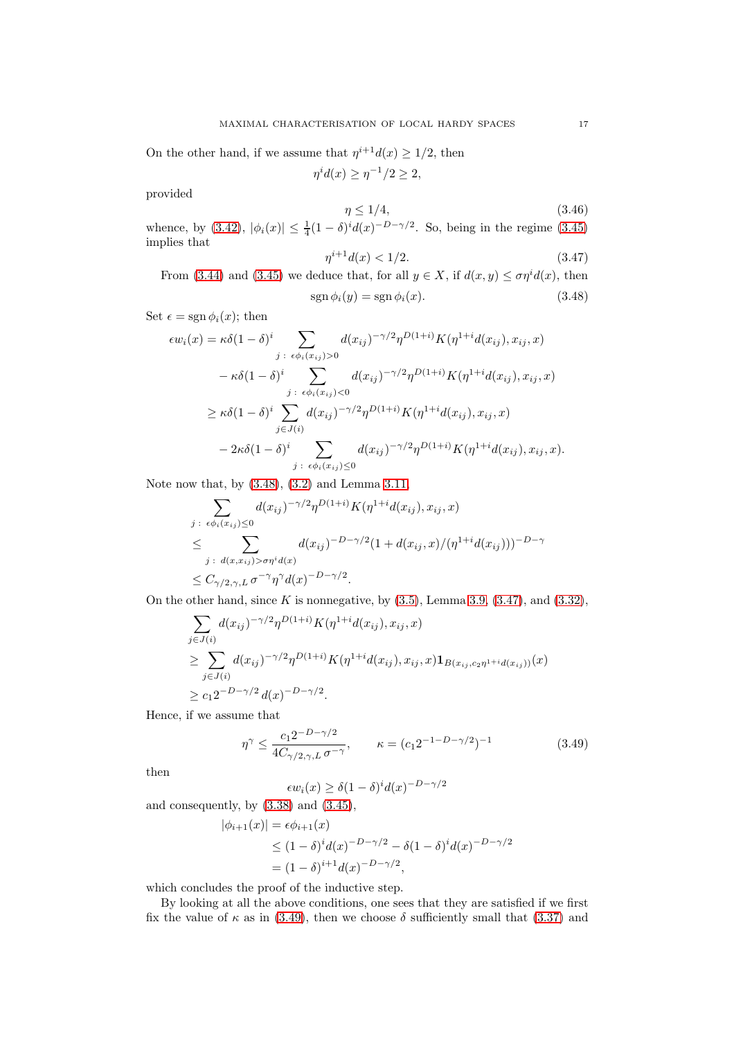On the other hand, if we assume that  $\eta^{i+1}d(x) \geq 1/2$ , then

$$
\eta^i d(x) \ge \eta^{-1}/2 \ge 2,
$$

provided

<span id="page-16-3"></span>
$$
\eta \le 1/4,\tag{3.46}
$$

whence, by [\(3.42\)](#page-15-0),  $|\phi_i(x)| \leq \frac{1}{4}(1-\delta)^i d(x)^{-D-\gamma/2}$ . So, being in the regime [\(3.45\)](#page-15-1) implies that

<span id="page-16-1"></span><span id="page-16-0"></span>
$$
\eta^{i+1}d(x) < 1/2. \tag{3.47}
$$

From [\(3.44\)](#page-15-2) and [\(3.45\)](#page-15-1) we deduce that, for all  $y \in X$ , if  $d(x, y) \leq \sigma \eta^{i} d(x)$ , then  $sgn \phi_i(y) = sgn \phi_i(x).$  (3.48)

Set  $\epsilon = \text{sgn}\,\phi_i(x)$ ; then

$$
\epsilon w_i(x) = \kappa \delta (1 - \delta)^i \sum_{j \; : \; \epsilon \phi_i(x_{ij}) > 0} d(x_{ij})^{-\gamma/2} \eta^{D(1+i)} K(\eta^{1+i} d(x_{ij}), x_{ij}, x) \n- \kappa \delta (1 - \delta)^i \sum_{j \; : \; \epsilon \phi_i(x_{ij}) < 0} d(x_{ij})^{-\gamma/2} \eta^{D(1+i)} K(\eta^{1+i} d(x_{ij}), x_{ij}, x) \n\geq \kappa \delta (1 - \delta)^i \sum_{j \in J(i)} d(x_{ij})^{-\gamma/2} \eta^{D(1+i)} K(\eta^{1+i} d(x_{ij}), x_{ij}, x) \n- 2\kappa \delta (1 - \delta)^i \sum_{j \; : \; \epsilon \phi_i(x_{ij}) \leq 0} d(x_{ij})^{-\gamma/2} \eta^{D(1+i)} K(\eta^{1+i} d(x_{ij}), x_{ij}, x).
$$

Note now that, by [\(3.48\)](#page-16-0), [\(3.2\)](#page-8-0) and Lemma [3.11,](#page-12-5)

$$
\sum_{j \; : \; \epsilon \phi_i(x_{ij}) \le 0} d(x_{ij})^{-\gamma/2} \eta^{D(1+i)} K(\eta^{1+i} d(x_{ij}), x_{ij}, x)
$$
\n
$$
\le \sum_{j \; : \; d(x, x_{ij}) > \sigma \eta^i d(x)} d(x_{ij})^{-D-\gamma/2} (1 + d(x_{ij}, x)/(\eta^{1+i} d(x_{ij})))^{-D-\gamma}
$$
\n
$$
\le C_{\gamma/2, \gamma, L} \sigma^{-\gamma} \eta^{\gamma} d(x)^{-D-\gamma/2}.
$$

On the other hand, since K is nonnegative, by  $(3.5)$ , Lemma [3.9,](#page-11-1)  $(3.47)$ , and  $(3.32)$ ,

$$
\sum_{j \in J(i)} d(x_{ij})^{-\gamma/2} \eta^{D(1+i)} K(\eta^{1+i} d(x_{ij}), x_{ij}, x)
$$
\n
$$
\geq \sum_{j \in J(i)} d(x_{ij})^{-\gamma/2} \eta^{D(1+i)} K(\eta^{1+i} d(x_{ij}), x_{ij}, x) \mathbf{1}_{B(x_{ij}, c_2 \eta^{1+i} d(x_{ij}))}(x)
$$
\n
$$
\geq c_1 2^{-D - \gamma/2} d(x)^{-D - \gamma/2}.
$$

Hence, if we assume that

<span id="page-16-2"></span>
$$
\eta^{\gamma} \le \frac{c_1 2^{-D - \gamma/2}}{4C_{\gamma/2, \gamma, L} \sigma^{-\gamma}}, \qquad \kappa = (c_1 2^{-1 - D - \gamma/2})^{-1} \tag{3.49}
$$

then

$$
\epsilon w_i(x) \ge \delta (1-\delta)^i d(x)^{-D-\gamma/2}
$$

and consequently, by [\(3.38\)](#page-14-0) and [\(3.45\)](#page-15-1),

$$
|\phi_{i+1}(x)| = \epsilon \phi_{i+1}(x)
$$
  
\n
$$
\leq (1 - \delta)^i d(x)^{-D - \gamma/2} - \delta (1 - \delta)^i d(x)^{-D - \gamma/2}
$$
  
\n
$$
= (1 - \delta)^{i+1} d(x)^{-D - \gamma/2},
$$

which concludes the proof of the inductive step.

By looking at all the above conditions, one sees that they are satisfied if we first fix the value of  $\kappa$  as in [\(3.49\)](#page-16-2), then we choose  $\delta$  sufficiently small that [\(3.37\)](#page-14-4) and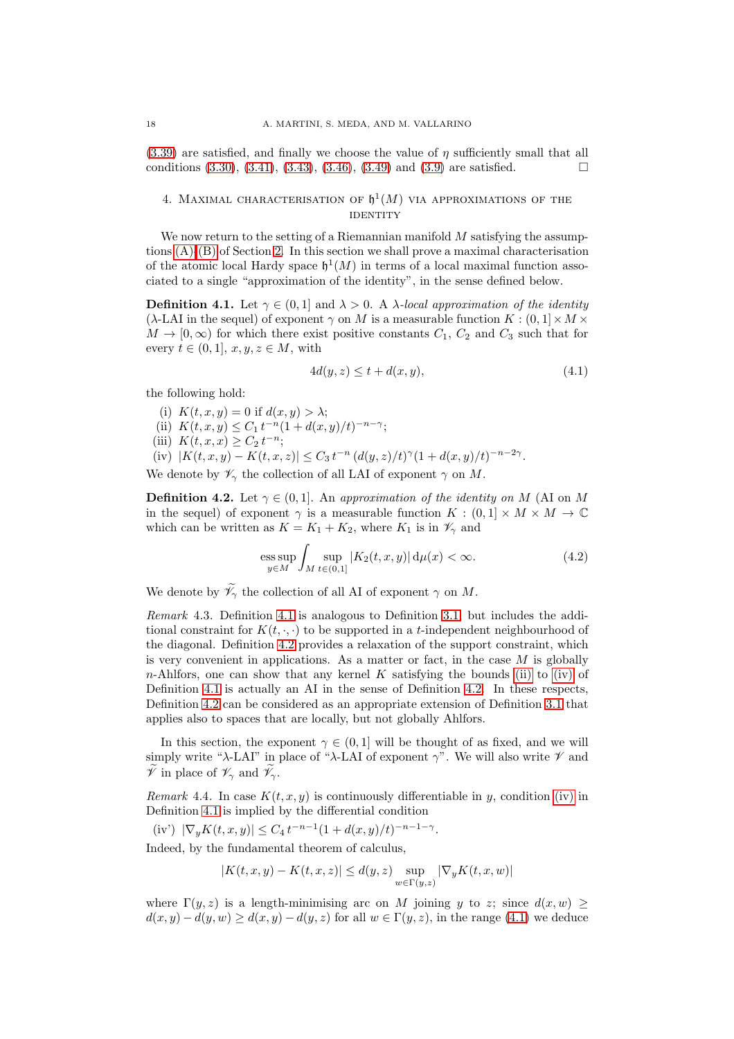$(3.39)$  are satisfied, and finally we choose the value of  $\eta$  sufficiently small that all conditions  $(3.30), (3.41), (3.43), (3.46), (3.49)$  $(3.30), (3.41), (3.43), (3.46), (3.49)$  $(3.30), (3.41), (3.43), (3.46), (3.49)$  $(3.30), (3.41), (3.43), (3.46), (3.49)$  $(3.30), (3.41), (3.43), (3.46), (3.49)$  $(3.30), (3.41), (3.43), (3.46), (3.49)$  $(3.30), (3.41), (3.43), (3.46), (3.49)$  $(3.30), (3.41), (3.43), (3.46), (3.49)$  and  $(3.9)$  are satisfied.

## <span id="page-17-0"></span>4. MAXIMAL CHARACTERISATION OF  $\mathfrak{h}^1(M)$  via approximations of the **IDENTITY**

We now return to the setting of a Riemannian manifold  $M$  satisfying the assumptions [\(A\)-](#page-4-1)[\(B\)](#page-4-2) of Section [2.](#page-4-0) In this section we shall prove a maximal characterisation of the atomic local Hardy space  $\mathfrak{h}^1(M)$  in terms of a local maximal function associated to a single "approximation of the identity", in the sense defined below.

<span id="page-17-1"></span>**Definition 4.1.** Let  $\gamma \in (0,1]$  and  $\lambda > 0$ . A  $\lambda$ -local approximation of the identity ( $\lambda$ -LAI in the sequel) of exponent  $\gamma$  on M is a measurable function  $K : (0,1] \times M \times$  $M \to [0,\infty)$  for which there exist positive constants  $C_1, C_2$  and  $C_3$  such that for every  $t \in (0,1], x, y, z \in M$ , with

<span id="page-17-5"></span>
$$
4d(y, z) \le t + d(x, y),\tag{4.1}
$$

<span id="page-17-6"></span>the following hold:

- <span id="page-17-3"></span>(i)  $K(t, x, y) = 0$  if  $d(x, y) > \lambda$ ;
- <span id="page-17-8"></span>(ii)  $K(t, x, y) \le C_1 t^{-n} (1 + d(x, y)/t)^{-n-\gamma};$
- <span id="page-17-4"></span>(iii)  $K(t, x, x) \ge C_2 t^{-n};$
- (iv)  $|K(t, x, y) K(t, x, z)| \le C_3 t^{-n} (d(y, z)/t)^{\gamma} (1 + d(x, y)/t)^{-n-2\gamma}.$

We denote by  $\mathscr{V}_{\gamma}$  the collection of all LAI of exponent  $\gamma$  on M.

<span id="page-17-2"></span>**Definition 4.2.** Let  $\gamma \in (0,1]$ . An approximation of the identity on M (AI on M) in the sequel) of exponent  $\gamma$  is a measurable function  $K : (0,1] \times M \times M \rightarrow \mathbb{C}$ which can be written as  $K = K_1 + K_2$ , where  $K_1$  is in  $\mathscr{V}_{\gamma}$  and

<span id="page-17-7"></span>ess sup 
$$
\int_{M} \sup_{t \in (0,1]} |K_2(t, x, y)| d\mu(x) < \infty.
$$
 (4.2)

We denote by  $\widetilde{\mathscr{V}}_{\gamma}$  the collection of all AI of exponent  $\gamma$  on  $M$ .

Remark 4.3. Definition [4.1](#page-17-1) is analogous to Definition [3.1,](#page-8-3) but includes the additional constraint for  $K(t, \ldots)$  to be supported in a t-independent neighbourhood of the diagonal. Definition [4.2](#page-17-2) provides a relaxation of the support constraint, which is very convenient in applications. As a matter or fact, in the case  $M$  is globally n-Ahlfors, one can show that any kernel K satisfying the bounds [\(ii\)](#page-17-3) to [\(iv\)](#page-17-4) of Definition [4.1](#page-17-1) is actually an AI in the sense of Definition [4.2.](#page-17-2) In these respects, Definition [4.2](#page-17-2) can be considered as an appropriate extension of Definition [3.1](#page-8-3) that applies also to spaces that are locally, but not globally Ahlfors.

In this section, the exponent  $\gamma \in (0,1]$  will be thought of as fixed, and we will simply write "λ-LAI" in place of "λ-LAI of exponent  $\gamma$ ". We will also write  $\mathscr V$  and  $\check{\mathscr{V}}$  in place of  $\mathscr{V}_{\gamma}$  and  $\check{\mathscr{V}}_{\gamma}$ .

<span id="page-17-9"></span>Remark 4.4. In case  $K(t, x, y)$  is continuously differentiable in y, condition [\(iv\)](#page-17-4) in Definition [4.1](#page-17-1) is implied by the differential condition

(iv') 
$$
|\nabla_y K(t, x, y)| \le C_4 t^{-n-1} (1 + d(x, y)/t)^{-n-1-\gamma}
$$
.

Indeed, by the fundamental theorem of calculus,

$$
|K(t,x,y)-K(t,x,z)|\leq d(y,z)\sup_{w\in\Gamma(y,z)}|\nabla_y K(t,x,w)|
$$

where  $\Gamma(y, z)$  is a length-minimising arc on M joining y to z; since  $d(x, w) \ge$  $d(x, y) - d(y, w) \geq d(x, y) - d(y, z)$  for all  $w \in \Gamma(y, z)$ , in the range [\(4.1\)](#page-17-5) we deduce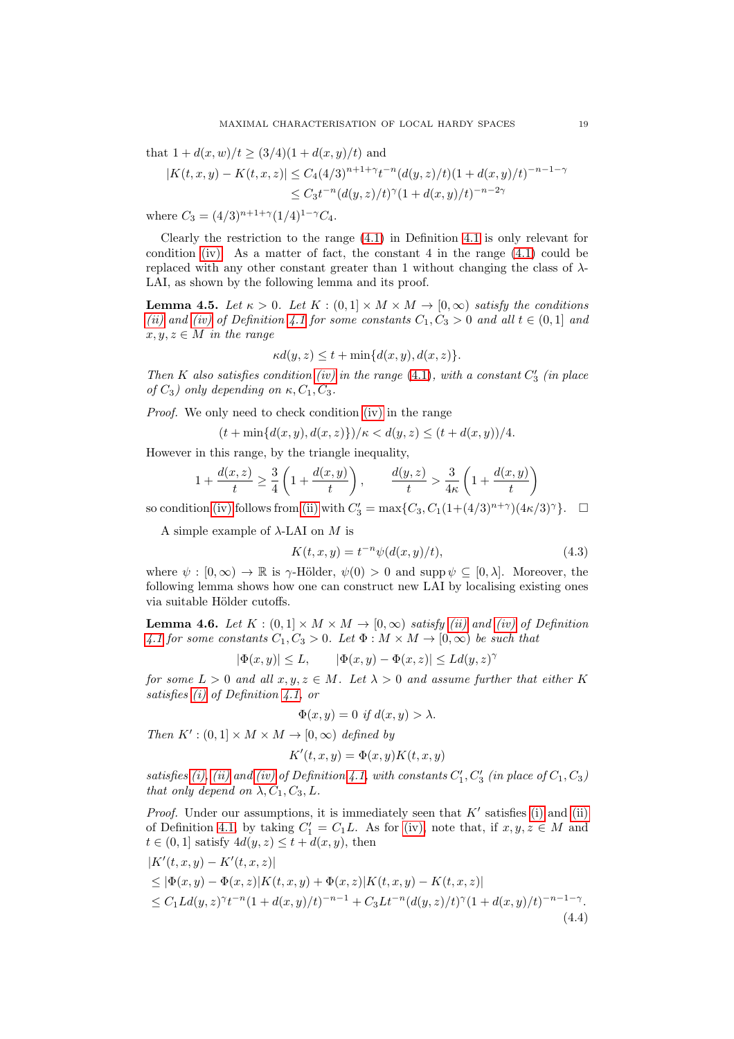that  $1 + d(x, w)/t \geq (3/4)(1 + d(x, y)/t)$  and

$$
|K(t, x, y) - K(t, x, z)| \le C_4 (4/3)^{n+1+\gamma} t^{-n} (d(y, z)/t) (1 + d(x, y)/t)^{-n-1-\gamma}
$$
  

$$
\le C_3 t^{-n} (d(y, z)/t)^{\gamma} (1 + d(x, y)/t)^{-n-2\gamma}
$$

where  $C_3 = (4/3)^{n+1+\gamma} (1/4)^{1-\gamma} C_4$ .

Clearly the restriction to the range [\(4.1\)](#page-17-5) in Definition [4.1](#page-17-1) is only relevant for condition [\(iv\).](#page-17-4) As a matter of fact, the constant 4 in the range  $(4.1)$  could be replaced with any other constant greater than 1 without changing the class of  $\lambda$ -LAI, as shown by the following lemma and its proof.

<span id="page-18-3"></span>**Lemma 4.5.** Let  $\kappa > 0$ . Let  $K : (0,1] \times M \times M \rightarrow [0,\infty)$  satisfy the conditions [\(ii\)](#page-17-3) and [\(iv\)](#page-17-4) of Definition [4.1](#page-17-1) for some constants  $C_1, C_3 > 0$  and all  $t \in (0,1]$  and  $x, y, z \in M$  in the range

$$
\kappa d(y, z) \le t + \min\{d(x, y), d(x, z)\}.
$$

Then K also satisfies condition [\(iv\)](#page-17-4) in the range  $(4.1)$ , with a constant  $C'_3$  (in place of  $C_3$ ) only depending on  $\kappa$ ,  $C_1$ ,  $C_3$ .

Proof. We only need to check condition [\(iv\)](#page-17-4) in the range

$$
(t + \min\{d(x, y), d(x, z)\})/\kappa < d(y, z) \le (t + d(x, y))/4.
$$

However in this range, by the triangle inequality,

$$
1 + \frac{d(x, z)}{t} \ge \frac{3}{4} \left( 1 + \frac{d(x, y)}{t} \right), \qquad \frac{d(y, z)}{t} > \frac{3}{4\kappa} \left( 1 + \frac{d(x, y)}{t} \right)
$$

so condition [\(iv\)](#page-17-4) follows from [\(ii\)](#page-17-3) with  $C'_3 = \max\{C_3, C_1(1 + (4/3)^{n+\gamma})(4\kappa/3)^{\gamma}\}.$   $\Box$ 

A simple example of  $\lambda$ -LAI on M is

<span id="page-18-2"></span>
$$
K(t, x, y) = t^{-n} \psi(d(x, y)/t),
$$
\n(4.3)

where  $\psi : [0, \infty) \to \mathbb{R}$  is  $\gamma$ -Hölder,  $\psi(0) > 0$  and supp  $\psi \subseteq [0, \lambda]$ . Moreover, the following lemma shows how one can construct new LAI by localising existing ones via suitable Hölder cutoffs.

<span id="page-18-1"></span>**Lemma 4.6.** Let  $K : (0,1] \times M \times M \rightarrow [0,\infty)$  satisfy [\(ii\)](#page-17-3) and [\(iv\)](#page-17-4) of Definition [4.1](#page-17-1) for some constants  $C_1, C_3 > 0$ . Let  $\Phi : M \times M \to [0, \infty)$  be such that

$$
|\Phi(x,y)| \le L, \qquad |\Phi(x,y) - \Phi(x,z)| \le Ld(y,z)^{\gamma}
$$

for some  $L > 0$  and all  $x, y, z \in M$ . Let  $\lambda > 0$  and assume further that either K satisfies [\(i\)](#page-17-6) of Definition [4.1,](#page-17-1) or

$$
\Phi(x, y) = 0 \text{ if } d(x, y) > \lambda.
$$

Then  $K' : (0,1] \times M \times M \rightarrow [0,\infty)$  defined by

$$
K'(t, x, y) = \Phi(x, y)K(t, x, y)
$$

satisfies [\(i\),](#page-17-6) [\(ii\)](#page-17-3) and [\(iv\)](#page-17-4) of Definition [4.1,](#page-17-1) with constants  $C'_1, C'_3$  (in place of  $C_1, C_3$ ) that only depend on  $\lambda$ ,  $C_1$ ,  $C_3$ , L.

*Proof.* Under our assumptions, it is immediately seen that  $K'$  satisfies [\(i\)](#page-17-6) and [\(ii\)](#page-17-3) of Definition [4.1,](#page-17-1) by taking  $C'_1 = C_1L$ . As for [\(iv\),](#page-17-4) note that, if  $x, y, z \in M$  and  $t \in (0, 1]$  satisfy  $4d(y, z) \le t + d(x, y)$ , then

<span id="page-18-0"></span>
$$
|K'(t, x, y) - K'(t, x, z)|
$$
  
\n
$$
\leq |\Phi(x, y) - \Phi(x, z)| K(t, x, y) + \Phi(x, z) |K(t, x, y) - K(t, x, z)|
$$
  
\n
$$
\leq C_1 L d(y, z)^\gamma t^{-n} (1 + d(x, y)/t)^{-n-1} + C_3 L t^{-n} (d(y, z)/t)^\gamma (1 + d(x, y)/t)^{-n-1-\gamma}.
$$
\n(4.4)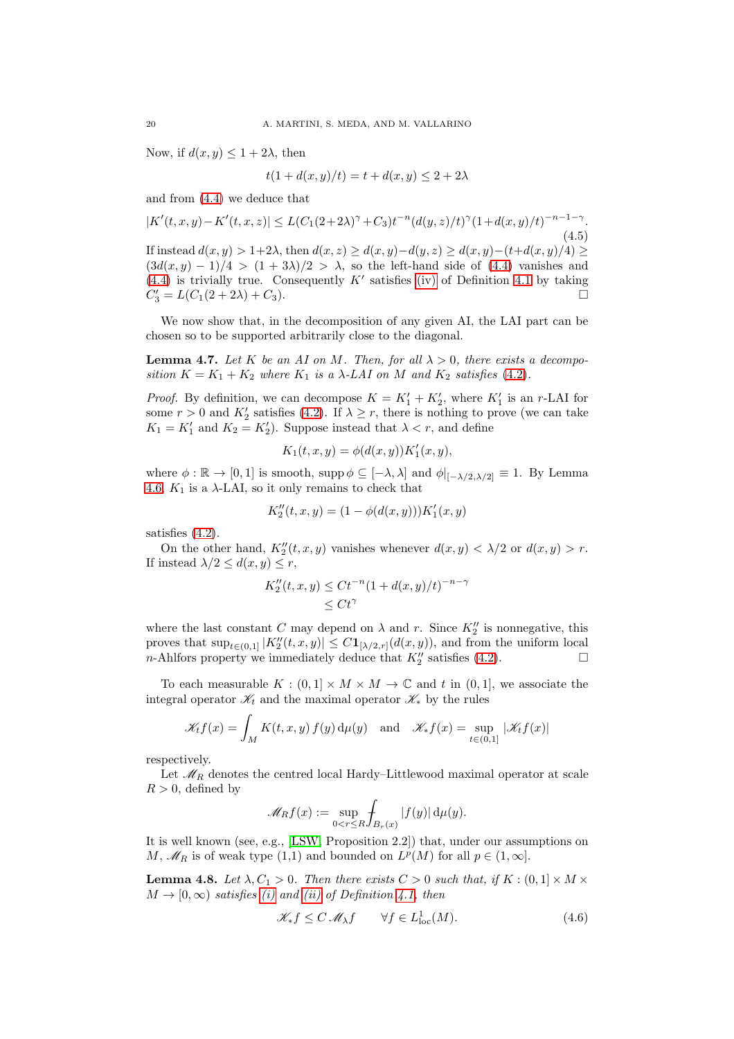Now, if  $d(x, y) \leq 1 + 2\lambda$ , then

$$
t(1 + d(x, y)/t) = t + d(x, y) \le 2 + 2\lambda
$$

and from [\(4.4\)](#page-18-0) we deduce that

$$
|K'(t,x,y)-K'(t,x,z)| \le L(C_1(2+2\lambda)^{\gamma}+C_3)t^{-n}(d(y,z)/t)^{\gamma}(1+d(x,y)/t)^{-n-1-\gamma}.
$$
\n(4.5)  
If instead  $d(x,y) > 1+2\lambda$ , then  $d(x,z) \ge d(x,y)-d(y,z) \ge d(x,y)-(t+d(x,y)/4) \ge$   
 $(3d(x,y)-1)/4 > (1+3\lambda)/2 > \lambda$ , so the left-hand side of (4.4) vanishes and  
(4.4) is trivially true. Consequently  $K'$  satisfies (iv) of Definition 4.1 by taking  
 $C'_3 = L(C_1(2+2\lambda)+C_3).$ 

We now show that, in the decomposition of any given AI, the LAI part can be chosen so to be supported arbitrarily close to the diagonal.

<span id="page-19-1"></span>**Lemma 4.7.** Let K be an AI on M. Then, for all  $\lambda > 0$ , there exists a decomposition  $K = K_1 + K_2$  where  $K_1$  is a  $\lambda$ -LAI on M and  $K_2$  satisfies [\(4.2\)](#page-17-7).

*Proof.* By definition, we can decompose  $K = K'_1 + K'_2$ , where  $K'_1$  is an r-LAI for some  $r > 0$  and  $K'_2$  satisfies [\(4.2\)](#page-17-7). If  $\lambda \ge r$ , there is nothing to prove (we can take  $K_1 = K'_1$  and  $K_2 = K'_2$ ). Suppose instead that  $\lambda < r$ , and define

$$
K_1(t, x, y) = \phi(d(x, y)) K_1'(x, y),
$$

where  $\phi : \mathbb{R} \to [0, 1]$  is smooth, supp $\phi \subseteq [-\lambda, \lambda]$  and  $\phi|_{[-\lambda/2, \lambda/2]} \equiv 1$ . By Lemma [4.6,](#page-18-1)  $K_1$  is a  $\lambda$ -LAI, so it only remains to check that

$$
K_2''(t, x, y) = (1 - \phi(d(x, y)))K_1'(x, y)
$$

satisfies [\(4.2\)](#page-17-7).

On the other hand,  $K''_2(t, x, y)$  vanishes whenever  $d(x, y) < \lambda/2$  or  $d(x, y) > r$ . If instead  $\lambda/2 \leq d(x, y) \leq r$ ,

$$
K_2''(t, x, y) \le Ct^{-n} (1 + d(x, y)/t)^{-n - \gamma}
$$
  
 
$$
\le Ct^{\gamma}
$$

where the last constant C may depend on  $\lambda$  and r. Since  $K''_2$  is nonnegative, this proves that  $\sup_{t\in(0,1]}|K''_2(t,x,y)|\leq C\mathbf{1}_{[\lambda/2,r]}(d(x,y)),$  and from the uniform local *n*-Ahlfors property we immediately deduce that  $K''_2$  satisfies [\(4.2\)](#page-17-7).

To each measurable  $K : (0,1] \times M \times M \to \mathbb{C}$  and t in  $(0,1]$ , we associate the integral operator  $\mathscr{K}_t$  and the maximal operator  $\mathscr{K}_*$  by the rules

$$
\mathscr{K}_t f(x) = \int_M K(t, x, y) f(y) d\mu(y) \text{ and } \mathscr{K}_* f(x) = \sup_{t \in (0, 1]} |\mathscr{K}_t f(x)|
$$

respectively.

Let  $\mathcal{M}_R$  denotes the centred local Hardy–Littlewood maximal operator at scale  $R > 0$ , defined by

$$
\mathscr{M}_Rf(x):=\sup_{0
$$

It is well known (see, e.g., [\[LSW,](#page-30-18) Proposition 2.2]) that, under our assumptions on M,  $\mathcal{M}_R$  is of weak type (1,1) and bounded on  $L^p(M)$  for all  $p \in (1, \infty]$ .

<span id="page-19-0"></span>**Lemma 4.8.** Let  $\lambda, C_1 > 0$ . Then there exists  $C > 0$  such that, if  $K : (0,1] \times M \times$  $M \to [0, \infty)$  satisfies [\(i\)](#page-17-6) and [\(ii\)](#page-17-3) of Definition [4.1,](#page-17-1) then

$$
\mathcal{K}_* f \le C \mathcal{M}_\lambda f \qquad \forall f \in L^1_{\text{loc}}(M). \tag{4.6}
$$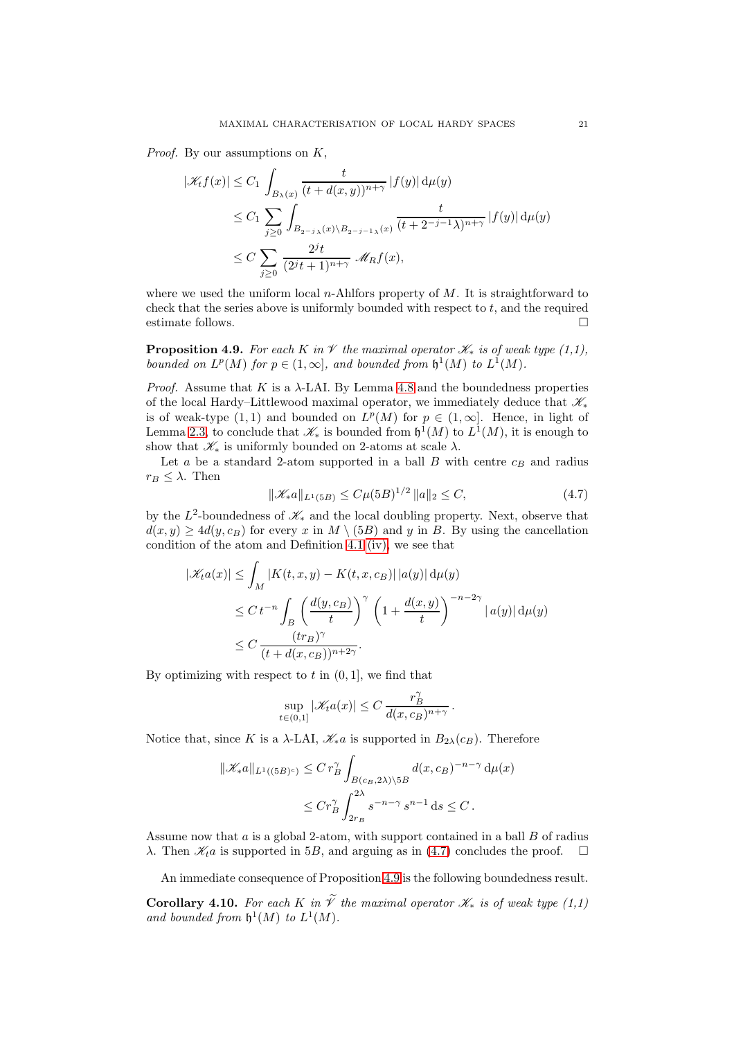*Proof.* By our assumptions on  $K$ ,

$$
|\mathcal{K}_t f(x)| \leq C_1 \int_{B_\lambda(x)} \frac{t}{(t + d(x, y))^{n+\gamma}} |f(y)| d\mu(y)
$$
  
\n
$$
\leq C_1 \sum_{j\geq 0} \int_{B_{2^{-j}\lambda}(x) \setminus B_{2^{-j-1}\lambda}(x)} \frac{t}{(t + 2^{-j-1}\lambda)^{n+\gamma}} |f(y)| d\mu(y)
$$
  
\n
$$
\leq C \sum_{j\geq 0} \frac{2^j t}{(2^j t + 1)^{n+\gamma}} \mathcal{M}_R f(x),
$$

where we used the uniform local  $n$ -Ahlfors property of M. It is straightforward to check that the series above is uniformly bounded with respect to  $t$ , and the required estimate follows.

<span id="page-20-1"></span>**Proposition 4.9.** For each K in  $\mathcal V$  the maximal operator  $\mathcal K_*$  is of weak type (1,1), bounded on  $L^p(M)$  for  $p \in (1,\infty]$ , and bounded from  $\mathfrak{h}^1(M)$  to  $L^1(M)$ .

*Proof.* Assume that K is a  $\lambda$ -LAI. By Lemma [4.8](#page-19-0) and the boundedness properties of the local Hardy–Littlewood maximal operator, we immediately deduce that  $\mathscr{K}_*$ is of weak-type  $(1,1)$  and bounded on  $L^p(M)$  for  $p \in (1,\infty]$ . Hence, in light of Lemma [2.3,](#page-5-2) to conclude that  $\mathscr{K}_{*}$  is bounded from  $\mathfrak{h}^{1}(M)$  to  $L^{1}(M)$ , it is enough to show that  $\mathscr{K}_{*}$  is uniformly bounded on 2-atoms at scale  $\lambda$ .

Let  $a$  be a standard 2-atom supported in a ball  $B$  with centre  $c_B$  and radius  $r_B \leq \lambda$ . Then

<span id="page-20-0"></span>
$$
\|\mathcal{K}_*a\|_{L^1(5B)} \le C\mu(5B)^{1/2} \|a\|_2 \le C,\tag{4.7}
$$

by the  $L^2$ -boundedness of  $\mathcal{K}_*$  and the local doubling property. Next, observe that  $d(x, y) \ge 4d(y, c_B)$  for every x in  $M \setminus (5B)$  and y in B. By using the cancellation condition of the atom and Definition [4.1](#page-17-1) [\(iv\),](#page-17-4) we see that

$$
|\mathcal{K}_t a(x)| \leq \int_M |K(t, x, y) - K(t, x, c_B)| |a(y)| d\mu(y)
$$
  
\n
$$
\leq C t^{-n} \int_B \left( \frac{d(y, c_B)}{t} \right)^{\gamma} \left( 1 + \frac{d(x, y)}{t} \right)^{-n-2\gamma} |a(y)| d\mu(y)
$$
  
\n
$$
\leq C \frac{(tr_B)^{\gamma}}{(t + d(x, c_B))^{n+2\gamma}}.
$$

By optimizing with respect to  $t$  in  $(0, 1]$ , we find that

$$
\sup_{t\in(0,1]}|\mathscr{K}_t a(x)| \leq C \, \frac{r_B^{\gamma}}{d(x,c_B)^{n+\gamma}} \, .
$$

Notice that, since K is a  $\lambda$ -LAI,  $\mathscr{K}_{*}a$  is supported in  $B_{2\lambda}(c_B)$ . Therefore

$$
\|\mathscr{K}_{*}a\|_{L^{1}((5B)^{c})} \leq C r_{B}^{\gamma} \int_{B(c_{B}, 2\lambda)\backslash 5B} d(x, c_{B})^{-n-\gamma} d\mu(x)
$$
  

$$
\leq C r_{B}^{\gamma} \int_{2r_{B}}^{2\lambda} s^{-n-\gamma} s^{n-1} ds \leq C.
$$

Assume now that  $a$  is a global 2-atom, with support contained in a ball  $B$  of radius  $\lambda$ . Then  $\mathscr{K}_t a$  is supported in 5B, and arguing as in [\(4.7\)](#page-20-0) concludes the proof.  $\square$ 

An immediate consequence of Proposition [4.9](#page-20-1) is the following boundedness result.

Corollary 4.10. For each K in  $\widetilde{\mathcal{V}}$  the maximal operator  $\mathcal{K}_*$  is of weak type (1,1) and bounded from  $\mathfrak{h}^1(M)$  to  $L^1(M)$ .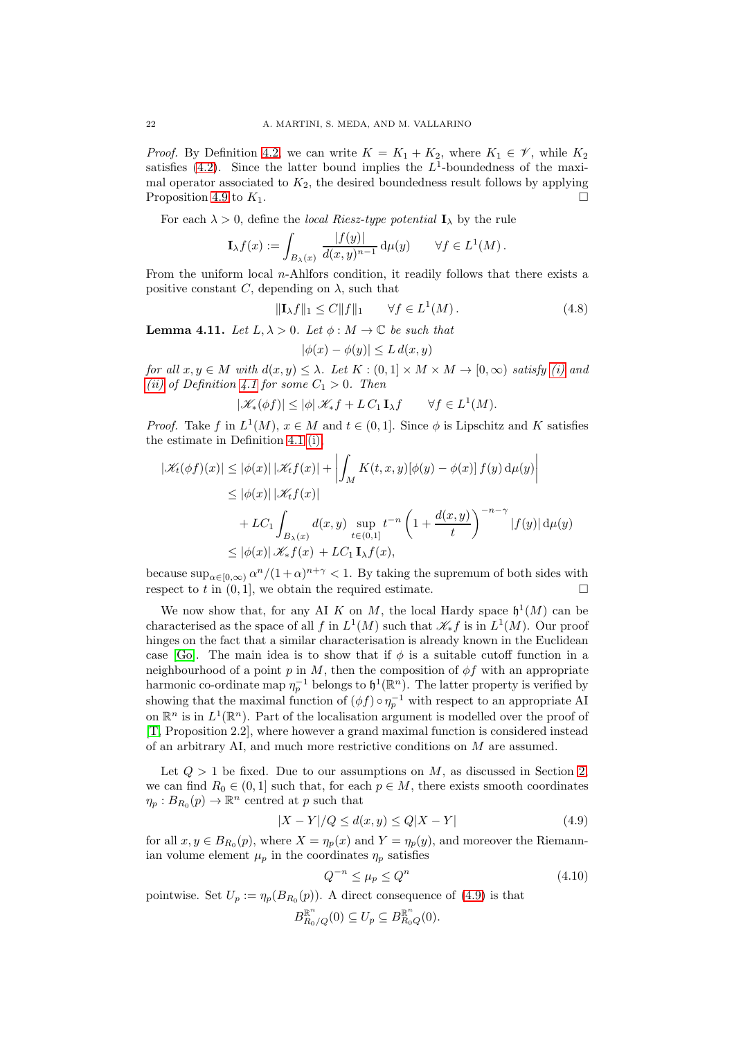*Proof.* By Definition [4.2,](#page-17-2) we can write  $K = K_1 + K_2$ , where  $K_1 \in \mathcal{V}$ , while  $K_2$ satisfies [\(4.2\)](#page-17-7). Since the latter bound implies the  $L^1$ -boundedness of the maximal operator associated to  $K_2$ , the desired boundedness result follows by applying Proposition [4.9](#page-20-1) to  $K_1$ .

For each  $\lambda > 0$ , define the *local Riesz-type potential*  $\mathbf{I}_{\lambda}$  by the rule

$$
\mathbf{I}_{\lambda}f(x) := \int_{B_{\lambda}(x)} \frac{|f(y)|}{d(x,y)^{n-1}} \, \mathrm{d}\mu(y) \qquad \forall f \in L^{1}(M) \, .
$$

From the uniform local n-Ahlfors condition, it readily follows that there exists a positive constant C, depending on  $\lambda$ , such that

<span id="page-21-2"></span>
$$
\|\mathbf{I}_{\lambda}f\|_{1} \le C\|f\|_{1} \qquad \forall f \in L^{1}(M). \tag{4.8}
$$

<span id="page-21-1"></span>**Lemma 4.11.** Let  $L, \lambda > 0$ . Let  $\phi : M \to \mathbb{C}$  be such that

$$
|\phi(x) - \phi(y)| \le L \, d(x, y)
$$

for all  $x, y \in M$  with  $d(x, y) \leq \lambda$ . Let  $K : (0, 1] \times M \times M \to [0, \infty)$  satisfy [\(i\)](#page-17-6) and [\(ii\)](#page-17-3) of Definition [4.1](#page-17-1) for some  $C_1 > 0$ . Then

$$
|\mathscr{K}_*(\phi f)| \le |\phi| \mathscr{K}_* f + L C_1 \mathbf{I}_{\lambda} f \qquad \forall f \in L^1(M).
$$

*Proof.* Take f in  $L^1(M)$ ,  $x \in M$  and  $t \in (0,1]$ . Since  $\phi$  is Lipschitz and K satisfies the estimate in Definition [4.1](#page-17-1) [\(i\),](#page-17-6)

$$
|\mathcal{K}_t(\phi f)(x)| \le |\phi(x)| |\mathcal{K}_t f(x)| + \left| \int_M K(t, x, y) [\phi(y) - \phi(x)] f(y) d\mu(y) \right|
$$
  
\n
$$
\le |\phi(x)| |\mathcal{K}_t f(x)|
$$
  
\n
$$
+ LC_1 \int_{B_\lambda(x)} d(x, y) \sup_{t \in (0, 1]} t^{-n} \left( 1 + \frac{d(x, y)}{t} \right)^{-n - \gamma} |f(y)| d\mu(y)
$$
  
\n
$$
\le |\phi(x)| \mathcal{K}_t f(x) + LC_1 \mathbf{I}_{\lambda} f(x),
$$

because  $\sup_{\alpha \in [0,\infty)} \alpha^n/(1+\alpha)^{n+\gamma} < 1$ . By taking the supremum of both sides with respect to t in  $(0, 1]$ , we obtain the required estimate.

We now show that, for any AI K on M, the local Hardy space  $\mathfrak{h}^1(M)$  can be characterised as the space of all f in  $L^1(M)$  such that  $\mathscr{K}_* f$  is in  $L^1(M)$ . Our proof hinges on the fact that a similar characterisation is already known in the Euclidean case [\[Go\]](#page-30-0). The main idea is to show that if  $\phi$  is a suitable cutoff function in a neighbourhood of a point p in M, then the composition of  $\phi f$  with an appropriate harmonic co-ordinate map  $\eta_p^{-1}$  belongs to  $\mathfrak{h}^1(\mathbb{R}^n)$ . The latter property is verified by showing that the maximal function of  $(\phi f) \circ \eta_p^{-1}$  with respect to an appropriate AI on  $\mathbb{R}^n$  is in  $L^1(\mathbb{R}^n)$ . Part of the localisation argument is modelled over the proof of [\[T,](#page-30-5) Proposition 2.2], where however a grand maximal function is considered instead of an arbitrary AI, and much more restrictive conditions on M are assumed.

Let  $Q > 1$  be fixed. Due to our assumptions on M, as discussed in Section [2,](#page-4-0) we can find  $R_0 \in (0,1]$  such that, for each  $p \in M$ , there exists smooth coordinates  $\eta_p: B_{R_0}(p) \to \mathbb{R}^n$  centred at p such that

<span id="page-21-0"></span>
$$
|X - Y|/Q \le d(x, y) \le Q|X - Y|
$$
\n<sup>(4.9)</sup>

for all  $x, y \in B_{R_0}(p)$ , where  $X = \eta_p(x)$  and  $Y = \eta_p(y)$ , and moreover the Riemannian volume element  $\mu_p$  in the coordinates  $\eta_p$  satisfies

<span id="page-21-3"></span>
$$
Q^{-n} \le \mu_p \le Q^n \tag{4.10}
$$

pointwise. Set  $U_p := \eta_p(B_{R_0}(p))$ . A direct consequence of [\(4.9\)](#page-21-0) is that

$$
B_{R_0/Q}^{\mathbb{R}^n}(0) \subseteq U_p \subseteq B_{R_0Q}^{\mathbb{R}^n}(0).
$$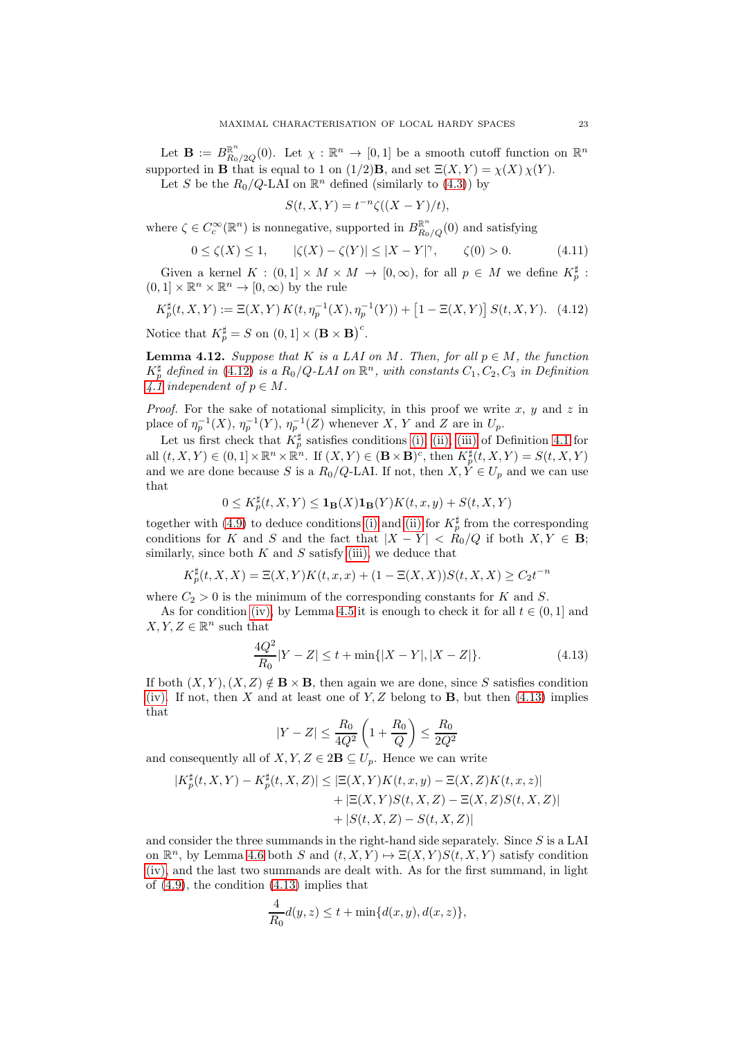Let  $\mathbf{B} := B_{R_0/2Q}^{\mathbb{R}^n}(0)$ . Let  $\chi : \mathbb{R}^n \to [0,1]$  be a smooth cutoff function on  $\mathbb{R}^n$ supported in **B** that is equal to 1 on  $(1/2)$ **B**, and set  $\Xi(X, Y) = \chi(X) \chi(Y)$ .

Let S be the  $R_0/Q$ -LAI on  $\mathbb{R}^n$  defined (similarly to [\(4.3\)](#page-18-2)) by

$$
S(t, X, Y) = t^{-n} \zeta((X - Y)/t),
$$

where  $\zeta \in C_c^{\infty}(\mathbb{R}^n)$  is nonnegative, supported in  $B_{R_0/Q}^{\mathbb{R}^n}(0)$  and satisfying

<span id="page-22-3"></span>
$$
0 \le \zeta(X) \le 1, \qquad |\zeta(X) - \zeta(Y)| \le |X - Y|^{\gamma}, \qquad \zeta(0) > 0. \tag{4.11}
$$

Given a kernel  $K : (0,1] \times M \times M \to [0,\infty)$ , for all  $p \in M$  we define  $K_p^{\sharp}$ :  $(0,1] \times \mathbb{R}^n \times \mathbb{R}^n \to [0,\infty)$  by the rule

<span id="page-22-0"></span>
$$
K_p^{\sharp}(t, X, Y) := \Xi(X, Y) K(t, \eta_p^{-1}(X), \eta_p^{-1}(Y)) + [1 - \Xi(X, Y)] S(t, X, Y). \tag{4.12}
$$

Notice that  $K_p^{\sharp} = S$  on  $(0, 1] \times (\mathbf{B} \times \mathbf{B})^c$ .

<span id="page-22-2"></span>**Lemma 4.12.** Suppose that K is a LAI on M. Then, for all  $p \in M$ , the function  $K_p^{\sharp}$  defined in [\(4.12\)](#page-22-0) is a  $R_0/Q$ -LAI on  $\mathbb{R}^n$ , with constants  $C_1, C_2, C_3$  in Definition [4.1](#page-17-1) independent of  $p \in M$ .

*Proof.* For the sake of notational simplicity, in this proof we write  $x, y$  and  $z$  in place of  $\eta_p^{-1}(X)$ ,  $\eta_p^{-1}(Y)$ ,  $\eta_p^{-1}(Z)$  whenever X, Y and Z are in  $U_p$ .

Let us first check that  $K_p^{\sharp}$  satisfies conditions [\(i\),](#page-17-6) [\(ii\),](#page-17-3) [\(iii\)](#page-17-8) of Definition [4.1](#page-17-1) for all  $(t, X, Y) \in (0, 1] \times \mathbb{R}^n \times \mathbb{R}^n$ . If  $(X, Y) \in (\mathbf{B} \times \mathbf{B})^c$ , then  $K_p^{\sharp}(t, X, Y) = S(t, X, Y)$ and we are done because S is a  $R_0/Q$ -LAI. If not, then  $X, \dot{Y} \in U_p$  and we can use that

$$
0 \le K_p^{\sharp}(t, X, Y) \le \mathbf{1}_{\mathbf{B}}(X)\mathbf{1}_{\mathbf{B}}(Y)K(t, x, y) + S(t, X, Y)
$$

together with [\(4.9\)](#page-21-0) to deduce conditions [\(i\)](#page-17-6) and [\(ii\)](#page-17-3) for  $K_p^{\sharp}$  from the corresponding conditions for K and S and the fact that  $|X - Y| < R_0/Q$  if both  $X, Y \in \mathbf{B}$ ; similarly, since both  $K$  and  $S$  satisfy [\(iii\),](#page-17-8) we deduce that

$$
K_p^{\sharp}(t, X, X) = \Xi(X, Y)K(t, x, x) + (1 - \Xi(X, X))S(t, X, X) \ge C_2 t^{-n}
$$

where  $C_2 > 0$  is the minimum of the corresponding constants for K and S.

As for condition [\(iv\),](#page-17-4) by Lemma [4.5](#page-18-3) it is enough to check it for all  $t \in (0,1]$  and  $X, Y, Z \in \mathbb{R}^n$  such that

<span id="page-22-1"></span>
$$
\frac{4Q^2}{R_0}|Y - Z| \le t + \min\{|X - Y|, |X - Z|\}.
$$
\n(4.13)

If both  $(X, Y), (X, Z) \notin \mathbf{B} \times \mathbf{B}$ , then again we are done, since S satisfies condition [\(iv\).](#page-17-4) If not, then X and at least one of Y, Z belong to B, but then  $(4.13)$  implies that

$$
|Y-Z| \leq \frac{R_0}{4Q^2}\left(1+\frac{R_0}{Q}\right) \leq \frac{R_0}{2Q^2}
$$

and consequently all of  $X, Y, Z \in 2\mathbf{B} \subseteq U_p$ . Hence we can write

$$
|K_p^{\sharp}(t, X, Y) - K_p^{\sharp}(t, X, Z)| \leq |\Xi(X, Y)K(t, x, y) - \Xi(X, Z)K(t, x, z)|
$$
  
+ 
$$
|\Xi(X, Y)S(t, X, Z) - \Xi(X, Z)S(t, X, Z)|
$$
  
+ 
$$
|S(t, X, Z) - S(t, X, Z)|
$$

and consider the three summands in the right-hand side separately. Since S is a LAI on  $\mathbb{R}^n$ , by Lemma [4.6](#page-18-1) both S and  $(t, X, Y) \mapsto \Xi(X, Y)S(t, X, Y)$  satisfy condition [\(iv\),](#page-17-4) and the last two summands are dealt with. As for the first summand, in light of [\(4.9\)](#page-21-0), the condition [\(4.13\)](#page-22-1) implies that

$$
\frac{4}{R_0}d(y,z) \le t + \min\{d(x,y), d(x,z)\},\
$$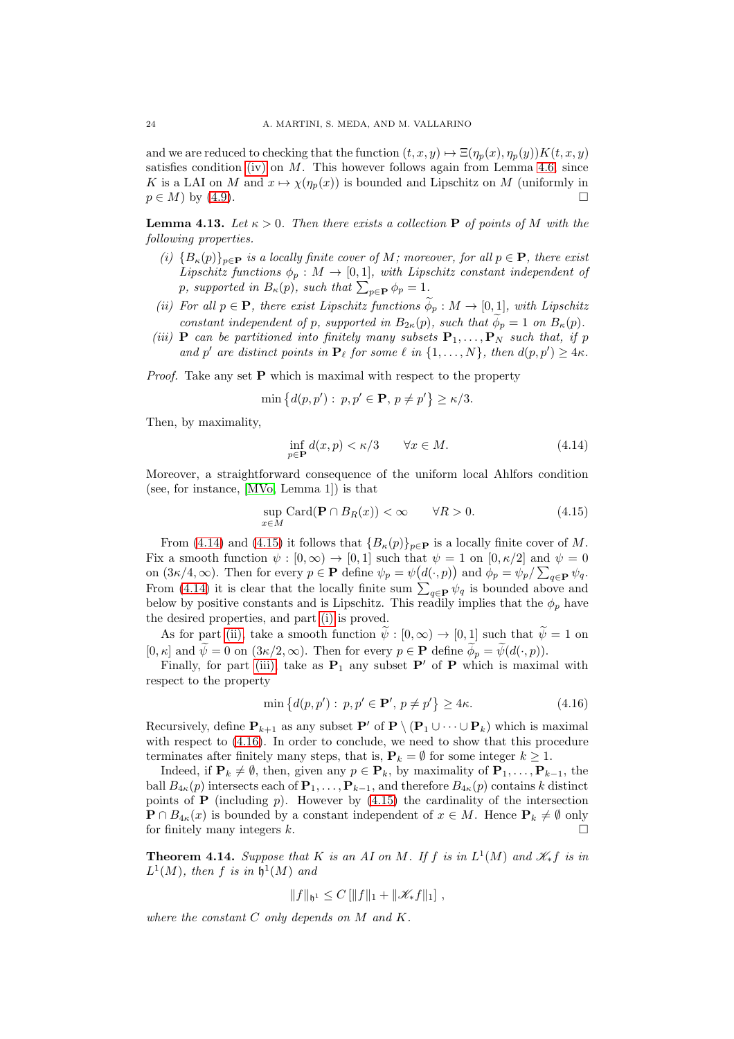and we are reduced to checking that the function  $(t, x, y) \mapsto \Xi(\eta_p(x), \eta_p(y))K(t, x, y)$ satisfies condition [\(iv\)](#page-17-4) on  $M$ . This however follows again from Lemma [4.6,](#page-18-1) since K is a LAI on M and  $x \mapsto \chi(\eta_p(x))$  is bounded and Lipschitz on M (uniformly in  $p \in M$ ) by (4.9)  $p \in M$ ) by [\(4.9\)](#page-21-0).

<span id="page-23-6"></span><span id="page-23-2"></span>**Lemma 4.13.** Let  $\kappa > 0$ . Then there exists a collection **P** of points of M with the following properties.

- (i)  ${B_{\kappa}(p)}_{p\in\mathbf{P}}$  is a locally finite cover of M; moreover, for all  $p \in \mathbf{P}$ , there exist Lipschitz functions  $\phi_p : M \to [0,1]$ , with Lipschitz constant independent of p, supported in  $B_{\kappa}(p)$ , such that  $\sum_{p\in\mathbf{P}} \phi_p = 1$ .
- <span id="page-23-3"></span>(ii) For all  $p \in \mathbf{P}$ , there exist Lipschitz functions  $\phi_p : M \to [0,1]$ , with Lipschitz constant independent of p, supported in  $B_{2\kappa}(p)$ , such that  $\phi_p = 1$  on  $B_{\kappa}(p)$ .
- <span id="page-23-4"></span>(iii) **P** can be partitioned into finitely many subsets  $P_1, \ldots, P_N$  such that, if p and p' are distinct points in  $\mathbf{P}_{\ell}$  for some  $\ell$  in  $\{1,\ldots,N\}$ , then  $d(p,p') \geq 4\kappa$ .

*Proof.* Take any set  $P$  which is maximal with respect to the property

$$
\min\big\{d(p,p'):\ p,p'\in\mathbf{P},\ p\neq p'\big\}\geq\kappa/3.
$$

Then, by maximality,

<span id="page-23-0"></span>
$$
\inf_{p \in \mathbf{P}} d(x, p) < \kappa/3 \qquad \forall x \in M. \tag{4.14}
$$

Moreover, a straightforward consequence of the uniform local Ahlfors condition (see, for instance, [\[MVo,](#page-30-7) Lemma 1]) is that

<span id="page-23-1"></span>
$$
\sup_{x \in M} \text{Card}(\mathbf{P} \cap B_R(x)) < \infty \qquad \forall R > 0. \tag{4.15}
$$

From [\(4.14\)](#page-23-0) and [\(4.15\)](#page-23-1) it follows that  ${B_{\kappa}(p)}_{p\in\mathbf{P}}$  is a locally finite cover of M. Fix a smooth function  $\psi : [0, \infty) \to [0, 1]$  such that  $\psi = 1$  on  $[0, \kappa/2]$  and  $\psi = 0$ on  $(3\kappa/4, \infty)$ . Then for every  $p \in \mathbf{P}$  define  $\psi_p = \psi(d(\cdot, p))$  and  $\phi_p = \psi_p / \sum_{q \in \mathbf{P}} \psi_q$ . From [\(4.14\)](#page-23-0) it is clear that the locally finite sum  $\sum_{q \in \mathbf{P}} \psi_q$  is bounded above and below by positive constants and is Lipschitz. This readily implies that the  $\phi_p$  have the desired properties, and part [\(i\)](#page-23-2) is proved.

As for part [\(ii\),](#page-23-3) take a smooth function  $\tilde{\psi} : [0, \infty) \to [0, 1]$  such that  $\tilde{\psi} = 1$  on [0,  $\kappa$ ] and  $\widetilde{\psi} = 0$  on  $(3\kappa/2, \infty)$ . Then for every  $p \in \mathbf{P}$  define  $\widetilde{\phi}_p = \widetilde{\psi}(d(\cdot, p)).$ 

Finally, for part [\(iii\),](#page-23-4) take as  $P_1$  any subset  $P'$  of P which is maximal with respect to the property

<span id="page-23-5"></span>
$$
\min\left\{d(p, p'): p, p' \in \mathbf{P}', p \neq p'\right\} \ge 4\kappa. \tag{4.16}
$$

Recursively, define  $\mathbf{P}_{k+1}$  as any subset  $\mathbf{P}'$  of  $\mathbf{P} \setminus (\mathbf{P}_1 \cup \cdots \cup \mathbf{P}_k)$  which is maximal with respect to  $(4.16)$ . In order to conclude, we need to show that this procedure terminates after finitely many steps, that is,  $P_k = \emptyset$  for some integer  $k \geq 1$ .

Indeed, if  $\mathbf{P}_k \neq \emptyset$ , then, given any  $p \in \mathbf{P}_k$ , by maximality of  $\mathbf{P}_1, \ldots, \mathbf{P}_{k-1}$ , the ball  $B_{4\kappa}(p)$  intersects each of  $\mathbf{P}_1, \ldots, \mathbf{P}_{k-1}$ , and therefore  $B_{4\kappa}(p)$  contains k distinct points of  $P$  (including  $p$ ). However by  $(4.15)$  the cardinality of the intersection  $\mathbf{P} \cap B_{4\kappa}(x)$  is bounded by a constant independent of  $x \in M$ . Hence  $\mathbf{P}_k \neq \emptyset$  only for finitely many integers k for finitely many integers  $k$ .

<span id="page-23-7"></span>**Theorem 4.14.** Suppose that K is an AI on M. If f is in  $L^1(M)$  and  $\mathcal{K}_*f$  is in  $L^1(M)$ , then f is in  $\mathfrak{h}^1(M)$  and

$$
||f||_{\mathfrak{h}^1} \leq C [||f||_1 + ||\mathcal{K}_* f||_1],
$$

where the constant  $C$  only depends on  $M$  and  $K$ .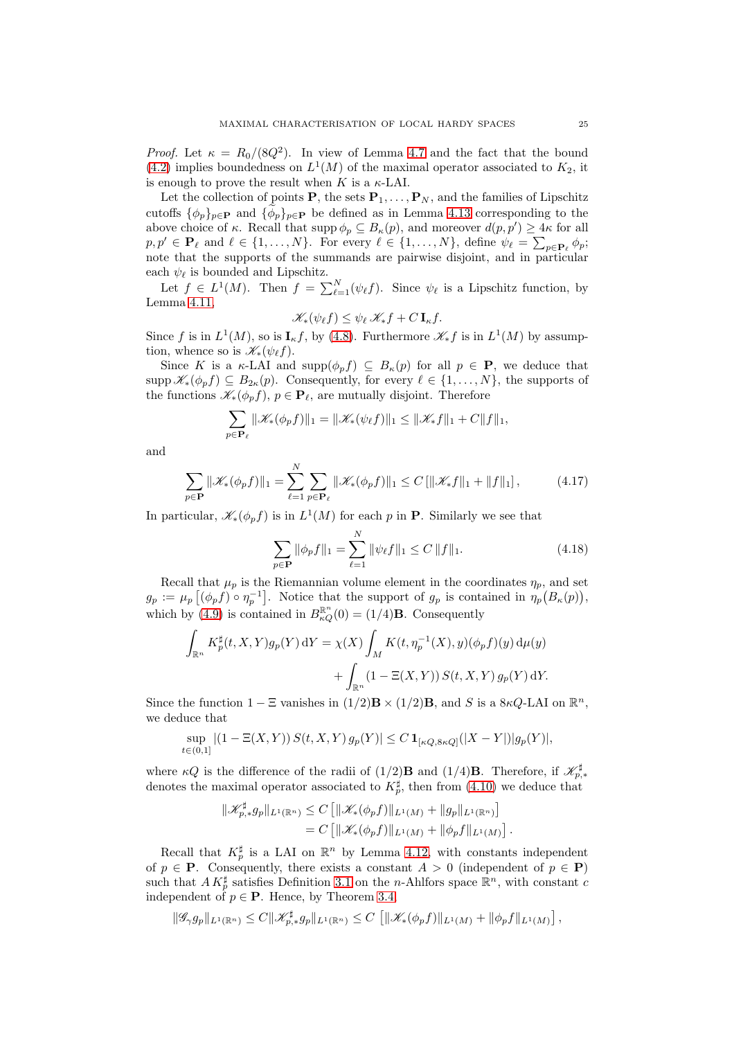*Proof.* Let  $\kappa = R_0/(8Q^2)$ . In view of Lemma [4.7](#page-19-1) and the fact that the bound [\(4.2\)](#page-17-7) implies boundedness on  $L^1(M)$  of the maximal operator associated to  $K_2$ , it is enough to prove the result when K is a  $\kappa$ -LAI.

Let the collection of points **P**, the sets  $P_1, \ldots, P_N$ , and the families of Lipschitz cutoffs  $\{\phi_p\}_{p\in\mathbf{P}}$  and  $\{\widetilde{\phi}_p\}_{p\in\mathbf{P}}$  be defined as in Lemma [4.13](#page-23-6) corresponding to the above choice of  $\kappa$ . Recall that  $\text{supp }\phi_p \subseteq B_{\kappa}(p)$ , and moreover  $d(p, p') \geq 4\kappa$  for all  $p, p' \in \mathbf{P}_{\ell} \text{ and } \ell \in \{1, \ldots, N\}.$  For every  $\ell \in \{1, \ldots, N\}$ , define  $\psi_{\ell} = \sum_{p \in \mathbf{P}_{\ell}} \phi_p$ ; note that the supports of the summands are pairwise disjoint, and in particular each  $\psi_{\ell}$  is bounded and Lipschitz.

Let  $f \in L^1(M)$ . Then  $f = \sum_{\ell=1}^N (\psi_\ell f)$ . Since  $\psi_\ell$  is a Lipschitz function, by Lemma [4.11,](#page-21-1)

$$
\mathscr{K}_*(\psi_{\ell} f) \leq \psi_{\ell} \mathscr{K}_* f + C \mathbf{I}_{\kappa} f.
$$

Since f is in  $L^1(M)$ , so is  $I_{\kappa}f$ , by [\(4.8\)](#page-21-2). Furthermore  $\mathscr{K}_{*}f$  is in  $L^1(M)$  by assumption, whence so is  $\mathscr{K}_*(\psi_f)$ .

Since K is a  $\kappa$ -LAI and supp $(\phi_p f) \subseteq B_{\kappa}(p)$  for all  $p \in \mathbf{P}$ , we deduce that supp  $\mathscr{K}_{*}(\phi_{p}f) \subseteq B_{2\kappa}(p)$ . Consequently, for every  $\ell \in \{1,\ldots,N\}$ , the supports of the functions  $\mathscr{K}_{*}(\phi_{p}f), p \in \mathbf{P}_{\ell}$ , are mutually disjoint. Therefore

$$
\sum_{p\in\mathbf{P}_{\ell}}\|\mathscr{K}_{*}(\phi_{p}f)\|_{1}=\|\mathscr{K}_{*}(\psi_{\ell}f)\|_{1}\leq\|\mathscr{K}_{*}f\|_{1}+C\|f\|_{1},
$$

and

<span id="page-24-0"></span>
$$
\sum_{p \in \mathbf{P}} \|\mathcal{K}_*(\phi_p f)\|_1 = \sum_{\ell=1}^N \sum_{p \in \mathbf{P}_{\ell}} \|\mathcal{K}_*(\phi_p f)\|_1 \le C \left[ \|\mathcal{K}_* f\|_1 + \|f\|_1 \right],\tag{4.17}
$$

In particular,  $\mathscr{K}_*(\phi_p f)$  is in  $L^1(M)$  for each p in **P**. Similarly we see that

<span id="page-24-1"></span>
$$
\sum_{p \in \mathbf{P}} \|\phi_p f\|_1 = \sum_{\ell=1}^N \|\psi_\ell f\|_1 \le C \|f\|_1.
$$
 (4.18)

Recall that  $\mu_p$  is the Riemannian volume element in the coordinates  $\eta_p$ , and set  $g_p := \mu_p \left[ (\phi_p f) \circ \eta_p^{-1} \right]$ . Notice that the support of  $g_p$  is contained in  $\eta_p(B_\kappa(p)),$ which by [\(4.9\)](#page-21-0) is contained in  $B_{\kappa Q}^{\mathbb{R}^n}(0) = (1/4)\mathbf{B}$ . Consequently

$$
\int_{\mathbb{R}^n} K_p^{\sharp}(t, X, Y) g_p(Y) dY = \chi(X) \int_M K(t, \eta_p^{-1}(X), y) (\phi_p f)(y) d\mu(y)
$$

$$
+ \int_{\mathbb{R}^n} (1 - \Xi(X, Y)) S(t, X, Y) g_p(Y) dY.
$$

Since the function  $1 - \Xi$  vanishes in  $(1/2)\mathbf{B} \times (1/2)\mathbf{B}$ , and S is a  $8\kappa Q$ -LAI on  $\mathbb{R}^n$ , we deduce that

$$
\sup_{t \in (0,1]} |(1 - \Xi(X, Y)) S(t, X, Y) g_p(Y)| \le C \mathbf{1}_{[\kappa Q, 8\kappa Q]}(|X - Y|) |g_p(Y)|,
$$

where  $\kappa Q$  is the difference of the radii of  $(1/2)$ **B** and  $(1/4)$ **B**. Therefore, if  $\mathscr{K}_{p,*}^{\sharp}$ denotes the maximal operator associated to  $K_p^{\sharp}$ , then from [\(4.10\)](#page-21-3) we deduce that

$$
\|\mathscr{K}_{p,*}^{\sharp}g_{p}\|_{L^{1}(\mathbb{R}^{n})} \leq C \left[\|\mathscr{K}_{*}(\phi_{p}f)\|_{L^{1}(M)} + \|g_{p}\|_{L^{1}(\mathbb{R}^{n})}\right]
$$
  
=  $C \left[\|\mathscr{K}_{*}(\phi_{p}f)\|_{L^{1}(M)} + \|\phi_{p}f\|_{L^{1}(M)}\right].$ 

Recall that  $K_p^{\sharp}$  is a LAI on  $\mathbb{R}^n$  by Lemma [4.12,](#page-22-2) with constants independent of  $p \in \mathbf{P}$ . Consequently, there exists a constant  $A > 0$  (independent of  $p \in \mathbf{P}$ ) such that  $AK_p^{\sharp}$  satisfies Definition [3.1](#page-8-3) on the *n*-Ahlfors space  $\mathbb{R}^n$ , with constant c independent of  $p \in \mathbf{P}$ . Hence, by Theorem [3.4,](#page-8-2)

$$
\|\mathscr{G}_{\gamma} g_p\|_{L^1(\mathbb{R}^n)} \leq C \|\mathscr{K}_{p,*}^{\sharp} g_p\|_{L^1(\mathbb{R}^n)} \leq C \left[ \|\mathscr{K}_*(\phi_p f)\|_{L^1(M)} + \|\phi_p f\|_{L^1(M)} \right],
$$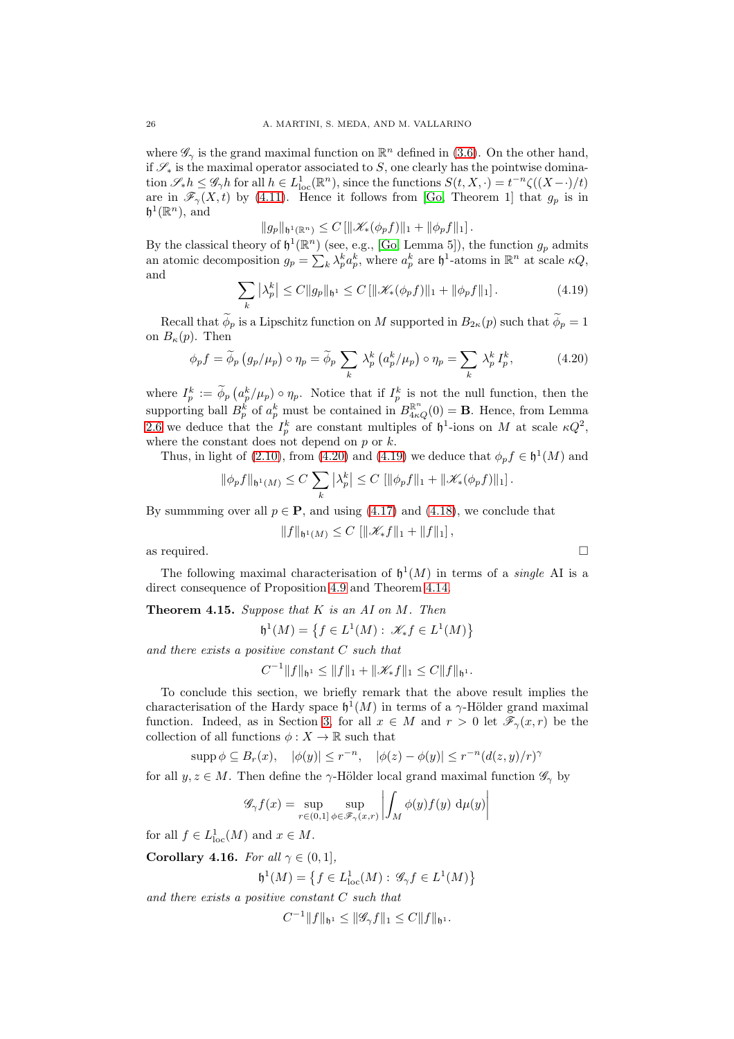where  $\mathscr{G}_{\gamma}$  is the grand maximal function on  $\mathbb{R}^{n}$  defined in [\(3.6\)](#page-8-6). On the other hand, if  $\mathscr{S}_*$  is the maximal operator associated to S, one clearly has the pointwise domination  $\mathscr{S}_{*}h \leq \mathscr{G}_{\gamma}h$  for all  $h \in L^1_{loc}(\mathbb{R}^n)$ , since the functions  $S(t, X, \cdot) = t^{-n}\zeta((X-\cdot)/t)$ are in  $\mathscr{F}_\gamma(X,t)$  by [\(4.11\)](#page-22-3). Hence it follows from [\[Go,](#page-30-0) Theorem 1] that  $g_p$  is in  $\mathfrak{h}^1(\mathbb{R}^n)$ , and

 $||q_p||_{h^1(\mathbb{R}^n)} \leq C \left[||\mathcal{K}_*(\phi_p f)||_1 + ||\phi_p f||_1\right].$ 

By the classical theory of  $\mathfrak{h}^1(\mathbb{R}^n)$  (see, e.g., [\[Go,](#page-30-0) Lemma 5]), the function  $g_p$  admits an atomic decomposition  $g_p = \sum_k \lambda_p^k a_p^k$ , where  $a_p^k$  are  $\mathfrak{h}^1$ -atoms in  $\mathbb{R}^n$  at scale  $\kappa Q$ , and

<span id="page-25-2"></span>
$$
\sum_{k} |\lambda_p^k| \le C \|g_p\|_{\mathfrak{h}^1} \le C \left[ \|\mathcal{K}_*(\phi_p f)\|_1 + \|\phi_p f\|_1 \right]. \tag{4.19}
$$

Recall that  $\widetilde{\phi}_p$  is a Lipschitz function on M supported in  $B_{2\kappa}(p)$  such that  $\widetilde{\phi}_p = 1$ on  $B_{\kappa}(p)$ . Then

<span id="page-25-1"></span>
$$
\phi_p f = \widetilde{\phi}_p \left( g_p / \mu_p \right) \circ \eta_p = \widetilde{\phi}_p \sum_k \lambda_p^k \left( a_p^k / \mu_p \right) \circ \eta_p = \sum_k \lambda_p^k I_p^k, \tag{4.20}
$$

where  $I_p^k := \widetilde{\phi}_p \left( a_p^k / \mu_p \right) \circ \eta_p$ . Notice that if  $I_p^k$  is not the null function, then the supporting ball  $B_p^k$  of  $a_p^k$  must be contained in  $B_{4\kappa Q}^{\mathbb{R}^n}(0) = \mathbf{B}$ . Hence, from Lemma [2.6](#page-6-5) we deduce that the  $I_p^k$  are constant multiples of  $\mathfrak{h}^1$ -ions on M at scale  $\kappa Q^2$ , where the constant does not depend on  $p$  or  $k$ .

Thus, in light of [\(2.10\)](#page-6-1), from [\(4.20\)](#page-25-1) and [\(4.19\)](#page-25-2) we deduce that  $\phi_p f \in \mathfrak{h}^1(M)$  and

$$
\|\phi_p f\|_{\mathfrak{h}^1(M)} \leq C \sum_k |\lambda_p^k| \leq C \left[ \|\phi_p f\|_1 + \|\mathcal{K}_*(\phi_p f)\|_1 \right].
$$

By summing over all  $p \in \mathbf{P}$ , and using [\(4.17\)](#page-24-0) and [\(4.18\)](#page-24-1), we conclude that

$$
||f||_{\mathfrak{h}^1(M)} \leq C [||\mathcal{K}_* f||_1 + ||f||_1],
$$

as required.  $\square$ 

The following maximal characterisation of  $\mathfrak{h}^1(M)$  in terms of a *single* AI is a direct consequence of Proposition [4.9](#page-20-1) and Theorem [4.14.](#page-23-7)

<span id="page-25-3"></span>**Theorem 4.15.** Suppose that  $K$  is an  $AI$  on  $M$ . Then

 $\mathfrak{h}^1(M) = \left\{ f \in L^1(M) : \, \mathscr{K}_* f \in L^1(M) \right\}$ 

and there exists a positive constant  $C$  such that

 $C^{-1}||f||_{\mathfrak{h}^1} \leq ||f||_1 + ||\mathscr{K}_*f||_1 \leq C||f||_{\mathfrak{h}^1}.$ 

To conclude this section, we briefly remark that the above result implies the characterisation of the Hardy space  $\mathfrak{h}^1(M)$  in terms of a  $\gamma$ -Hölder grand maximal function. Indeed, as in Section [3,](#page-7-1) for all  $x \in M$  and  $r > 0$  let  $\mathscr{F}_{\gamma}(x, r)$  be the collection of all functions  $\phi: X \to \mathbb{R}$  such that

 $\text{supp}\,\phi\subseteq B_r(x),\quad |\phi(y)|\leq r^{-n},\quad |\phi(z)-\phi(y)|\leq r^{-n}(d(z,y)/r)^{\gamma}$ 

for all  $y, z \in M$ . Then define the  $\gamma$ -Hölder local grand maximal function  $\mathscr{G}_{\gamma}$  by

$$
\mathscr{G}_{\gamma}f(x) = \sup_{r \in (0,1]} \sup_{\phi \in \mathscr{F}_{\gamma}(x,r)} \left| \int_M \phi(y)f(y) \, \mathrm{d}\mu(y) \right|
$$

for all  $f \in L^1_{loc}(M)$  and  $x \in M$ .

<span id="page-25-0"></span>Corollary 4.16. For all  $\gamma \in (0,1]$ ,

 $\mathfrak{h}^1(M) = \left\{ f \in L^1_{\rm loc}(M) : \, \mathscr{G}_{\gamma} f \in L^1(M) \right\}$ 

and there exists a positive constant C such that

 $C^{-1} ||f||_{\mathfrak{h}^1} \leq ||\mathscr{G}_{\gamma}f||_1 \leq C ||f||_{\mathfrak{h}^1}.$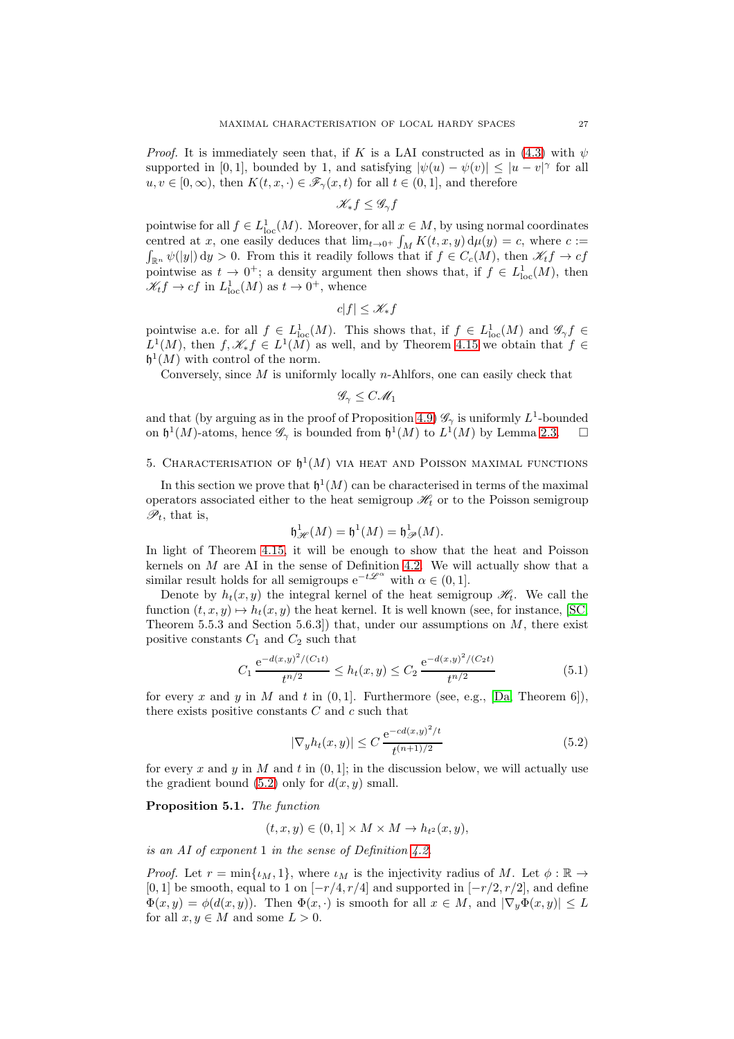*Proof.* It is immediately seen that, if K is a LAI constructed as in [\(4.3\)](#page-18-2) with  $\psi$ supported in [0, 1], bounded by 1, and satisfying  $|\psi(u) - \psi(v)| \leq |u - v|^{\gamma}$  for all  $u, v \in [0, \infty)$ , then  $K(t, x, \cdot) \in \mathscr{F}_{\gamma}(x, t)$  for all  $t \in (0, 1]$ , and therefore

$$
\mathscr{K}_*f\leq \mathscr{G}_\gamma f
$$

pointwise for all  $f \in L^1_{loc}(M)$ . Moreover, for all  $x \in M$ , by using normal coordinates centred at x, one easily deduces that  $\lim_{t\to 0^+} \int_M K(t, x, y) d\mu(y) = c$ , where  $c :=$ <br> $\int_{\mathbb{R}^n} \psi(|y|) dy > 0$ . From this it readily follows that if  $f \in C_c(M)$ , then  $\mathcal{H}_t f \to cf$  $\int_{\mathbb{R}^n} \psi(|y|) dy > 0$ . From this it readily follows that if  $f \in C_c(M)$ , then  $\mathscr{K}_t f \to cf$ pointwise as  $t \to 0^+$ ; a density argument then shows that, if  $f \in L^1_{loc}(M)$ , then  $\mathscr{K}_t f \to c f$  in  $L^1_{loc}(M)$  as  $t \to 0^+$ , whence

$$
c|f|\leq \mathscr{K}_*f
$$

pointwise a.e. for all  $f \in L^1_{loc}(M)$ . This shows that, if  $f \in L^1_{loc}(M)$  and  $\mathscr{G}_{\gamma} f \in$  $L^1(M)$ , then  $f, \mathscr{K}_* f \in L^1(M)$  as well, and by Theorem [4.15](#page-25-3) we obtain that  $f \in$  $\mathfrak{h}^1(M)$  with control of the norm.

Conversely, since  $M$  is uniformly locally n-Ahlfors, one can easily check that

 $\mathscr{G}_{\gamma} \leq C \mathscr{M}_1$ 

and that (by arguing as in the proof of Proposition [4.9\)](#page-20-1)  $\mathscr{G}_{\gamma}$  is uniformly  $L^{1}$ -bounded on  $\mathfrak{h}^1(M)$ -atoms, hence  $\mathscr{G}_{\gamma}$  is bounded from  $\mathfrak{h}^1(M)$  to  $L^1(M)$  by Lemma [2.3.](#page-5-2)  $\Box$ 

# <span id="page-26-0"></span>5. CHARACTERISATION OF  $\mathfrak{h}^1(M)$  via heat and Poisson maximal functions

In this section we prove that  $\mathfrak{h}^1(M)$  can be characterised in terms of the maximal operators associated either to the heat semigroup  $\mathcal{H}_t$  or to the Poisson semigroup  $\mathscr{P}_t$ , that is,

$$
\mathfrak{h}_{\mathcal{H}}^{1}(M) = \mathfrak{h}^{1}(M) = \mathfrak{h}_{\mathcal{P}}^{1}(M).
$$

In light of Theorem [4.15,](#page-25-3) it will be enough to show that the heat and Poisson kernels on  $M$  are AI in the sense of Definition [4.2.](#page-17-2) We will actually show that a similar result holds for all semigroups  $e^{-t\mathscr{L}^{\alpha}}$  with  $\alpha \in (0, 1]$ .

Denote by  $h_t(x, y)$  the integral kernel of the heat semigroup  $\mathcal{H}_t$ . We call the function  $(t, x, y) \mapsto h_t(x, y)$  the heat kernel. It is well known (see, for instance, [\[SC,](#page-30-15) Theorem 5.5.3 and Section 5.6.3. that, under our assumptions on  $M$ , there exist positive constants  $C_1$  and  $C_2$  such that

<span id="page-26-2"></span>
$$
C_1 \frac{e^{-d(x,y)^2/(C_1 t)}}{t^{n/2}} \le h_t(x,y) \le C_2 \frac{e^{-d(x,y)^2/(C_2 t)}}{t^{n/2}}
$$
(5.1)

for every x and y in M and t in  $(0, 1]$ . Furthermore (see, e.g., [\[Da,](#page-30-19) Theorem 6]), there exists positive constants  $C$  and  $c$  such that

<span id="page-26-1"></span>
$$
|\nabla_y h_t(x, y)| \le C \frac{e^{-cd(x, y)^2/t}}{t^{(n+1)/2}}
$$
(5.2)

for every x and y in M and t in  $(0, 1]$ ; in the discussion below, we will actually use the gradient bound  $(5.2)$  only for  $d(x, y)$  small.

### <span id="page-26-3"></span>Proposition 5.1. The function

$$
(t, x, y) \in (0, 1] \times M \times M \to h_{t^2}(x, y),
$$

is an AI of exponent 1 in the sense of Definition [4.2.](#page-17-2)

*Proof.* Let  $r = \min\{\iota_M, 1\}$ , where  $\iota_M$  is the injectivity radius of M. Let  $\phi : \mathbb{R} \to$ [0, 1] be smooth, equal to 1 on  $[-r/4, r/4]$  and supported in  $[-r/2, r/2]$ , and define  $\Phi(x, y) = \phi(d(x, y))$ . Then  $\Phi(x, \cdot)$  is smooth for all  $x \in M$ , and  $|\nabla_y \Phi(x, y)| \leq L$ for all  $x, y \in M$  and some  $L > 0$ .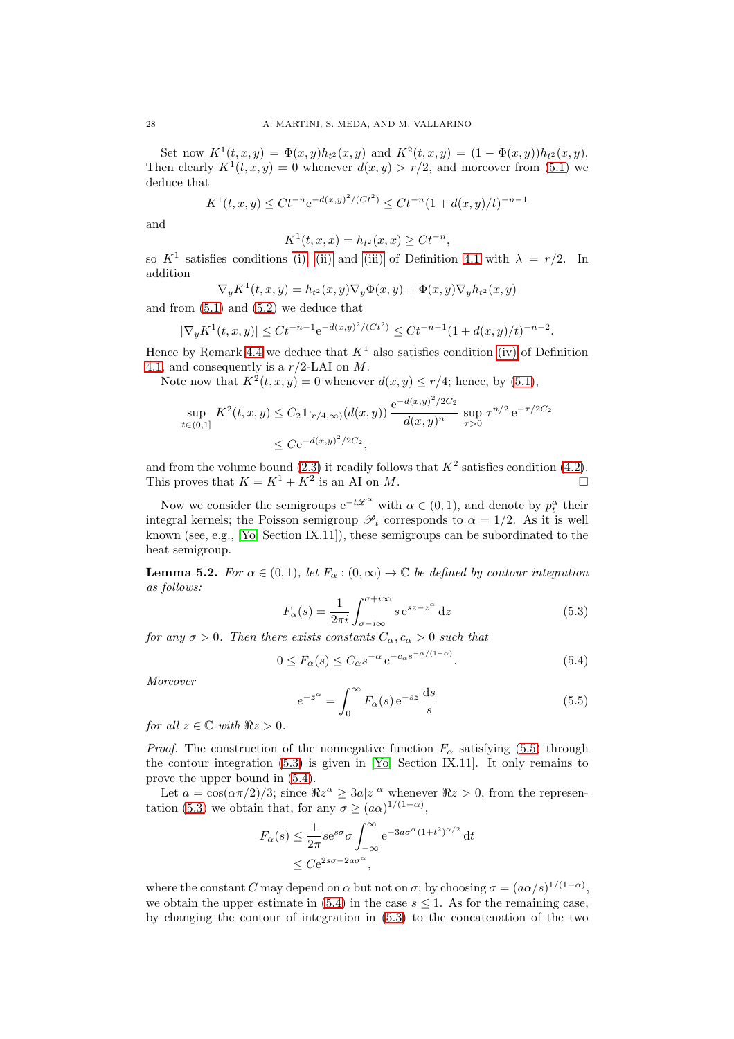Set now  $K^1(t, x, y) = \Phi(x, y)h_{t^2}(x, y)$  and  $K^2(t, x, y) = (1 - \Phi(x, y))h_{t^2}(x, y)$ . Then clearly  $K^1(t, x, y) = 0$  whenever  $d(x, y) > r/2$ , and moreover from [\(5.1\)](#page-26-2) we deduce that

$$
K^{1}(t, x, y) \leq Ct^{-n} e^{-d(x, y)^{2}/(Ct^{2})} \leq Ct^{-n} (1 + d(x, y)/t)^{-n-1}
$$

and

$$
K^{1}(t, x, x) = h_{t^{2}}(x, x) \geq Ct^{-n},
$$

so  $K^1$  satisfies conditions [\(i\),](#page-17-6) [\(ii\)](#page-17-3) and [\(iii\)](#page-17-8) of Definition [4.1](#page-17-1) with  $\lambda = r/2$ . In addition

$$
\nabla_y K^1(t, x, y) = h_{t^2}(x, y) \nabla_y \Phi(x, y) + \Phi(x, y) \nabla_y h_{t^2}(x, y)
$$

and from [\(5.1\)](#page-26-2) and [\(5.2\)](#page-26-1) we deduce that

$$
|\nabla_y K^1(t, x, y)| \leq Ct^{-n-1} e^{-d(x, y)^2/(Ct^2)} \leq Ct^{-n-1} (1 + d(x, y)/t)^{-n-2}.
$$

Hence by Remark [4.4](#page-17-9) we deduce that  $K^1$  also satisfies condition [\(iv\)](#page-17-4) of Definition [4.1,](#page-17-1) and consequently is a r/2-LAI on M.

Note now that  $K^2(t, x, y) = 0$  whenever  $d(x, y) \le r/4$ ; hence, by [\(5.1\)](#page-26-2),

$$
\sup_{t \in (0,1]} K^2(t,x,y) \le C_2 \mathbf{1}_{[r/4,\infty)}(d(x,y)) \frac{e^{-d(x,y)^2/2C_2}}{d(x,y)^n} \sup_{\tau > 0} \tau^{n/2} e^{-\tau/2C_2} \le C e^{-d(x,y)^2/2C_2},
$$

and from the volume bound [\(2.3\)](#page-4-6) it readily follows that  $K^2$  satisfies condition [\(4.2\)](#page-17-7). This proves that  $K = K^1 + K^2$  is an AI on M.

Now we consider the semigroups  $e^{-t\mathscr{L}^{\alpha}}$  with  $\alpha \in (0, 1)$ , and denote by  $p_t^{\alpha}$  their integral kernels; the Poisson semigroup  $\mathscr{P}_t$  corresponds to  $\alpha = 1/2$ . As it is well known (see, e.g., [\[Yo,](#page-30-20) Section IX.11]), these semigroups can be subordinated to the heat semigroup.

<span id="page-27-3"></span>**Lemma 5.2.** For  $\alpha \in (0,1)$ , let  $F_{\alpha} : (0,\infty) \to \mathbb{C}$  be defined by contour integration as follows:

<span id="page-27-1"></span>
$$
F_{\alpha}(s) = \frac{1}{2\pi i} \int_{\sigma - i\infty}^{\sigma + i\infty} s e^{sz - z^{\alpha}} dz
$$
 (5.3)

for any  $\sigma > 0$ . Then there exists constants  $C_{\alpha}, c_{\alpha} > 0$  such that

<span id="page-27-2"></span>
$$
0 \le F_{\alpha}(s) \le C_{\alpha} s^{-\alpha} e^{-c_{\alpha} s^{-\alpha/(1-\alpha)}}.
$$
\n(5.4)

Moreover

<span id="page-27-0"></span>
$$
e^{-z^{\alpha}} = \int_0^{\infty} F_{\alpha}(s) e^{-sz} \frac{ds}{s}
$$
 (5.5)

for all  $z \in \mathbb{C}$  with  $\Re z > 0$ .

*Proof.* The construction of the nonnegative function  $F_{\alpha}$  satisfying [\(5.5\)](#page-27-0) through the contour integration [\(5.3\)](#page-27-1) is given in [\[Yo,](#page-30-20) Section IX.11]. It only remains to prove the upper bound in  $(5.4)$ .

Let  $a = \cos(\alpha \pi/2)/3$ ; since  $\Re z^{\alpha} \ge 3a|z|^{\alpha}$  whenever  $\Re z > 0$ , from the represen-tation [\(5.3\)](#page-27-1) we obtain that, for any  $\sigma \geq (a\alpha)^{1/(1-\alpha)}$ ,

$$
F_{\alpha}(s) \le \frac{1}{2\pi} s e^{s\sigma} \sigma \int_{-\infty}^{\infty} e^{-3a\sigma^{\alpha}(1+t^2)^{\alpha/2}} dt
$$
  
 
$$
\le C e^{2s\sigma - 2a\sigma^{\alpha}},
$$

where the constant C may depend on  $\alpha$  but not on  $\sigma$ ; by choosing  $\sigma = (a\alpha/s)^{1/(1-\alpha)}$ , we obtain the upper estimate in  $(5.4)$  in the case  $s \leq 1$ . As for the remaining case, by changing the contour of integration in [\(5.3\)](#page-27-1) to the concatenation of the two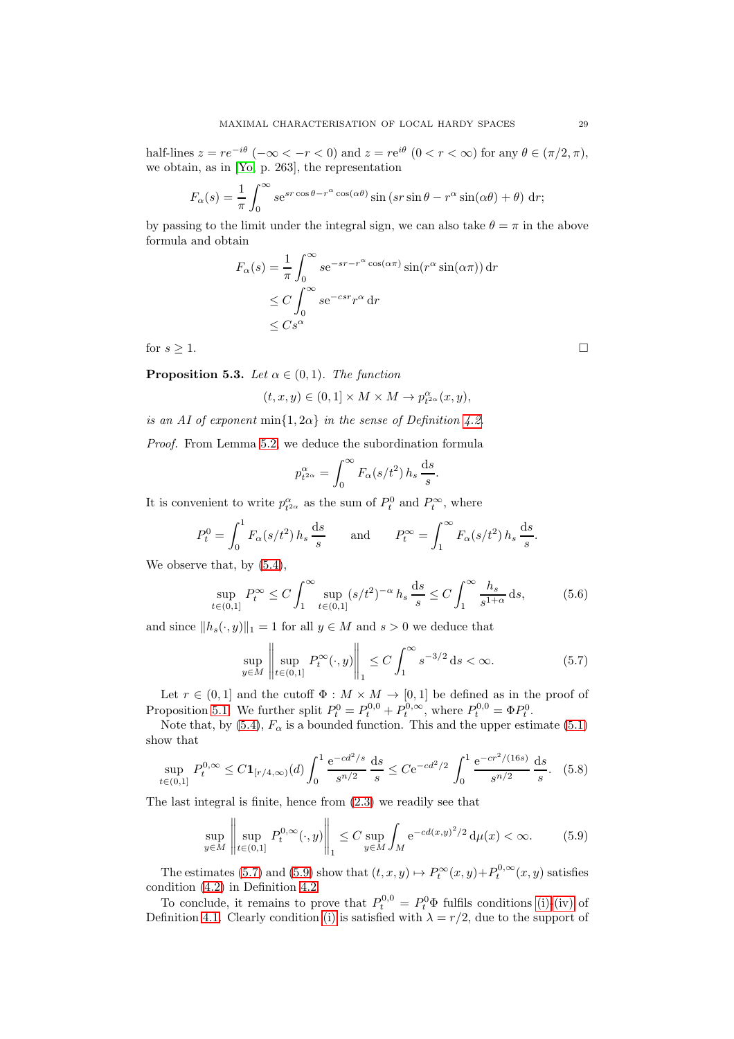half-lines  $z = re^{-i\theta}$  ( $-\infty < -r < 0$ ) and  $z = re^{i\theta}$  ( $0 < r < \infty$ ) for any  $\theta \in (\pi/2, \pi)$ , we obtain, as in [\[Yo,](#page-30-20) p. 263], the representation

$$
F_{\alpha}(s) = \frac{1}{\pi} \int_0^{\infty} s e^{sr \cos \theta - r^{\alpha} \cos(\alpha \theta)} \sin (sr \sin \theta - r^{\alpha} \sin(\alpha \theta) + \theta) dr;
$$

by passing to the limit under the integral sign, we can also take  $\theta = \pi$  in the above formula and obtain

$$
F_{\alpha}(s) = \frac{1}{\pi} \int_0^{\infty} s e^{-sr - r^{\alpha} \cos(\alpha \pi)} \sin(r^{\alpha} \sin(\alpha \pi)) dr
$$
  
\n
$$
\leq C \int_0^{\infty} s e^{-csr} r^{\alpha} dr
$$
  
\n
$$
\leq C s^{\alpha}
$$

for  $s \geq 1$ .

<span id="page-28-2"></span>**Proposition 5.3.** Let  $\alpha \in (0,1)$ . The function

$$
(t,x,y)\in (0,1]\times M\times M\rightarrow p_{t^{2\alpha}}^\alpha(x,y),
$$

is an AI of exponent min $\{1, 2\alpha\}$  in the sense of Definition [4.2.](#page-17-2)

Proof. From Lemma [5.2,](#page-27-3) we deduce the subordination formula

$$
p_{t^{2\alpha}}^{\alpha} = \int_0^{\infty} F_{\alpha}(s/t^2) h_s \frac{ds}{s}.
$$

It is convenient to write  $p_{t^{2\alpha}}^{\alpha}$  as the sum of  $P_t^0$  and  $P_t^{\infty}$ , where

$$
P_t^0 = \int_0^1 F_\alpha(s/t^2) h_s \frac{ds}{s} \quad \text{and} \quad P_t^\infty = \int_1^\infty F_\alpha(s/t^2) h_s \frac{ds}{s}.
$$

We observe that, by  $(5.4)$ ,

$$
\sup_{t \in (0,1]} P_t^{\infty} \le C \int_1^{\infty} \sup_{t \in (0,1]} (s/t^2)^{-\alpha} h_s \frac{ds}{s} \le C \int_1^{\infty} \frac{h_s}{s^{1+\alpha}} ds,
$$
 (5.6)

and since  $||h_s(\cdot, y)||_1 = 1$  for all  $y \in M$  and  $s > 0$  we deduce that

<span id="page-28-0"></span>
$$
\sup_{y \in M} \left\| \sup_{t \in (0,1]} P_t^{\infty}(\cdot, y) \right\|_1 \le C \int_1^{\infty} s^{-3/2} ds < \infty.
$$
 (5.7)

Let  $r \in (0,1]$  and the cutoff  $\Phi : M \times M \to [0,1]$  be defined as in the proof of Proposition [5.1.](#page-26-3) We further split  $P_t^0 = P_t^{0,0} + P_t^{0,\infty}$ , where  $P_t^{0,0} = \Phi P_t^0$ .

Note that, by [\(5.4\)](#page-27-2),  $F_{\alpha}$  is a bounded function. This and the upper estimate [\(5.1\)](#page-26-2) show that

$$
\sup_{t \in (0,1]} P_t^{0,\infty} \le C \mathbf{1}_{[r/4,\infty)}(d) \int_0^1 \frac{\mathrm{e}^{-c d^2/s}}{s^{n/2}} \, \frac{\mathrm{d}s}{s} \le C \mathrm{e}^{-c d^2/2} \int_0^1 \frac{\mathrm{e}^{-c r^2/(16s)}}{s^{n/2}} \, \frac{\mathrm{d}s}{s}. \tag{5.8}
$$

The last integral is finite, hence from [\(2.3\)](#page-4-6) we readily see that

<span id="page-28-1"></span>
$$
\sup_{y \in M} \left\| \sup_{t \in (0,1]} P_t^{0,\infty}(\cdot, y) \right\|_1 \le C \sup_{y \in M} \int_M e^{-cd(x,y)^2/2} d\mu(x) < \infty.
$$
 (5.9)

The estimates [\(5.7\)](#page-28-0) and [\(5.9\)](#page-28-1) show that  $(t, x, y) \mapsto P_t^{\infty}(x, y) + P_t^{0, \infty}(x, y)$  satisfies condition [\(4.2\)](#page-17-7) in Definition [4.2.](#page-17-2)

To conclude, it remains to prove that  $P_t^{0,0} = P_t^0 \Phi$  fulfils conditions [\(i\)-](#page-17-6)[\(iv\)](#page-17-4) of Definition [4.1.](#page-17-1) Clearly condition [\(i\)](#page-17-6) is satisfied with  $\lambda = r/2$ , due to the support of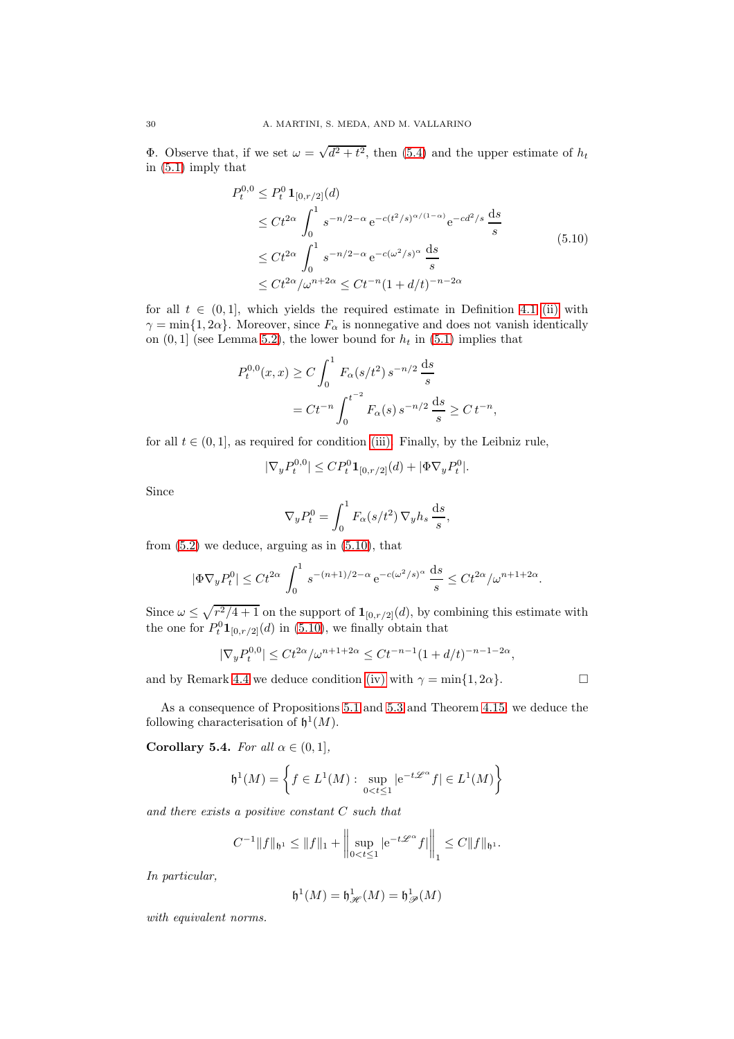**Φ**. Observe that, if we set  $\omega = \sqrt{d^2 + t^2}$ , then [\(5.4\)](#page-27-2) and the upper estimate of  $h_t$ in [\(5.1\)](#page-26-2) imply that

$$
P_t^{0,0} \le P_t^0 \mathbf{1}_{[0,r/2]}(d)
$$
  
\n
$$
\le Ct^{2\alpha} \int_0^1 s^{-n/2-\alpha} e^{-c(t^2/s)^{\alpha/(1-\alpha)}} e^{-cd^2/s} \frac{ds}{s}
$$
  
\n
$$
\le Ct^{2\alpha} \int_0^1 s^{-n/2-\alpha} e^{-c(\omega^2/s)^{\alpha}} \frac{ds}{s}
$$
  
\n
$$
\le Ct^{2\alpha}/\omega^{n+2\alpha} \le Ct^{-n}(1+d/t)^{-n-2\alpha}
$$
\n(5.10)

<span id="page-29-0"></span>for all  $t \in (0,1]$ , which yields the required estimate in Definition [4.1](#page-17-1) [\(ii\)](#page-17-3) with  $\gamma = \min\{1, 2\alpha\}$ . Moreover, since  $F_{\alpha}$  is nonnegative and does not vanish identically on  $(0, 1]$  (see Lemma [5.2\)](#page-27-3), the lower bound for  $h_t$  in [\(5.1\)](#page-26-2) implies that

$$
P_t^{0,0}(x,x) \ge C \int_0^1 F_\alpha(s/t^2) s^{-n/2} \frac{ds}{s}
$$
  
=  $Ct^{-n} \int_0^{t^{-2}} F_\alpha(s) s^{-n/2} \frac{ds}{s} \ge Ct^{-n},$ 

for all  $t \in (0, 1]$ , as required for condition [\(iii\).](#page-17-8) Finally, by the Leibniz rule,

$$
|\nabla_y P_t^{0,0}| \le C P_t^0 \mathbf{1}_{[0,r/2]}(d) + |\Phi \nabla_y P_t^0|.
$$

Since

$$
\nabla_y P_t^0 = \int_0^1 F_\alpha(s/t^2) \, \nabla_y h_s \, \frac{\mathrm{d}s}{s},
$$

from  $(5.2)$  we deduce, arguing as in  $(5.10)$ , that

$$
|\Phi \nabla_y P_t^0| \le C t^{2\alpha} \int_0^1 s^{-(n+1)/2 - \alpha} e^{-c(\omega^2/s)^{\alpha}} \frac{ds}{s} \le C t^{2\alpha} / \omega^{n+1+2\alpha}.
$$

Since  $\omega \leq \sqrt{r^2/4 + 1}$  on the support of  $\mathbf{1}_{[0,r/2]}(d)$ , by combining this estimate with the one for  $P_t^0 \mathbf{1}_{[0,r/2]}(d)$  in [\(5.10\)](#page-29-0), we finally obtain that

$$
|\nabla_y P_t^{0,0}| \le Ct^{2\alpha}/\omega^{n+1+2\alpha} \le Ct^{-n-1}(1+d/t)^{-n-1-2\alpha},
$$

and by Remark [4.4](#page-17-9) we deduce condition [\(iv\)](#page-17-4) with  $\gamma = \min\{1, 2\alpha\}$ .

As a consequence of Propositions [5.1](#page-26-3) and [5.3](#page-28-2) and Theorem [4.15,](#page-25-3) we deduce the following characterisation of  $\mathfrak{h}^1(M)$ .

Corollary 5.4. For all  $\alpha \in (0,1]$ ,

$$
\mathfrak{h}^1(M) = \left\{ f \in L^1(M) : \sup_{0 < t \le 1} |e^{-t\mathscr{L}^{\alpha}} f| \in L^1(M) \right\}
$$

and there exists a positive constant C such that

$$
C^{-1}||f||_{\mathfrak{h}^1} \le ||f||_1 + \left||\sup_{0 < t \le 1} |e^{-t\mathscr{L}^{\alpha}}f|\right||_1 \le C||f||_{\mathfrak{h}^1}.
$$

In particular,

$$
\mathfrak{h}^1(M) = \mathfrak{h}^1_{\mathscr{H}}(M) = \mathfrak{h}^1_{\mathscr{P}}(M)
$$

with equivalent norms.